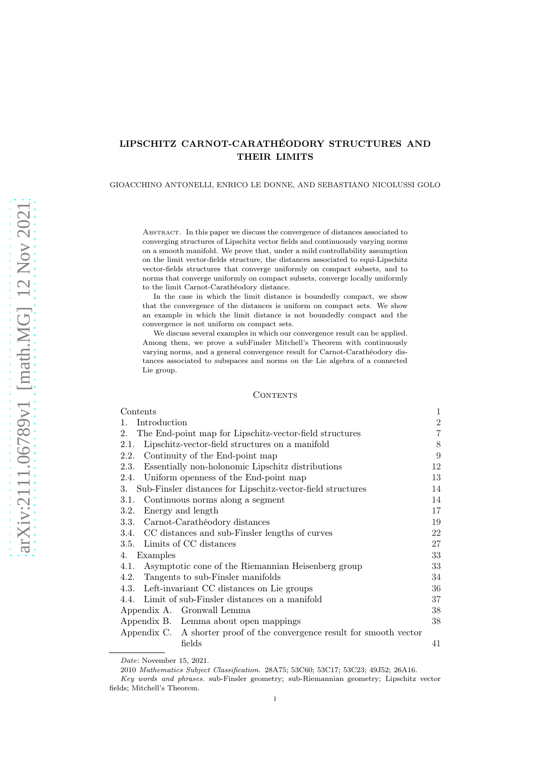# LIPSCHITZ CARNOT-CARATHÉODORY STRUCTURES AND THEIR LIMITS

GIOACCHINO ANTONELLI, ENRICO LE DONNE, AND SEBASTIANO NICOLUSSI GOLO

Abstract. In this paper we discuss the convergence of distances associated to converging structures of Lipschitz vector fields and continuously varying norms on a smooth manifold. We prove that, under a mild controllability assumption on the limit vector-fields structure, the distances associated to equi-Lipschitz vector-fields structures that converge uniformly on compact subsets, and to norms that converge uniformly on compact subsets, converge locally uniformly to the limit Carnot-Carathéodory distance.

In the case in which the limit distance is boundedly compact, we show that the convergence of the distances is uniform on compact sets. We show an example in which the limit distance is not boundedly compact and the convergence is not uniform on compact sets.

We discuss several examples in which our convergence result can be applied. Among them, we prove a subFinsler Mitchell's Theorem with continuously varying norms, and a general convergence result for Carnot-Carathéodory distances associated to subspaces and norms on the Lie algebra of a connected Lie group.

#### CONTENTS

<span id="page-0-0"></span>

| Contents                                                                | $\mathbf{1}$   |
|-------------------------------------------------------------------------|----------------|
| Introduction<br>1.                                                      | $\overline{2}$ |
| The End-point map for Lipschitz-vector-field structures<br>2.           | $\overline{7}$ |
| Lipschitz-vector-field structures on a manifold<br>2.1.                 | 8              |
| Continuity of the End-point map<br>2.2.                                 | 9              |
| Essentially non-holonomic Lipschitz distributions<br>2.3.               | 12             |
| 2.4. Uniform openness of the End-point map                              | 13             |
| Sub-Finsler distances for Lipschitz-vector-field structures<br>3.       | 14             |
| Continuous norms along a segment<br>3.1.                                | 14             |
| Energy and length<br>3.2.                                               | 17             |
| 3.3. Carnot-Carathéodory distances                                      | 19             |
| 3.4. CC distances and sub-Finsler lengths of curves                     | 22             |
| 3.5. Limits of CC distances                                             | 27             |
| Examples<br>4.                                                          | 33             |
| Asymptotic cone of the Riemannian Heisenberg group<br>4.1.              | 33             |
| Tangents to sub-Finsler manifolds<br>4.2.                               | 34             |
| 4.3. Left-invariant CC distances on Lie groups                          | 36             |
| 4.4. Limit of sub-Finsler distances on a manifold                       | 37             |
| Appendix A. Gronwall Lemma                                              | 38             |
| Appendix B. Lemma about open mappings                                   | 38             |
| Appendix C. A shorter proof of the convergence result for smooth vector |                |
| fields                                                                  | 41             |
|                                                                         |                |

Date: November 15, 2021.

<sup>2010</sup> Mathematics Subject Classification. 28A75; 53C60; 53C17; 53C23; 49J52; 26A16.

Key words and phrases. sub-Finsler geometry; sub-Riemannian geometry; Lipschitz vector fields; Mitchell's Theorem.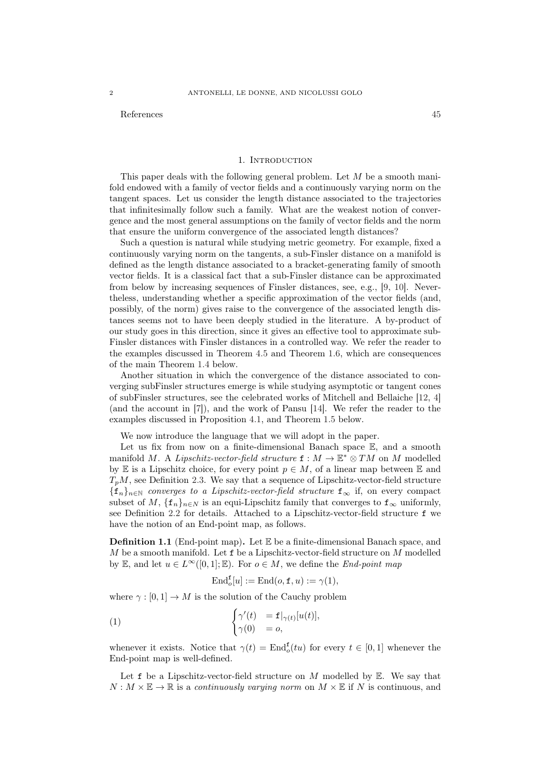## References and the set of the set of the set of the set of the set of the set of the set of the set of the set of the set of the set of the set of the set of the set of the set of the set of the set of the set of the set o

#### 1. INTRODUCTION

<span id="page-1-0"></span>This paper deals with the following general problem. Let  $M$  be a smooth manifold endowed with a family of vector fields and a continuously varying norm on the tangent spaces. Let us consider the length distance associated to the trajectories that infinitesimally follow such a family. What are the weakest notion of convergence and the most general assumptions on the family of vector fields and the norm that ensure the uniform convergence of the associated length distances?

Such a question is natural while studying metric geometry. For example, fixed a continuously varying norm on the tangents, a sub-Finsler distance on a manifold is defined as the length distance associated to a bracket-generating family of smooth vector fields. It is a classical fact that a sub-Finsler distance can be approximated from below by increasing sequences of Finsler distances, see, e.g., [\[9,](#page-45-0) [10\]](#page-45-1). Nevertheless, understanding whether a specific approximation of the vector fields (and, possibly, of the norm) gives raise to the convergence of the associated length distances seems not to have been deeply studied in the literature. A by-product of our study goes in this direction, since it gives an effective tool to approximate sub-Finsler distances with Finsler distances in a controlled way. We refer the reader to the examples discussed in Theorem [4.5](#page-36-1) and Theorem [1.6,](#page-6-1) which are consequences of the main Theorem [1.4](#page-3-0) below.

Another situation in which the convergence of the distance associated to converging subFinsler structures emerge is while studying asymptotic or tangent cones of subFinsler structures, see the celebrated works of Mitchell and Bellaiche [\[12,](#page-45-2) [4](#page-44-1)] (and the account in [\[7](#page-45-3)]), and the work of Pansu [\[14\]](#page-45-4). We refer the reader to the examples discussed in Proposition [4.1,](#page-32-2) and Theorem [1.5](#page-5-0) below.

We now introduce the language that we will adopt in the paper.

Let us fix from now on a finite-dimensional Banach space  $\mathbb{E}$ , and a smooth manifold M. A Lipschitz-vector-field structure  $\mathbf{f}: M \to \mathbb{E}^* \otimes TM$  on M modelled by E is a Lipschitz choice, for every point  $p \in M$ , of a linear map between E and  $T_pM$ , see Definition [2.3.](#page-7-1) We say that a sequence of Lipschitz-vector-field structure  ${f_n}_{n\in\mathbb{N}}$  converges to a Lipschitz-vector-field structure  $f_\infty$  if, on every compact subset of M,  $\{f_n\}_{n\in\mathbb{N}}$  is an equi-Lipschitz family that converges to  $f_\infty$  uniformly, see Definition [2.2](#page-7-2) for details. Attached to a Lipschitz-vector-field structure f we have the notion of an End-point map, as follows.

<span id="page-1-1"></span>**Definition 1.1** (End-point map). Let  $\mathbb{E}$  be a finite-dimensional Banach space, and M be a smooth manifold. Let  $f$  be a Lipschitz-vector-field structure on M modelled by E, and let  $u \in L^{\infty}([0,1]; \mathbb{E})$ . For  $o \in M$ , we define the *End-point map* 

<span id="page-1-2"></span>
$$
\text{End}_{o}^{\mathbf{f}}[u] := \text{End}(o, \mathbf{f}, u) := \gamma(1),
$$

where  $\gamma : [0, 1] \to M$  is the solution of the Cauchy problem

(1) 
$$
\begin{cases} \gamma'(t) & = \mathbf{f}|_{\gamma(t)}[u(t)], \\ \gamma(0) & = o, \end{cases}
$$

whenever it exists. Notice that  $\gamma(t) = \text{End}_{o}^{f}(tu)$  for every  $t \in [0,1]$  whenever the End-point map is well-defined.

Let  $f$  be a Lipschitz-vector-field structure on M modelled by  $E$ . We say that  $N : M \times \mathbb{E} \to \mathbb{R}$  is a continuously varying norm on  $M \times \mathbb{E}$  if N is continuous, and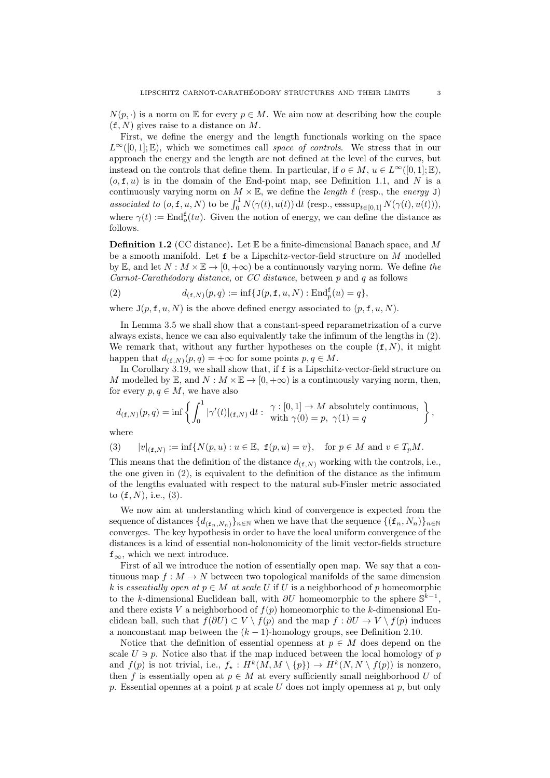$N(p, \cdot)$  is a norm on E for every  $p \in M$ . We aim now at describing how the couple  $(f, N)$  gives raise to a distance on M.

First, we define the energy and the length functionals working on the space  $L^{\infty}([0, 1]; \mathbb{E})$ , which we sometimes call space of controls. We stress that in our approach the energy and the length are not defined at the level of the curves, but instead on the controls that define them. In particular, if  $o \in M$ ,  $u \in L^{\infty}([0,1]; \mathbb{E})$ ,  $(o, f, u)$  is in the domain of the End-point map, see Definition [1.1,](#page-1-1) and N is a continuously varying norm on  $M \times \mathbb{E}$ , we define the *length*  $\ell$  (resp., the *energy* J) associated to  $(o, \mathbf{f}, u, N)$  to be  $\int_0^1 N(\gamma(t), u(t)) dt$  (resp., esssup $_{t \in [0,1]} N(\gamma(t), u(t))$ ), where  $\gamma(t) := \text{End}_{\mathfrak{O}}^{\mathbf{f}}(tu)$ . Given the notion of energy, we can define the distance as follows.

**Definition 1.2** (CC distance). Let  $\mathbb{E}$  be a finite-dimensional Banach space, and M be a smooth manifold. Let f be a Lipschitz-vector-field structure on M modelled by E, and let  $N : M \times E \to [0, +\infty)$  be a continuously varying norm. We define the Carnot-Carathéodory distance, or CC distance, between  $p$  and  $q$  as follows

<span id="page-2-0"></span>(2) 
$$
d_{(\mathbf{f},N)}(p,q) := \inf \{ \mathbf{J}(p,\mathbf{f},u,N) : \mathrm{End}_p^{\mathbf{f}}(u) = q \},
$$

where  $J(p, f, u, N)$  is the above defined energy associated to  $(p, f, u, N)$ .

In Lemma [3.5](#page-18-1) we shall show that a constant-speed reparametrization of a curve always exists, hence we can also equivalently take the infimum of the lengths in [\(2\)](#page-2-0). We remark that, without any further hypotheses on the couple  $(f, N)$ , it might happen that  $d_{(\mathbf{f},N)}(p,q) = +\infty$  for some points  $p, q \in M$ .

In Corollary [3.19,](#page-26-1) we shall show that, if f is a Lipschitz-vector-field structure on M modelled by E, and  $N : M \times E \to [0, +\infty)$  is a continuously varying norm, then, for every  $p, q \in M$ , we have also

$$
d_{(\mathbf{f},N)}(p,q) = \inf \left\{ \int_0^1 |\gamma'(t)|_{(\mathbf{f},N)} dt : \begin{array}{l} \gamma : [0,1] \to M \text{ absolutely continuous,} \\ \text{with } \gamma(0) = p, \ \gamma(1) = q \end{array} \right\},\
$$

where

<span id="page-2-1"></span>
$$
(3) \qquad |v|_{(\mathbf{f},N)} := \inf\{N(p,u) : u \in \mathbb{E}, \ \mathbf{f}(p,u) = v\}, \quad \text{for } p \in M \text{ and } v \in T_pM.
$$

This means that the definition of the distance  $d_{(f,N)}$  working with the controls, i.e., the one given in [\(2\)](#page-2-0), is equivalent to the definition of the distance as the infimum of the lengths evaluated with respect to the natural sub-Finsler metric associated to  $(f, N)$ , i.e.,  $(3)$ .

We now aim at understanding which kind of convergence is expected from the sequence of distances  $\{d_{(\mathbf{f}_n,N_n)}\}_n\in\mathbb{N}}$  when we have that the sequence  $\{(\mathbf{f}_n,N_n)\}_n\in\mathbb{N}}$ converges. The key hypothesis in order to have the local uniform convergence of the distances is a kind of essential non-holonomicity of the limit vector-fields structure  $f_{\infty}$ , which we next introduce.

First of all we introduce the notion of essentially open map. We say that a continuous map  $f: M \to N$  between two topological manifolds of the same dimension k is essentially open at  $p \in M$  at scale U if U is a neighborhood of p homeomorphic to the k-dimensional Euclidean ball, with  $\partial U$  homeomorphic to the sphere  $\mathbb{S}^{k-1}$ , and there exists V a neighborhood of  $f(p)$  homeomorphic to the k-dimensional Euclidean ball, such that  $f(\partial U) \subset V \setminus f(p)$  and the map  $f : \partial U \to V \setminus f(p)$  induces a nonconstant map between the  $(k - 1)$ -homology groups, see Definition [2.10.](#page-11-1)

Notice that the definition of essential openness at  $p \in M$  does depend on the scale  $U \ni p$ . Notice also that if the map induced between the local homology of p and  $f(p)$  is not trivial, i.e.,  $f_{\star}: H^k(M, M \setminus \{p\}) \to H^k(N, N \setminus f(p))$  is nonzero, then f is essentially open at  $p \in M$  at every sufficiently small neighborhood U of p. Essential opennes at a point p at scale U does not imply openness at p, but only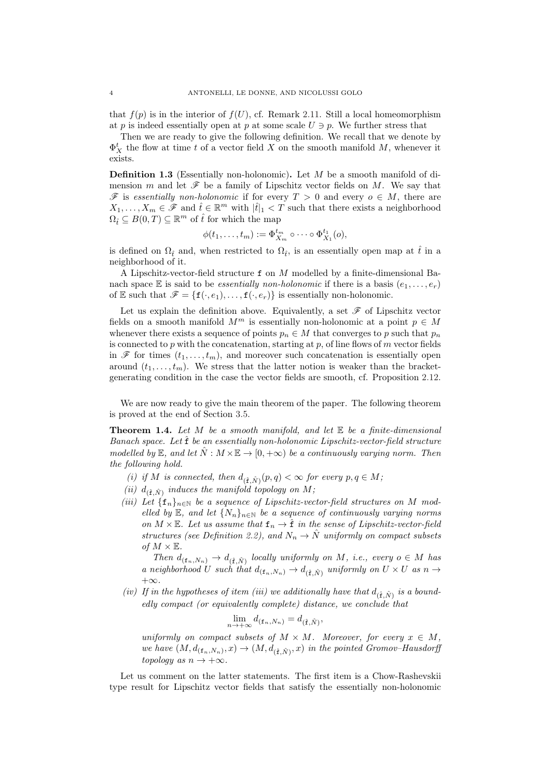that  $f(p)$  is in the interior of  $f(U)$ , cf. Remark [2.11.](#page-11-2) Still a local homeomorphism at p is indeed essentially open at p at some scale  $U \ni p$ . We further stress that

Then we are ready to give the following definition. We recall that we denote by  $\Phi_X^t$  the flow at time t of a vector field X on the smooth manifold M, whenever it exists.

<span id="page-3-1"></span>Definition 1.3 (Essentially non-holonomic). Let M be a smooth manifold of dimension m and let  $\mathscr F$  be a family of Lipschitz vector fields on M. We say that  $\mathscr F$  is essentially non-holonomic if for every  $T > 0$  and every  $o \in M$ , there are  $X_1, \ldots, X_m \in \mathscr{F}$  and  $\hat{t} \in \mathbb{R}^m$  with  $|\hat{t}|_1 < T$  such that there exists a neighborhood  $\Omega_{\hat{t}} \subseteq B(0,T) \subseteq \mathbb{R}^m$  of  $\hat{t}$  for which the map

$$
\phi(t_1,\ldots,t_m):=\Phi_{X_m}^{t_m}\circ\cdots\circ\Phi_{X_1}^{t_1}(o),
$$

is defined on  $\Omega_{\hat{t}}$  and, when restricted to  $\Omega_{\hat{t}}$ , is an essentially open map at  $\hat{t}$  in a neighborhood of it.

A Lipschitz-vector-field structure f on M modelled by a finite-dimensional Banach space E is said to be *essentially non-holonomic* if there is a basis  $(e_1, \ldots, e_r)$ of E such that  $\mathscr{F} = \{f(\cdot, e_1), \ldots, f(\cdot, e_r)\}\$ is essentially non-holonomic.

Let us explain the definition above. Equivalently, a set  $\mathscr F$  of Lipschitz vector fields on a smooth manifold  $M^m$  is essentially non-holonomic at a point  $p \in M$ whenever there exists a sequence of points  $p_n \in M$  that converges to p such that  $p_n$ is connected to p with the concatenation, starting at p, of line flows of  $m$  vector fields in  $\mathscr F$  for times  $(t_1, \ldots, t_m)$ , and moreover such concatenation is essentially open around  $(t_1, \ldots, t_m)$ . We stress that the latter notion is weaker than the bracketgenerating condition in the case the vector fields are smooth, cf. Proposition [2.12.](#page-12-1)

We are now ready to give the main theorem of the paper. The following theorem is proved at the end of Section [3.5.](#page-26-0)

<span id="page-3-0"></span>**Theorem 1.4.** Let M be a smooth manifold, and let  $E$  be a finite-dimensional Banach space. Let  $\hat{\mathbf{f}}$  be an essentially non-holonomic Lipschitz-vector-field structure modelled by  $\mathbb{E}$ , and let  $N : M \times \mathbb{E} \to [0, +\infty)$  be a continuously varying norm. Then the following hold.

- <span id="page-3-3"></span><span id="page-3-2"></span>(i) if M is connected, then  $d_{(\hat{\mathbf{f}}, \hat{N})}(p, q) < \infty$  for every  $p, q \in M$ ;
- (ii)  $d_{(\hat{\mathbf{f}}, \hat{N})}$  induces the manifold topology on M;
- <span id="page-3-4"></span>(iii) Let  $\{f_n\}_{n\in\mathbb{N}}$  be a sequence of Lipschitz-vector-field structures on M modelled by E, and let  $\{N_n\}_{n\in\mathbb{N}}$  be a sequence of continuously varying norms on  $M \times \mathbb{E}$ . Let us assume that  $f_n \to \hat{f}$  in the sense of Lipschitz-vector-field structures (see Definition [2.2\)](#page-7-2), and  $N_n \to \hat{N}$  uniformly on compact subsets of  $M \times \mathbb{E}$ .

Then  $d_{(\mathbf{f}_n,N_n)} \to d_{(\hat{\mathbf{f}},\hat{N})}$  locally uniformly on M, i.e., every  $o \in M$  has a neighborhood U such that  $d_{(\mathbf{f}_n,N_n)} \to d_{(\hat{\mathbf{f}},\hat{N})}$  uniformly on  $U \times U$  as  $n \to \infty$  $+\infty$ .

<span id="page-3-5"></span>(iv) If in the hypotheses of item (iii) we additionally have that  $d_{(\hat{\mathbf{f}},\hat{N})}$  is a boundedly compact (or equivalently complete) distance, we conclude that

$$
\lim_{n \to +\infty} d_{(\mathbf{f}_n, N_n)} = d_{(\hat{\mathbf{f}}, \hat{N})},
$$

uniformly on compact subsets of  $M \times M$ . Moreover, for every  $x \in M$ , we have  $(M, d_{(\mathbf{f}_n, N_n)}, x) \to (M, d_{(\hat{\mathbf{f}}, \hat{N})}, x)$  in the pointed Gromov–Hausdorff topology as  $n \to +\infty$ .

Let us comment on the latter statements. The first item is a Chow-Rashevskii type result for Lipschitz vector fields that satisfy the essentially non-holonomic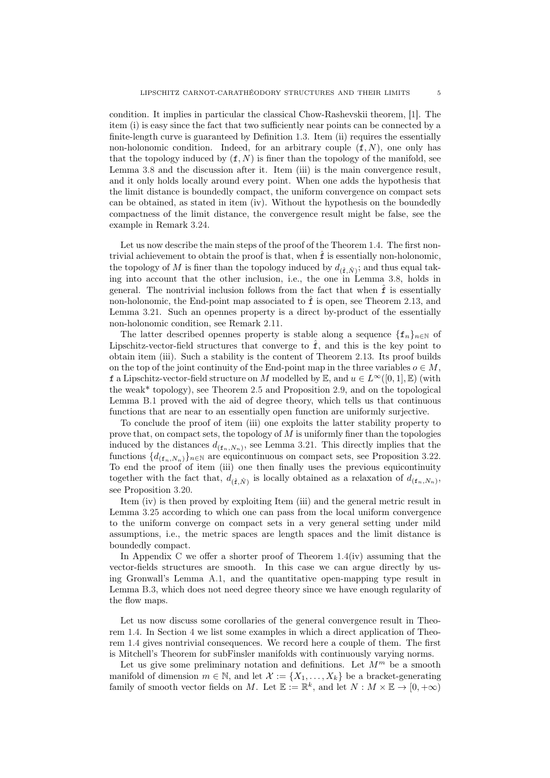condition. It implies in particular the classical Chow-Rashevskii theorem, [\[1\]](#page-44-2). The item (i) is easy since the fact that two sufficiently near points can be connected by a finite-length curve is guaranteed by Definition [1.3.](#page-3-1) Item (ii) requires the essentially non-holonomic condition. Indeed, for an arbitrary couple  $(f, N)$ , one only has that the topology induced by  $(f, N)$  is finer than the topology of the manifold, see Lemma [3.8](#page-19-0) and the discussion after it. Item (iii) is the main convergence result, and it only holds locally around every point. When one adds the hypothesis that the limit distance is boundedly compact, the uniform convergence on compact sets can be obtained, as stated in item (iv). Without the hypothesis on the boundedly compactness of the limit distance, the convergence result might be false, see the example in Remark [3.24.](#page-29-0)

Let us now describe the main steps of the proof of the Theorem [1.4.](#page-3-0) The first nontrivial achievement to obtain the proof is that, when  $\hat{f}$  is essentially non-holonomic, the topology of  $M$  is finer than the topology induced by  $d_{(\hat{\mathbf{f}}, \hat{N})}$ ; and thus equal taking into account that the other inclusion, i.e., the one in Lemma [3.8,](#page-19-0) holds in general. The nontrivial inclusion follows from the fact that when  $\hat{f}$  is essentially non-holonomic, the End-point map associated to  $\hat{\mathbf{f}}$  is open, see Theorem [2.13,](#page-12-2) and Lemma [3.21.](#page-27-0) Such an opennes property is a direct by-product of the essentially non-holonomic condition, see Remark [2.11.](#page-11-2)

The latter described opennes property is stable along a sequence  $\{f_n\}_{n\in\mathbb{N}}$  of Lipschitz-vector-field structures that converge to  $\hat{f}$ , and this is the key point to obtain item (iii). Such a stability is the content of Theorem [2.13.](#page-12-2) Its proof builds on the top of the joint continuity of the End-point map in the three variables  $o \in M$ , f a Lipschitz-vector-field structure on M modelled by E, and  $u \in L^{\infty}([0,1], \mathbb{E})$  (with the weak\* topology), see Theorem [2.5](#page-8-1) and Proposition [2.9,](#page-10-0) and on the topological Lemma [B.1](#page-37-2) proved with the aid of degree theory, which tells us that continuous functions that are near to an essentially open function are uniformly surjective.

To conclude the proof of item (iii) one exploits the latter stability property to prove that, on compact sets, the topology of M is uniformly finer than the topologies induced by the distances  $d_{(f_n,N_n)}$ , see Lemma [3.21.](#page-27-0) This directly implies that the functions  $\{d_{(f_n,N_n)}\}_n\in\mathbb{N}}$  are equicontinuous on compact sets, see Proposition [3.22.](#page-28-0) To end the proof of item (iii) one then finally uses the previous equicontinuity together with the fact that,  $d_{(\hat{f},\hat{N})}$  is locally obtained as a relaxation of  $d_{(f_n,N_n)}$ , see Proposition [3.20.](#page-26-2)

Item (iv) is then proved by exploiting Item (iii) and the general metric result in Lemma [3.25](#page-29-1) according to which one can pass from the local uniform convergence to the uniform converge on compact sets in a very general setting under mild assumptions, i.e., the metric spaces are length spaces and the limit distance is boundedly compact.

In Appendix [C](#page-40-0) we offer a shorter proof of Theorem  $1.4(iv)$  $1.4(iv)$  assuming that the vector-fields structures are smooth. In this case we can argue directly by using Gronwall's Lemma [A.1,](#page-37-3) and the quantitative open-mapping type result in Lemma [B.3,](#page-39-0) which does not need degree theory since we have enough regularity of the flow maps.

Let us now discuss some corollaries of the general convergence result in Theorem [1.4.](#page-3-0) In Section [4](#page-32-0) we list some examples in which a direct application of Theorem [1.4](#page-3-0) gives nontrivial consequences. We record here a couple of them. The first is Mitchell's Theorem for subFinsler manifolds with continuously varying norms.

Let us give some preliminary notation and definitions. Let  $M<sup>m</sup>$  be a smooth manifold of dimension  $m \in \mathbb{N}$ , and let  $\mathcal{X} := \{X_1, \ldots, X_k\}$  be a bracket-generating family of smooth vector fields on M. Let  $\mathbb{E} := \mathbb{R}^k$ , and let  $N : M \times \mathbb{E} \to [0, +\infty)$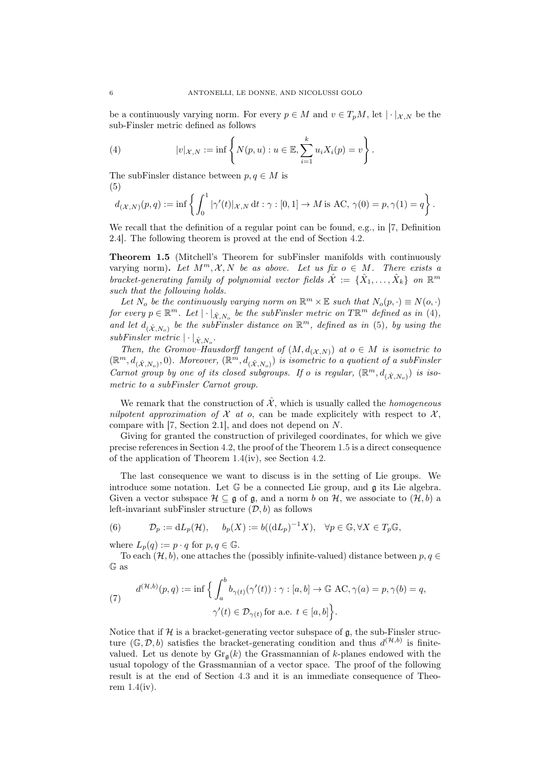be a continuously varying norm. For every  $p \in M$  and  $v \in T_pM$ , let  $|\cdot|_{\mathcal{X},N}$  be the sub-Finsler metric defined as follows

<span id="page-5-1"></span>(4) 
$$
|v|_{\mathcal{X},N} := \inf \left\{ N(p, u) : u \in \mathbb{E}, \sum_{i=1}^{k} u_i X_i(p) = v \right\}.
$$

The subFinsler distance between  $p, q \in M$  is (5)

<span id="page-5-2"></span>
$$
d_{(\mathcal{X},N)}(p,q) := \inf \left\{ \int_0^1 |\gamma'(t)|_{\mathcal{X},N} dt : \gamma : [0,1] \to M \text{ is AC}, \, \gamma(0) = p, \gamma(1) = q \right\}.
$$

We recall that the definition of a regular point can be found, e.g., in [\[7,](#page-45-3) Definition 2.4]. The following theorem is proved at the end of Section [4.2.](#page-33-0)

<span id="page-5-0"></span>Theorem 1.5 (Mitchell's Theorem for subFinsler manifolds with continuously varying norm). Let  $M^m, \mathcal{X}, N$  be as above. Let us fix  $o \in M$ . There exists a bracket-generating family of polynomial vector fields  $\hat{\mathcal{X}} := \{\hat{X}_1, \ldots, \hat{X}_k\}$  on  $\mathbb{R}^m$ such that the following holds.

Let N<sub>o</sub> be the continuously varying norm on  $\mathbb{R}^m \times \mathbb{E}$  such that  $N_o(p, \cdot) \equiv N(o, \cdot)$ for every  $p \in \mathbb{R}^m$ . Let  $|\cdot|_{\hat{\mathcal{X}},N_o}$  be the subFinsler metric on  $T\mathbb{R}^m$  defined as in [\(4\)](#page-5-1), and let  $d_{(\hat{X},N_o)}$  be the subFinsler distance on  $\mathbb{R}^m$ , defined as in [\(5\)](#page-5-2), by using the  $subFinsler$  metric  $|\cdot|_{\hat{\mathcal{X}},N_o}$ .

Then, the Gromov–Hausdorff tangent of  $(M, d_{(\mathcal{X},N)})$  at  $o \in M$  is isometric to  $(\mathbb{R}^m, d_{(\hat{\mathcal{X}},N_o)}, 0)$ . Moreover,  $(\mathbb{R}^m, d_{(\hat{\mathcal{X}},N_o)})$  is isometric to a quotient of a subFinsler Carnot group by one of its closed subgroups. If o is regular,  $(\mathbb{R}^m, d_{(\hat{\mathcal{X}},N_o)})$  is isometric to a subFinsler Carnot group.

We remark that the construction of  $\hat{\mathcal{X}}$ , which is usually called the *homogeneous* nilpotent approximation of  $\mathcal X$  at  $o$ , can be made explicitely with respect to  $\mathcal X$ , compare with [\[7,](#page-45-3) Section 2.1], and does not depend on N.

Giving for granted the construction of privileged coordinates, for which we give precise references in Section [4.2,](#page-33-0) the proof of the Theorem [1.5](#page-5-0) is a direct consequence of the application of Theorem [1.4\(](#page-3-0)iv), see Section [4.2.](#page-33-0)

The last consequence we want to discuss is in the setting of Lie groups. We introduce some notation. Let  $\mathbb G$  be a connected Lie group, and  $\mathfrak g$  its Lie algebra. Given a vector subspace  $\mathcal{H} \subseteq \mathfrak{g}$  of  $\mathfrak{g}$ , and a norm b on  $\mathcal{H}$ , we associate to  $(\mathcal{H}, b)$  a left-invariant subFinsler structure  $(D, b)$  as follows

<span id="page-5-4"></span>(6) 
$$
\mathcal{D}_p := dL_p(\mathcal{H}), \quad b_p(X) := b((dL_p)^{-1}X), \quad \forall p \in \mathbb{G}, \forall X \in T_p\mathbb{G},
$$

where  $L_p(q) := p \cdot q$  for  $p, q \in \mathbb{G}$ .

To each  $(\mathcal{H}, b)$ , one attaches the (possibly infinite-valued) distance between  $p, q \in$ G as

<span id="page-5-3"></span>(7) 
$$
d^{(\mathcal{H},b)}(p,q) := \inf \Big\{ \int_a^b b_{\gamma(t)}(\gamma'(t)) : \gamma : [a,b] \to \mathbb{G} \text{ AC}, \gamma(a) = p, \gamma(b) = q, \gamma'(t) \in \mathcal{D}_{\gamma(t)} \text{ for a.e. } t \in [a,b] \Big\}.
$$

Notice that if  $\mathcal H$  is a bracket-generating vector subspace of  $\mathfrak g$ , the sub-Finsler structure  $(\mathbb{G}, \mathcal{D}, b)$  satisfies the bracket-generating condition and thus  $d^{(\mathcal{H},b)}$  is finitevalued. Let us denote by  $\text{Gr}_{\mathfrak{g}}(k)$  the Grassmannian of k-planes endowed with the usual topology of the Grassmannian of a vector space. The proof of the following result is at the end of Section [4.3](#page-35-0) and it is an immediate consequence of Theorem  $1.4(iv)$  $1.4(iv)$ .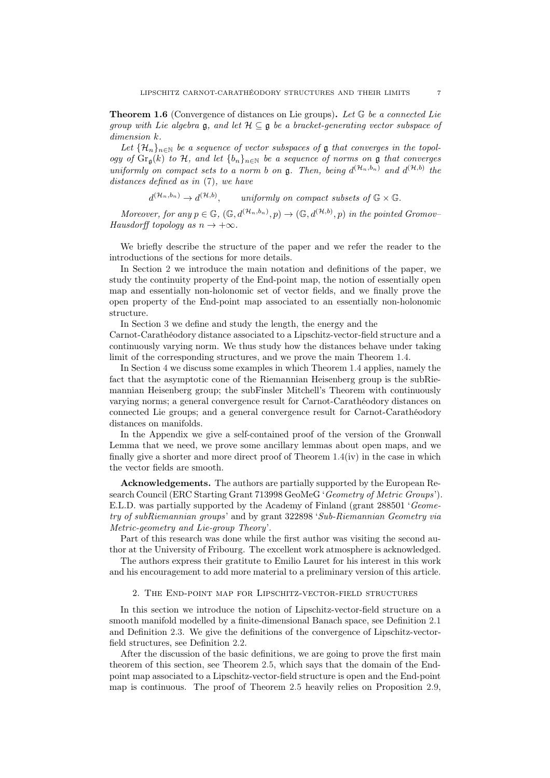<span id="page-6-1"></span>**Theorem 1.6** (Convergence of distances on Lie groups). Let  $G$  be a connected Lie group with Lie algebra  $\mathfrak{g}$ , and let  $\mathcal{H} \subseteq \mathfrak{g}$  be a bracket-generating vector subspace of dimension k.

Let  $\{\mathcal{H}_n\}_{n\in\mathbb{N}}$  be a sequence of vector subspaces of  $\mathfrak g$  that converges in the topology of  $\text{Gr}_{\mathfrak{a}}(k)$  to H, and let  $\{b_n\}_{n\in\mathbb{N}}$  be a sequence of norms on  $\mathfrak g$  that converges uniformly on compact sets to a norm b on  $\mathfrak{g}$ . Then, being  $d^{(\mathcal{H}_n,b_n)}$  and  $d^{(\mathcal{H},b)}$  the distances defined as in [\(7\)](#page-5-3), we have

$$
d^{(\mathcal{H}_n, b_n)} \to d^{(\mathcal{H}, b)},
$$
 uniformly on compact subsets of  $\mathbb{G} \times \mathbb{G}$ .

Moreover, for any  $p \in \mathbb{G}$ ,  $(\mathbb{G}, d^{(\mathcal{H}_n, b_n)}, p) \to (\mathbb{G}, d^{(\mathcal{H},b)}, p)$  in the pointed Gromov-Hausdorff topology as  $n \to +\infty$ .

We briefly describe the structure of the paper and we refer the reader to the introductions of the sections for more details.

In Section [2](#page-6-0) we introduce the main notation and definitions of the paper, we study the continuity property of the End-point map, the notion of essentially open map and essentially non-holonomic set of vector fields, and we finally prove the open property of the End-point map associated to an essentially non-holonomic structure.

In Section [3](#page-13-0) we define and study the length, the energy and the

Carnot-Carathéodory distance associated to a Lipschitz-vector-field structure and a continuously varying norm. We thus study how the distances behave under taking limit of the corresponding structures, and we prove the main Theorem [1.4.](#page-3-0)

In Section [4](#page-32-0) we discuss some examples in which Theorem [1.4](#page-3-0) applies, namely the fact that the asymptotic cone of the Riemannian Heisenberg group is the subRiemannian Heisenberg group; the subFinsler Mitchell's Theorem with continuously varying norms; a general convergence result for Carnot-Carathéodory distances on connected Lie groups; and a general convergence result for Carnot-Carathéodory distances on manifolds.

In the Appendix we give a self-contained proof of the version of the Gronwall Lemma that we need, we prove some ancillary lemmas about open maps, and we finally give a shorter and more direct proof of Theorem [1.4\(](#page-3-0)iv) in the case in which the vector fields are smooth.

Acknowledgements. The authors are partially supported by the European Research Council (ERC Starting Grant 713998 GeoMeG 'Geometry of Metric Groups'). E.L.D. was partially supported by the Academy of Finland (grant 288501 'Geometry of subRiemannian groups' and by grant 322898 'Sub-Riemannian Geometry via Metric-geometry and Lie-group Theory'.

Part of this research was done while the first author was visiting the second author at the University of Fribourg. The excellent work atmosphere is acknowledged.

<span id="page-6-0"></span>The authors express their gratitute to Emilio Lauret for his interest in this work and his encouragement to add more material to a preliminary version of this article.

## 2. The End-point map for Lipschitz-vector-field structures

In this section we introduce the notion of Lipschitz-vector-field structure on a smooth manifold modelled by a finite-dimensional Banach space, see Definition [2.1](#page-7-3) and Definition [2.3.](#page-7-1) We give the definitions of the convergence of Lipschitz-vectorfield structures, see Definition [2.2.](#page-7-2)

After the discussion of the basic definitions, we are going to prove the first main theorem of this section, see Theorem [2.5,](#page-8-1) which says that the domain of the Endpoint map associated to a Lipschitz-vector-field structure is open and the End-point map is continuous. The proof of Theorem [2.5](#page-8-1) heavily relies on Proposition [2.9,](#page-10-0)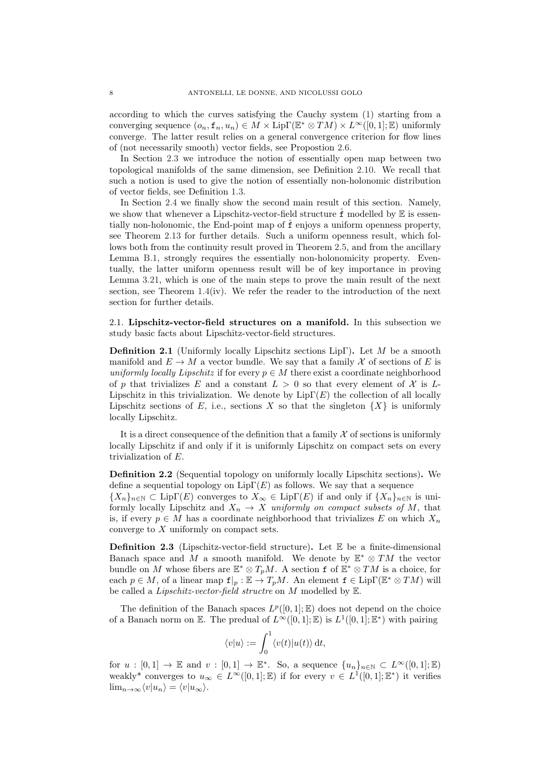according to which the curves satisfying the Cauchy system [\(1\)](#page-1-2) starting from a converging sequence  $(o_n, \mathbf{f}_n, u_n) \in M \times \text{Lip}\Gamma(\mathbb{E}^* \otimes TM) \times L^{\infty}([0,1]; \mathbb{E})$  uniformly converge. The latter result relies on a general convergence criterion for flow lines of (not necessarily smooth) vector fields, see Propostion [2.6.](#page-8-2)

In Section [2.3](#page-11-0) we introduce the notion of essentially open map between two topological manifolds of the same dimension, see Definition [2.10.](#page-11-1) We recall that such a notion is used to give the notion of essentially non-holonomic distribution of vector fields, see Definition [1.3.](#page-3-1)

In Section [2.4](#page-12-0) we finally show the second main result of this section. Namely, we show that whenever a Lipschitz-vector-field structure  $\hat{f}$  modelled by  $E$  is essentially non-holonomic, the End-point map of fˆ enjoys a uniform openness property, see Theorem [2.13](#page-12-2) for further details. Such a uniform openness result, which fol-lows both from the continuity result proved in Theorem [2.5,](#page-8-1) and from the ancillary Lemma [B.1,](#page-37-2) strongly requires the essentially non-holonomicity property. Eventually, the latter uniform openness result will be of key importance in proving Lemma [3.21,](#page-27-0) which is one of the main steps to prove the main result of the next section, see Theorem  $1.4(iv)$  $1.4(iv)$ . We refer the reader to the introduction of the next section for further details.

<span id="page-7-0"></span>2.1. Lipschitz-vector-field structures on a manifold. In this subsection we study basic facts about Lipschitz-vector-field structures.

<span id="page-7-3"></span>**Definition 2.1** (Uniformly locally Lipschitz sections LipΓ). Let M be a smooth manifold and  $E \to M$  a vector bundle. We say that a family X of sections of E is uniformly locally Lipschitz if for every  $p \in M$  there exist a coordinate neighborhood of p that trivializes E and a constant  $L > 0$  so that every element of X is L-Lipschitz in this trivialization. We denote by  $\text{Lip}\Gamma(E)$  the collection of all locally Lipschitz sections of E, i.e., sections X so that the singleton  $\{X\}$  is uniformly locally Lipschitz.

It is a direct consequence of the definition that a family  $\mathcal X$  of sections is uniformly locally Lipschitz if and only if it is uniformly Lipschitz on compact sets on every trivialization of E.

<span id="page-7-2"></span>Definition 2.2 (Sequential topology on uniformly locally Lipschitz sections). We define a sequential topology on  $\text{Lip}\Gamma(E)$  as follows. We say that a sequence

 ${X_n}_{n\in\mathbb{N}} \subset \text{Lip}\Gamma(E)$  converges to  $X_\infty \in \text{Lip}\Gamma(E)$  if and only if  ${X_n}_{n\in\mathbb{N}}$  is uniformly locally Lipschitz and  $X_n \to X$  uniformly on compact subsets of M, that is, if every  $p \in M$  has a coordinate neighborhood that trivializes E on which  $X_n$ converge to X uniformly on compact sets.

<span id="page-7-1"></span>**Definition 2.3** (Lipschitz-vector-field structure). Let  $\mathbb E$  be a finite-dimensional Banach space and M a smooth manifold. We denote by  $\mathbb{E}^* \otimes TM$  the vector bundle on M whose fibers are  $\mathbb{E}^* \otimes T_pM$ . A section f of  $\mathbb{E}^* \otimes TM$  is a choice, for each  $p \in M$ , of a linear map  $f|_p : \mathbb{E} \to T_pM$ . An element  $f \in \text{Lip}\Gamma(\mathbb{E}^* \otimes TM)$  will be called a Lipschitz-vector-field structre on M modelled by E.

The definition of the Banach spaces  $L^p([0,1];\mathbb{E})$  does not depend on the choice of a Banach norm on E. The predual of  $L^{\infty}([0,1];\mathbb{E})$  is  $L^{1}([0,1];\mathbb{E}^{*})$  with pairing

$$
\langle v|u\rangle := \int_0^1 \langle v(t)|u(t)\rangle dt,
$$

for  $u : [0,1] \to \mathbb{E}$  and  $v : [0,1] \to \mathbb{E}^*$ . So, a sequence  $\{u_n\}_{n \in \mathbb{N}} \subset L^{\infty}([0,1];\mathbb{E})$ weakly<sup>\*</sup> converges to  $u_{\infty} \in L^{\infty}([0,1];\mathbb{E})$  if for every  $v \in L^{1}([0,1];\mathbb{E}^{*})$  it verifies  $\lim_{n\to\infty}\langle v|u_n\rangle = \langle v|u_\infty\rangle.$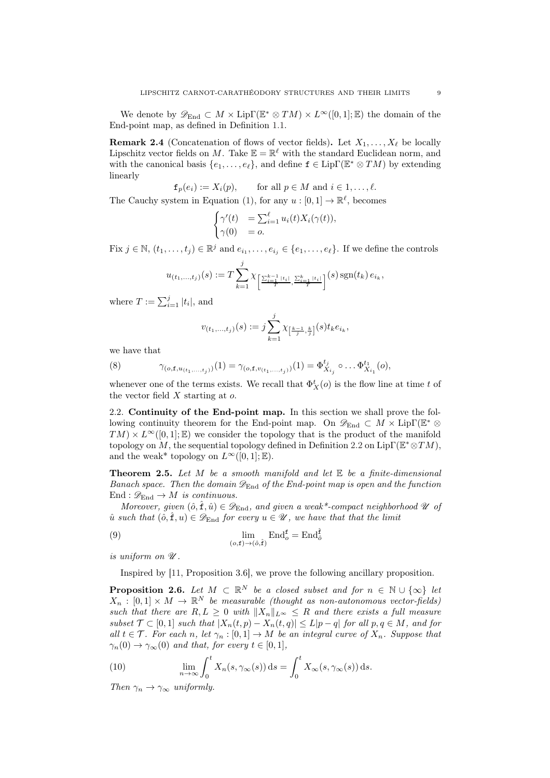We denote by  $\mathscr{D}_{\text{End}} \subset M \times \text{Lip}\Gamma(\mathbb{E}^* \otimes TM) \times L^{\infty}([0,1];\mathbb{E})$  the domain of the End-point map, as defined in Definition [1.1.](#page-1-1)

**Remark 2.4** (Concatenation of flows of vector fields). Let  $X_1, \ldots, X_\ell$  be locally Lipschitz vector fields on M. Take  $\mathbb{E} = \mathbb{R}^{\ell}$  with the standard Euclidean norm, and with the canonical basis  $\{e_1, \ldots, e_\ell\}$ , and define  $\mathbf{f} \in \text{Lip}\Gamma(\mathbb{E}^* \otimes TM)$  by extending linearly

$$
f_p(e_i) := X_i(p)
$$
, for all  $p \in M$  and  $i \in 1, ..., \ell$ .

The Cauchy system in Equation [\(1\)](#page-1-2), for any  $u : [0,1] \to \mathbb{R}^{\ell}$ , becomes

$$
\begin{cases} \gamma'(t) & = \sum_{i=1}^{\ell} u_i(t) X_i(\gamma(t)), \\ \gamma(0) & = o. \end{cases}
$$

Fix  $j \in \mathbb{N}, (t_1, \ldots, t_j) \in \mathbb{R}^j$  and  $e_{i_1}, \ldots, e_{i_j} \in \{e_1, \ldots, e_\ell\}$ . If we define the controls

$$
u_{(t_1,\ldots,t_j)}(s) := T \sum_{k=1}^j \chi_{\left[\frac{\sum_{i=1}^{k-1} |t_i|}{T}, \frac{\sum_{i=1}^k |t_i|}{T}\right]}(s) \operatorname{sgn}(t_k) e_{i_k},
$$

where  $T := \sum_{i=1}^{j} |t_i|$ , and

$$
v_{(t_1,\ldots,t_j)}(s) := j \sum_{k=1}^j \chi_{\left[\frac{k-1}{j},\frac{k}{j}\right]}(s) t_k e_{i_k},
$$

we have that

<span id="page-8-5"></span>(8) 
$$
\gamma_{(o,\mathbf{f},u_{(t_1,...,t_j)})}(1) = \gamma_{(o,\mathbf{f},v_{(t_1,...,t_j)})}(1) = \Phi_{X_{i_j}}^{t_j} \circ \dots \Phi_{X_{i_1}}^{t_1}(o),
$$

whenever one of the terms exists. We recall that  $\Phi^t_X(o)$  is the flow line at time t of the vector field  $X$  starting at  $o$ .

<span id="page-8-0"></span>2.2. Continuity of the End-point map. In this section we shall prove the following continuity theorem for the End-point map. On  $\mathscr{D}_{\mathrm{End}} \subset M \times \mathrm{Lip}\Gamma(\mathbb{E}^* \otimes$  $TM$  ×  $L^{\infty}([0,1];\mathbb{E})$  we consider the topology that is the product of the manifold topology on M, the sequential topology defined in Definition [2.2](#page-7-2) on Lip $\Gamma(\mathbb{E}^* \otimes TM)$ , and the weak\* topology on  $L^{\infty}([0, 1]; \mathbb{E})$ .

<span id="page-8-1"></span>**Theorem 2.5.** Let  $M$  be a smooth manifold and let  $E$  be a finite-dimensional Banach space. Then the domain  $\mathscr{D}_{\text{End}}$  of the End-point map is open and the function End :  $\mathscr{D}_{\text{End}} \to M$  is continuous.

Moreover, given  $(\hat{o}, \hat{f}, \hat{u}) \in \mathcal{D}_{End}$ , and given a weak\*-compact neighborhood  $\mathcal{U}$  of  $\hat{u}$  such that  $(\hat{o}, \hat{f}, u) \in \mathscr{D}_{End}$  for every  $u \in \mathscr{U}$ , we have that that the limit

(9) 
$$
\lim_{(o,\mathbf{f}) \to (\hat{o},\hat{\mathbf{f}})} \mathrm{End}_{o}^{\mathbf{f}} = \mathrm{End}_{\hat{o}}^{\hat{\mathbf{f}}}
$$

is uniform on  $\mathscr U$ .

<span id="page-8-4"></span>Inspired by [\[11](#page-45-5), Proposition 3.6], we prove the following ancillary proposition.

<span id="page-8-2"></span>**Proposition 2.6.** Let  $M \subset \mathbb{R}^N$  be a closed subset and for  $n \in \mathbb{N} \cup \{\infty\}$  let  $X_n : [0,1] \times M \to \mathbb{R}^N$  be measurable (thought as non-autonomous vector-fields) such that there are  $R, L \geq 0$  with  $||X_n||_{L^{\infty}} \leq R$  and there exists a full measure subset  $\mathcal{T} \subset [0,1]$  such that  $|X_n(t,p) - X_n(t,q)| \leq L|p-q|$  for all  $p,q \in M$ , and for all  $t \in \mathcal{T}$ . For each n, let  $\gamma_n : [0,1] \to M$  be an integral curve of  $X_n$ . Suppose that  $\gamma_n(0) \to \gamma_\infty(0)$  and that, for every  $t \in [0,1],$ 

<span id="page-8-3"></span>(10) 
$$
\lim_{n \to \infty} \int_0^t X_n(s, \gamma_\infty(s)) ds = \int_0^t X_\infty(s, \gamma_\infty(s)) ds.
$$

Then  $\gamma_n \to \gamma_\infty$  uniformly.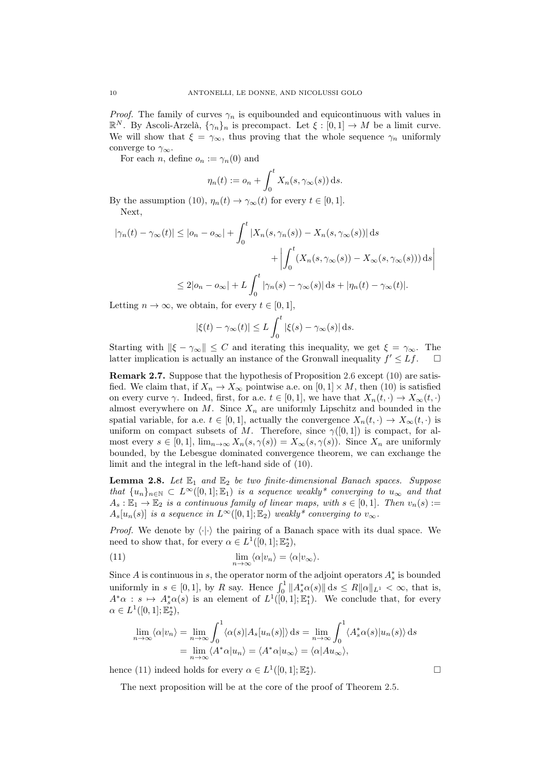*Proof.* The family of curves  $\gamma_n$  is equibounded and equicontinuous with values in  $\mathbb{R}^N$ . By Ascoli-Arzelà,  $\{\gamma_n\}_n$  is precompact. Let  $\xi : [0,1] \to M$  be a limit curve. We will show that  $\xi = \gamma_{\infty}$ , thus proving that the whole sequence  $\gamma_n$  uniformly converge to  $\gamma_{\infty}$ .

For each *n*, define  $o_n := \gamma_n(0)$  and

$$
\eta_n(t) := o_n + \int_0^t X_n(s, \gamma_\infty(s)) \, \mathrm{d} s.
$$

By the assumption [\(10\)](#page-8-3),  $\eta_n(t) \to \gamma_\infty(t)$  for every  $t \in [0,1]$ . Next,

$$
|\gamma_n(t) - \gamma_\infty(t)| \le |o_n - o_\infty| + \int_0^t |X_n(s, \gamma_n(s)) - X_n(s, \gamma_\infty(s))| ds
$$
  
+ 
$$
\left| \int_0^t (X_n(s, \gamma_\infty(s)) - X_\infty(s, \gamma_\infty(s))) ds \right|
$$
  

$$
\le 2|o_n - o_\infty| + L \int_0^t |\gamma_n(s) - \gamma_\infty(s)| ds + |\eta_n(t) - \gamma_\infty(t)|.
$$

Letting  $n \to \infty$ , we obtain, for every  $t \in [0, 1]$ ,

$$
|\xi(t) - \gamma_{\infty}(t)| \le L \int_0^t |\xi(s) - \gamma_{\infty}(s)| ds.
$$

Starting with  $\|\xi - \gamma_\infty\| \leq C$  and iterating this inequality, we get  $\xi = \gamma_\infty$ . The latter implication is actually an instance of the Gronwall inequality  $f' \leq Lf$ .  $\Box$ 

Remark 2.7. Suppose that the hypothesis of Proposition [2.6](#page-8-2) except [\(10\)](#page-8-3) are satisfied. We claim that, if  $X_n \to X_\infty$  pointwise a.e. on  $[0,1] \times M$ , then [\(10\)](#page-8-3) is satisfied on every curve  $\gamma$ . Indeed, first, for a.e.  $t \in [0,1]$ , we have that  $X_n(t, \cdot) \to X_\infty(t, \cdot)$ almost everywhere on  $M$ . Since  $X_n$  are uniformly Lipschitz and bounded in the spatial variable, for a.e.  $t \in [0,1]$ , actually the convergence  $X_n(t, \cdot) \to X_\infty(t, \cdot)$  is uniform on compact subsets of M. Therefore, since  $\gamma([0,1])$  is compact, for almost every  $s \in [0,1]$ ,  $\lim_{n\to\infty} X_n(s,\gamma(s)) = X_\infty(s,\gamma(s))$ . Since  $X_n$  are uniformly bounded, by the Lebesgue dominated convergence theorem, we can exchange the limit and the integral in the left-hand side of [\(10\)](#page-8-3).

<span id="page-9-1"></span>**Lemma 2.8.** Let  $\mathbb{E}_1$  and  $\mathbb{E}_2$  be two finite-dimensional Banach spaces. Suppose that  ${u_n}_{n\in\mathbb{N}} \subset L^\infty([0,1];\mathbb{E}_1)$  is a sequence weakly\* converging to  $u_\infty$  and that  $A_s: \mathbb{E}_1 \to \mathbb{E}_2$  is a continuous family of linear maps, with  $s \in [0,1]$ . Then  $v_n(s) :=$  $A_s[u_n(s)]$  is a sequence in  $L^{\infty}([0,1];\mathbb{E}_2)$  weakly\* converging to  $v_{\infty}$ .

*Proof.* We denote by  $\langle \cdot | \cdot \rangle$  the pairing of a Banach space with its dual space. We need to show that, for every  $\alpha \in L^1([0,1];\mathbb{E}_2^*),$ 

(11) 
$$
\lim_{n \to \infty} \langle \alpha | v_n \rangle = \langle \alpha | v_{\infty} \rangle.
$$

Since A is continuous in s, the operator norm of the adjoint operators  $A_s^*$  is bounded uniformly in  $s \in [0,1]$ , by R say. Hence  $\int_0^1 ||A_s^* \alpha(s)|| ds \le R ||\alpha||_{L^1} < \infty$ , that is,  $A^*\alpha : s \mapsto A^*_s\alpha(s)$  is an element of  $L^1([0,1];\mathbb{E}_1^*)$ . We conclude that, for every  $\alpha \in L^1([0,1];\mathbb{E}_2^*),$ 

<span id="page-9-0"></span>
$$
\lim_{n \to \infty} \langle \alpha | v_n \rangle = \lim_{n \to \infty} \int_0^1 \langle \alpha(s) | A_s [u_n(s)] \rangle ds = \lim_{n \to \infty} \int_0^1 \langle A_s^* \alpha(s) | u_n(s) \rangle ds
$$
  
= 
$$
\lim_{n \to \infty} \langle A^* \alpha | u_n \rangle = \langle A^* \alpha | u_\infty \rangle = \langle \alpha | A u_\infty \rangle,
$$

hence [\(11\)](#page-9-0) indeed holds for every  $\alpha \in L^1([0,1];\mathbb{E}_2^*$ ).  $\qquad \qquad \Box$ 

The next proposition will be at the core of the proof of Theorem [2.5.](#page-8-1)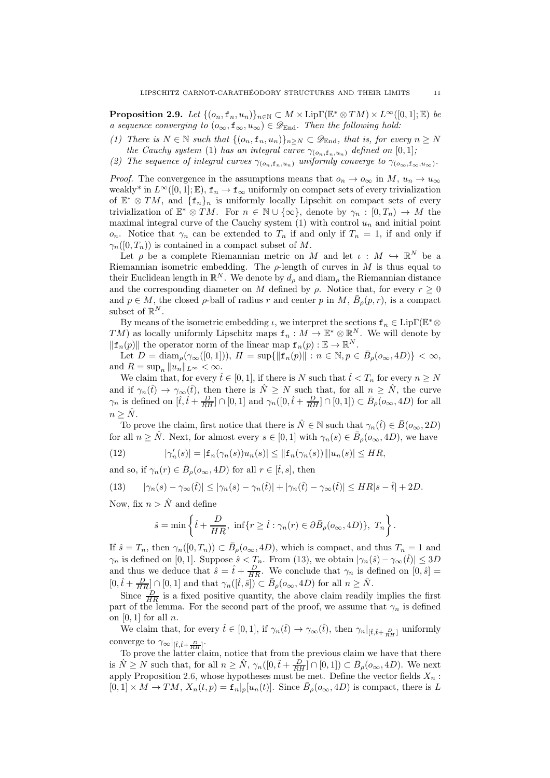<span id="page-10-0"></span>**Proposition 2.9.** Let  $\{(o_n, \mathbf{f}_n, u_n)\}_{n \in \mathbb{N}} \subset M \times \text{Lip}\Gamma(\mathbb{E}^* \otimes TM) \times L^{\infty}([0, 1]; \mathbb{E})$  be a sequence converging to  $(o_\infty, \mathbf{f}_\infty, u_\infty) \in \mathscr{D}_{\text{End}}$ . Then the following hold:

- <span id="page-10-2"></span>(1) There is  $N \in \mathbb{N}$  such that  $\{(o_n, \mathbf{f}_n, u_n)\}_{n \geq N} \subset \mathscr{D}_{\text{End}}$ , that is, for every  $n \geq N$ the Cauchy system [\(1\)](#page-1-2) has an integral curve  $\gamma_{(o_n,f_n,u_n)}$  defined on [0,1];
- <span id="page-10-3"></span>(2) The sequence of integral curves  $\gamma_{(o_n, f_n, u_n)}$  uniformly converge to  $\gamma_{(o_\infty, f_\infty, u_\infty)}$ .

*Proof.* The convergence in the assumptions means that  $o_n \to o_\infty$  in  $M$ ,  $u_n \to u_\infty$ weakly<sup>\*</sup> in  $L^{\infty}([0,1];\mathbb{E}),$   $f_n \to f_{\infty}$  uniformly on compact sets of every trivialization of  $\mathbb{E}^* \otimes TM$ , and  $\{\mathbf{f}_n\}_n$  is uniformly locally Lipschit on compact sets of every trivialization of  $\mathbb{E}^* \otimes TM$ . For  $n \in \mathbb{N} \cup \{\infty\}$ , denote by  $\gamma_n : [0, T_n) \to M$  the maximal integral curve of the Cauchy system  $(1)$  with control  $u_n$  and initial point o<sub>n</sub>. Notice that  $\gamma_n$  can be extended to  $T_n$  if and only if  $T_n = 1$ , if and only if  $\gamma_n([0,T_n))$  is contained in a compact subset of M.

Let  $\rho$  be a complete Riemannian metric on M and let  $\iota : M \hookrightarrow \mathbb{R}^N$  be a Riemannian isometric embedding. The  $\rho$ -length of curves in M is thus equal to their Euclidean length in  $\mathbb{R}^N$ . We denote by  $d_{\rho}$  and  $\text{diam}_{\rho}$  the Riemannian distance and the corresponding diameter on M defined by  $\rho$ . Notice that, for every  $r \geq 0$ and  $p \in M$ , the closed  $\rho$ -ball of radius r and center p in M,  $\bar{B}_{\rho}(p,r)$ , is a compact subset of  $\mathbb{R}^N$ .

By means of the isometric embedding  $\iota$ , we interpret the sections  $f_n \in \text{Lip}\Gamma(\mathbb{E}^*\otimes$  $TM$ ) as locally uniformly Lipschitz maps  $f_n: M \to \mathbb{E}^* \otimes \mathbb{R}^N$ . We will denote by  $\|\mathbf{f}_n(p)\|$  the operator norm of the linear map  $\mathbf{f}_n(p): \mathbb{E} \to \mathbb{R}^N$ .

Let  $D = \text{diam}_{\rho}(\gamma_{\infty}([0,1]))$ ,  $H = \sup\{\|\mathbf{f}_n(p)\| : n \in \mathbb{N}, p \in \bar{B}_{\rho}(\mathfrak{o}_{\infty}, 4D)\} < \infty$ , and  $R = \sup_n ||u_n||_{L^{\infty}} < \infty$ .

We claim that, for every  $\hat{t} \in [0, 1]$ , if there is N such that  $\hat{t} < T_n$  for every  $n \geq N$ and if  $\gamma_n(\hat{t}) \to \gamma_\infty(\hat{t})$ , then there is  $\hat{N} \geq N$  such that, for all  $n \geq \hat{N}$ , the curve  $\gamma_n$  is defined on  $[\hat{t}, \hat{t} + \frac{D}{RH}] \cap [0,1]$  and  $\gamma_n([0, \hat{t} + \frac{D}{RH}] \cap [0,1]) \subset \bar{B}_{\rho}(\mathfrak{o}_{\infty}, 4D)$  for all  $n \geq \hat{N}$ .

To prove the claim, first notice that there is  $\hat{N} \in \mathbb{N}$  such that  $\gamma_n(\hat{t}) \in \bar{B}(o_{\infty}, 2D)$ for all  $n \geq \hat{N}$ . Next, for almost every  $s \in [0,1]$  with  $\gamma_n(s) \in \bar{B}_{\rho}(\overline{o}_{\infty}, 4D)$ , we have

(12) 
$$
|\gamma'_n(s)| = |\mathbf{f}_n(\gamma_n(s))u_n(s)| \leq ||\mathbf{f}_n(\gamma_n(s))|| |u_n(s)| \leq HR,
$$

and so, if  $\gamma_n(r) \in \bar{B}_{\rho}(o_{\infty}, 4D)$  for all  $r \in [\hat{t}, s]$ , then

(13) 
$$
|\gamma_n(s) - \gamma_\infty(\hat{t})| \le |\gamma_n(s) - \gamma_n(\hat{t})| + |\gamma_n(\hat{t}) - \gamma_\infty(\hat{t})| \le HR|s - \hat{t}| + 2D.
$$

Now, fix  $n > \hat{N}$  and define

<span id="page-10-1"></span>
$$
\hat{s} = \min\left\{\hat{t} + \frac{D}{HR}, \ \inf\{r \ge \hat{t} : \gamma_n(r) \in \partial \bar{B}_\rho(o_\infty, 4D)\}, \ T_n\right\}.
$$

If  $\hat{s} = T_n$ , then  $\gamma_n([0, T_n)) \subset \bar{B}_{\rho}(\sigma_\infty, 4D)$ , which is compact, and thus  $T_n = 1$  and  $\gamma_n$  is defined on [0, 1]. Suppose  $\hat{s} < T_n$ . From [\(13\)](#page-10-1), we obtain  $|\gamma_n(\hat{s}) - \gamma_\infty(\hat{t})| \le 3D$ and thus we deduce that  $\hat{s} = \hat{t} + \frac{D}{HR}$ . We conclude that  $\gamma_n$  is defined on  $[0, \hat{s}] =$  $[0, \hat{t} + \frac{D}{HR}] \cap [0,1]$  and that  $\gamma_n([\hat{t}, \hat{s}]) \subset \bar{B}_{\rho}(o_{\infty}, 4D)$  for all  $n \geq \hat{N}$ .

Since  $\frac{D}{HR}$  is a fixed positive quantity, the above claim readily implies the first part of the lemma. For the second part of the proof, we assume that  $\gamma_n$  is defined on  $[0, 1]$  for all n.

We claim that, for every  $\hat{t} \in [0,1]$ , if  $\gamma_n(\hat{t}) \to \gamma_\infty(\hat{t})$ , then  $\gamma_n|_{[\hat{t},\hat{t}+\frac{D}{RH}]}$  uniformly converge to  $\gamma_{\infty}|_{[\hat{t},\hat{t}+\frac{D}{RH}]}$ .

To prove the latter claim, notice that from the previous claim we have that there is  $\hat{N} \geq N$  such that, for all  $n \geq \hat{N}$ ,  $\gamma_n([0, \hat{t} + \frac{D}{RH}] \cap [0, 1]) \subset \bar{B}_{\rho}(o_{\infty}, 4D)$ . We next apply Proposition [2.6,](#page-8-2) whose hypotheses must be met. Define the vector fields  $X_n$ :  $[0,1] \times M \to TM$ ,  $X_n(t,p) = \mathbf{f}_n|_p[u_n(t)]$ . Since  $\bar{B}_\rho(o_\infty, 4D)$  is compact, there is L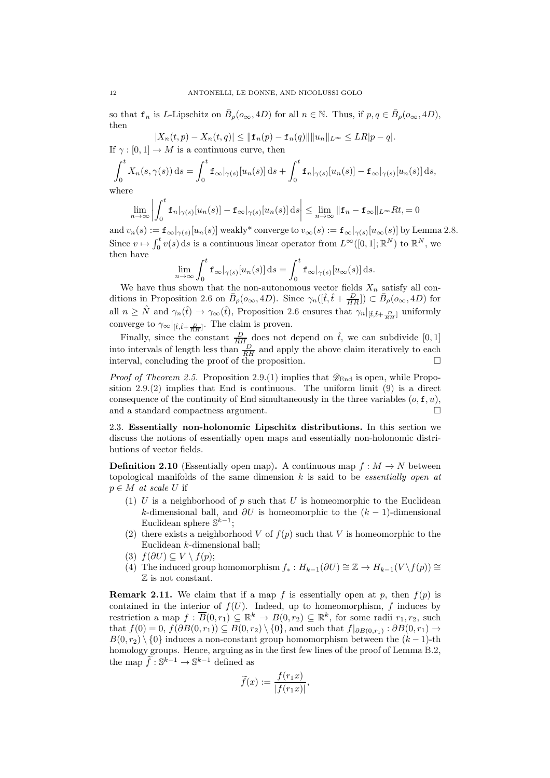so that  $f_n$  is L-Lipschitz on  $\bar{B}_{\rho}(o_{\infty}, 4D)$  for all  $n \in \mathbb{N}$ . Thus, if  $p, q \in \bar{B}_{\rho}(o_{\infty}, 4D)$ , then

 $|X_n(t, p) - X_n(t, q)| \leq ||\mathbf{f}_n(p) - \mathbf{f}_n(q)|| ||u_n||_{L^{\infty}} \leq LR|p - q|.$ If  $\gamma : [0, 1] \to M$  is a continuous curve, then

$$
\int_0^t X_n(s,\gamma(s)) ds = \int_0^t \mathbf{f}_{\infty}|_{\gamma(s)}[u_n(s)] ds + \int_0^t \mathbf{f}_n|_{\gamma(s)}[u_n(s)] - \mathbf{f}_{\infty}|_{\gamma(s)}[u_n(s)] ds,
$$
  
where

where

$$
\lim_{n \to \infty} \left| \int_0^t \mathbf{f}_n|_{\gamma(s)}[u_n(s)] - \mathbf{f}_{\infty}|_{\gamma(s)}[u_n(s)] \, ds \right| \leq \lim_{n \to \infty} \|\mathbf{f}_n - \mathbf{f}_{\infty}\|_{L^{\infty}} Rt = 0
$$

and  $v_n(s) := \mathbf{f}_{\infty}|_{\gamma(s)}[u_n(s)]$  weakly\* converge to  $v_{\infty}(s) := \mathbf{f}_{\infty}|_{\gamma(s)}[u_{\infty}(s)]$  by Lemma [2.8.](#page-9-1) Since  $v \mapsto \int_0^t v(s) ds$  is a continuous linear operator from  $L^{\infty}([0,1]; \mathbb{R}^N)$  to  $\mathbb{R}^N$ , we then have

$$
\lim_{n \to \infty} \int_0^t \mathbf{f}_{\infty}|_{\gamma(s)}[u_n(s)] ds = \int_0^t \mathbf{f}_{\infty}|_{\gamma(s)}[u_{\infty}(s)] ds.
$$

We have thus shown that the non-autonomous vector fields  $X_n$  satisfy all con-ditions in Proposition [2.6](#page-8-2) on  $\bar{B}_{\rho}(\rho_{\infty}, 4D)$ . Since  $\gamma_n([\hat{t}, \hat{t}+\frac{D}{HR}]) \subset \bar{B}_{\rho}(\rho_{\infty}, 4D)$  for all  $n \geq \hat{N}$  and  $\gamma_n(\hat{t}) \to \gamma_\infty(\hat{t})$ , Proposition [2.6](#page-8-2) ensures that  $\gamma_n|_{[\hat{t},\hat{t}+\frac{D}{RH}]}$  uniformly converge to  $\gamma_{\infty}|_{[\hat{t},\hat{t}+\frac{D}{RH}]}.$  The claim is proven.

Finally, since the constant  $\frac{D}{RH}$  does not depend on  $\hat{t}$ , we can subdivide [0, 1] into intervals of length less than  $\frac{D}{RH}$  and apply the above claim iteratively to each interval, concluding the proof of the proposition.  $\Box$ 

*Proof of Theorem [2.5.](#page-8-1)* Proposition [2.9](#page-10-0)[.\(1\)](#page-10-2) implies that  $\mathscr{D}_{\text{End}}$  is open, while Proposition [2.9](#page-10-0)[.\(2\)](#page-10-3) implies that End is continuous. The uniform limit [\(9\)](#page-8-4) is a direct consequence of the continuity of End simultaneously in the three variables  $(o, f, u)$ , and a standard compactness argument.  $\hfill \square$ 

<span id="page-11-0"></span>2.3. Essentially non-holonomic Lipschitz distributions. In this section we discuss the notions of essentially open maps and essentially non-holonomic distributions of vector fields.

<span id="page-11-1"></span>**Definition 2.10** (Essentially open map). A continuous map  $f : M \to N$  between topological manifolds of the same dimension  $k$  is said to be *essentially open at*  $p \in M$  at scale U if

- (1) U is a neighborhood of p such that U is homeomorphic to the Euclidean k-dimensional ball, and  $\partial U$  is homeomorphic to the  $(k-1)$ -dimensional Euclidean sphere  $\mathbb{S}^{k-1}$ ;
- (2) there exists a neighborhood V of  $f(p)$  such that V is homeomorphic to the Euclidean k-dimensional ball;
- (3)  $f(\partial U) \subseteq V \setminus f(p);$
- (4) The induced group homomorphism  $f_* : H_{k-1}(\partial U) \cong \mathbb{Z} \to H_{k-1}(V \setminus f(p)) \cong$ Z is not constant.

<span id="page-11-2"></span>**Remark 2.11.** We claim that if a map f is essentially open at p, then  $f(p)$  is contained in the interior of  $f(U)$ . Indeed, up to homeomorphism, f induces by restriction a map  $f: \overline{B}(0,r_1) \subseteq \mathbb{R}^k \to B(0,r_2) \subseteq \mathbb{R}^k$ , for some radii  $r_1, r_2$ , such that  $f(0) = 0$ ,  $f(\partial B(0,r_1)) \subseteq B(0,r_2) \setminus \{0\}$ , and such that  $f|_{\partial B(0,r_1)} : \partial B(0,r_1) \to$  $B(0, r<sub>2</sub>) \setminus \{0\}$  induces a non-constant group homomorphism between the  $(k-1)$ -th homology groups. Hence, arguing as in the first few lines of the proof of Lemma [B.2,](#page-38-0) the map  $\widetilde{f}: \mathbb{S}^{k-1} \to \mathbb{S}^{k-1}$  defined as

$$
\widetilde{f}(x) := \frac{f(r_1 x)}{|f(r_1 x)|},
$$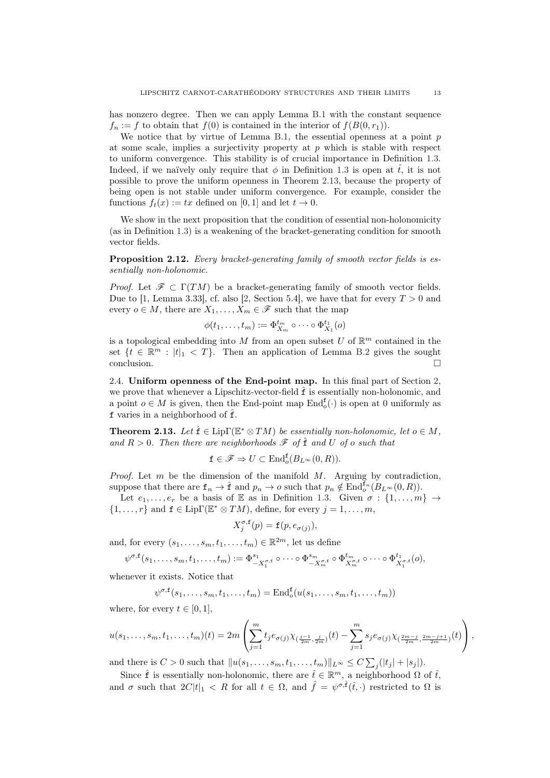has nonzero degree. Then we can apply Lemma [B.1](#page-37-2) with the constant sequence  $f_n := f$  to obtain that  $f(0)$  is contained in the interior of  $f(B(0, r_1))$ .

We notice that by virtue of Lemma [B.1,](#page-37-2) the essential openness at a point  $p$ at some scale, implies a surjectivity property at  $p$  which is stable with respect to uniform convergence. This stability is of crucial importance in Definition [1.3.](#page-3-1) Indeed, if we naïvely only require that  $\phi$  in Definition [1.3](#page-3-1) is open at  $\hat{t}$ , it is not possible to prove the uniform openness in Theorem [2.13,](#page-12-2) because the property of being open is not stable under uniform convergence. For example, consider the functions  $f_t(x) := tx$  defined on [0, 1] and let  $t \to 0$ .

We show in the next proposition that the condition of essential non-holonomicity (as in Definition [1.3\)](#page-3-1) is a weakening of the bracket-generating condition for smooth vector fields.

<span id="page-12-1"></span>**Proposition 2.12.** Every bracket-generating family of smooth vector fields is essentially non-holonomic.

*Proof.* Let  $\mathscr{F} \subset \Gamma(TM)$  be a bracket-generating family of smooth vector fields. Due to [\[1](#page-44-2), Lemma 3.33], cf. also [\[2,](#page-44-3) Section 5.4], we have that for every  $T > 0$  and every  $o \in M$ , there are  $X_1, \ldots, X_m \in \mathscr{F}$  such that the map

$$
\phi(t_1,\ldots,t_m):=\Phi_{X_m}^{t_m}\circ\cdots\circ\Phi_{X_1}^{t_1}(o)
$$

is a topological embedding into M from an open subset U of  $\mathbb{R}^m$  contained in the set  $\{t \in \mathbb{R}^m : |t|_1 < T\}$ . Then an application of Lemma [B.2](#page-38-0) gives the sought conclusion.

<span id="page-12-0"></span>2.4. Uniform openness of the End-point map. In this final part of Section [2,](#page-6-0) we prove that whenever a Lipschitz-vector-field  $\hat{f}$  is essentially non-holonomic, and a point  $o \in M$  is given, then the End-point map  $\text{End}_{o}^{\mathbf{f}}(\cdot)$  is open at 0 uniformly as f varies in a neighborhood of  $\hat{f}$ .

<span id="page-12-2"></span>**Theorem 2.13.** Let  $\hat{\mathbf{f}} \in \text{Lip}\Gamma(\mathbb{E}^* \otimes TM)$  be essentially non-holonomic, let  $o \in M$ , and  $R > 0$ . Then there are neighborhoods  $\mathscr F$  of  $\hat{\mathbf{f}}$  and U of o such that

$$
\mathbf{f} \in \mathscr{F} \Rightarrow U \subset \text{End}^{\mathbf{f}}_{o}(B_{L^{\infty}}(0,R)).
$$

*Proof.* Let  $m$  be the dimension of the manifold  $M$ . Arguing by contradiction, suppose that there are  $f_n \to \hat{f}$  and  $p_n \to o$  such that  $p_n \notin \text{End}_{o}^{\tilde{f}_n}(\tilde{B}_{L^{\infty}}(0,R)).$ 

Let  $e_1, \ldots, e_r$  be a basis of E as in Definition [1.3.](#page-3-1) Given  $\sigma : \{1, \ldots, m\} \rightarrow$  $\{1,\ldots,r\}$  and  $f \in \text{Lip}\Gamma(\mathbb{E}^* \otimes TM)$ , define, for every  $j = 1,\ldots,m$ ,

$$
X_j^{\sigma, \mathbf{f}}(p) = \mathbf{f}(p, e_{\sigma(j)}),
$$

and, for every  $(s_1, \ldots, s_m, t_1, \ldots, t_m) \in \mathbb{R}^{2m}$ , let us define

$$
\psi^{\sigma,\mathbf{f}}(s_1,\ldots,s_m,t_1,\ldots,t_m):=\Phi_{-X_1^{\sigma,\mathbf{f}}}^{s_1}\circ\cdots\circ\Phi_{-X_m^{\sigma,\mathbf{f}}}^{s_m}\circ\Phi_{X_m^{\sigma,\mathbf{f}}}^{t_m}\circ\cdots\circ\Phi_{X_1^{\sigma,\mathbf{f}}}^{t_1}(o),
$$

whenever it exists. Notice that

$$
\psi^{\sigma,\mathbf{f}}(s_1,\ldots,s_m,t_1,\ldots,t_m)=\mathrm{End}^{\mathbf{f}}_{\sigma}(u(s_1,\ldots,s_m,t_1,\ldots,t_m))
$$

where, for every  $t \in [0, 1]$ ,

$$
u(s_1,\ldots,s_m,t_1,\ldots,t_m)(t) = 2m\left(\sum_{j=1}^m t_j e_{\sigma(j)} \chi_{(\frac{j-1}{2m},\frac{j}{2m})}(t) - \sum_{j=1}^m s_j e_{\sigma(j)} \chi_{(\frac{2m-j}{2m},\frac{2m-j+1}{2m})}(t)\right),
$$

and there is  $C > 0$  such that  $||u(s_1, \ldots, s_m, t_1, \ldots, t_m)||_{L^{\infty}} \leq C \sum_j (|t_j| + |s_j|).$ 

Since  $\hat{\mathbf{f}}$  is essentially non-holonomic, there are  $\hat{t} \in \mathbb{R}^m$ , a neighborhood  $\Omega$  of  $\hat{t}$ , and  $\sigma$  such that  $2C|t|_1 \leq R$  for all  $t \in \Omega$ , and  $\hat{f} = \psi^{\sigma, \hat{f}}(\hat{t}, \cdot)$  restricted to  $\Omega$  is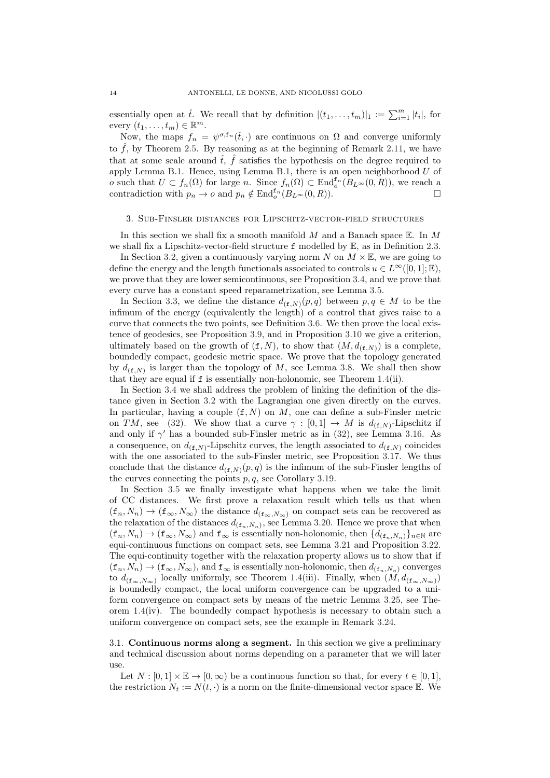essentially open at  $\hat{t}$ . We recall that by definition  $|(t_1,\ldots,t_m)|_1 := \sum_{i=1}^m |t_i|$ , for every  $(t_1, \ldots, t_m) \in \mathbb{R}^m$ .

Now, the maps  $f_n = \psi^{\sigma, \mathbf{f}_n}(\hat{t}, \cdot)$  are continuous on  $\Omega$  and converge uniformly to  $\hat{f}$ , by Theorem [2.5.](#page-8-1) By reasoning as at the beginning of Remark [2.11,](#page-11-2) we have that at some scale around  $\hat{t}$ ,  $\hat{f}$  satisfies the hypothesis on the degree required to apply Lemma [B.1.](#page-37-2) Hence, using Lemma [B.1,](#page-37-2) there is an open neighborhood  $U$  of o such that  $U \subset f_n(\Omega)$  for large n. Since  $f_n(\Omega) \subset \text{End}^{f_n}_o(B_{L^{\infty}}(0,R))$ , we reach a contradiction with  $p_n \to o$  and  $p_n \notin \text{End}_o^{\mathbf{f}_n}(B_{L^{\infty}}(0,R)).$ 

# <span id="page-13-0"></span>3. Sub-Finsler distances for Lipschitz-vector-field structures

In this section we shall fix a smooth manifold  $M$  and a Banach space  $E$ . In  $M$ we shall fix a Lipschitz-vector-field structure f modelled by E, as in Definition [2.3.](#page-7-1)

In Section [3.2,](#page-16-0) given a continuously varying norm  $N$  on  $M \times \mathbb{E}$ , we are going to define the energy and the length functionals associated to controls  $u \in L^{\infty}([0,1]; \mathbb{E}),$ we prove that they are lower semicontinuous, see Proposition [3.4,](#page-16-1) and we prove that every curve has a constant speed reparametrization, see Lemma [3.5.](#page-18-1)

In Section [3.3,](#page-18-0) we define the distance  $d_{(f,N)}(p,q)$  between  $p,q \in M$  to be the infimum of the energy (equivalently the length) of a control that gives raise to a curve that connects the two points, see Definition [3.6.](#page-18-2) We then prove the local existence of geodesics, see Proposition [3.9,](#page-20-0) and in Proposition [3.10](#page-20-1) we give a criterion, ultimately based on the growth of  $(f, N)$ , to show that  $(M, d_{(f,N)})$  is a complete, boundedly compact, geodesic metric space. We prove that the topology generated by  $d_{(\mathbf{f},N)}$  is larger than the topology of M, see Lemma [3.8.](#page-19-0) We shall then show that they are equal if f is essentially non-holonomic, see Theorem [1.4\(](#page-3-0)ii).

In Section [3.4](#page-21-0) we shall address the problem of linking the definition of the distance given in Section [3.2](#page-16-0) with the Lagrangian one given directly on the curves. In particular, having a couple  $(f, N)$  on M, one can define a sub-Finsler metric on TM, see [\(32\)](#page-21-1). We show that a curve  $\gamma : [0,1] \to M$  is  $d_{(\mathbf{f},N)}$ -Lipschitz if and only if  $\gamma'$  has a bounded sub-Finsler metric as in [\(32\)](#page-21-1), see Lemma [3.16.](#page-24-0) As a consequence, on  $d_{(\mathbf{f},N)}$ -Lipschitz curves, the length associated to  $d_{(\mathbf{f},N)}$  coincides with the one associated to the sub-Finsler metric, see Proposition [3.17.](#page-24-1) We thus conclude that the distance  $d_{(f,N)}(p,q)$  is the infimum of the sub-Finsler lengths of the curves connecting the points  $p, q$ , see Corollary [3.19.](#page-26-1)

In Section [3.5](#page-26-0) we finally investigate what happens when we take the limit of CC distances. We first prove a relaxation result which tells us that when  $(f_n, N_n) \to (f_\infty, N_\infty)$  the distance  $d_{(f_\infty, N_\infty)}$  on compact sets can be recovered as the relaxation of the distances  $d_{(f_n,N_n)}$ , see Lemma [3.20.](#page-26-2) Hence we prove that when  $(f_n, N_n) \to (f_\infty, N_\infty)$  and  $f_\infty$  is essentially non-holonomic, then  $\{d_{(f_n, N_n)}\}_{n\in\mathbb{N}}$  are equi-continuous functions on compact sets, see Lemma [3.21](#page-27-0) and Proposition [3.22.](#page-28-0) The equi-continuity together with the relaxation property allows us to show that if  $(f_n, N_n) \to (f_\infty, N_\infty)$ , and  $f_\infty$  is essentially non-holonomic, then  $d_{(f_n, N_n)}$  converges to  $d_{(\mathbf{f}_{\infty},N_{\infty})}$  locally uniformly, see Theorem [1.4\(](#page-3-0)iii). Finally, when  $(M, d_{(\mathbf{f}_{\infty},N_{\infty})})$ is boundedly compact, the local uniform convergence can be upgraded to a uniform convergence on compact sets by means of the metric Lemma [3.25,](#page-29-1) see Theorem  $1.4$ (iv). The boundedly compact hypothesis is necessary to obtain such a uniform convergence on compact sets, see the example in Remark [3.24.](#page-29-0)

<span id="page-13-1"></span>3.1. Continuous norms along a segment. In this section we give a preliminary and technical discussion about norms depending on a parameter that we will later use.

Let  $N : [0,1] \times \mathbb{E} \to [0,\infty)$  be a continuous function so that, for every  $t \in [0,1]$ , the restriction  $N_t := N(t, \cdot)$  is a norm on the finite-dimensional vector space  $\mathbb{E}$ . We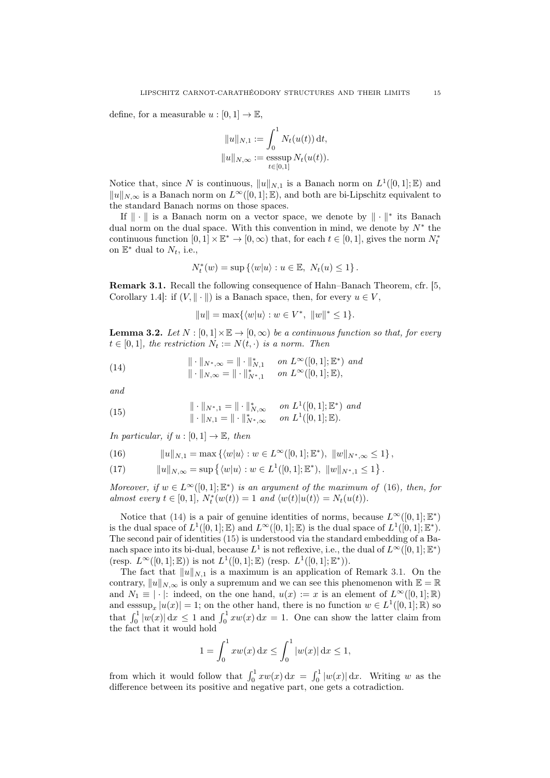define, for a measurable  $u : [0, 1] \to \mathbb{E}$ ,

$$
||u||_{N,1} := \int_0^1 N_t(u(t)) dt,
$$
  

$$
||u||_{N,\infty} := \operatorname{esssup}_{t \in [0,1]} N_t(u(t)).
$$

Notice that, since N is continuous,  $||u||_{N,1}$  is a Banach norm on  $L^1([0,1];\mathbb{E})$  and  $||u||_{N,\infty}$  is a Banach norm on  $L^{\infty}([0, 1]; \mathbb{E})$ , and both are bi-Lipschitz equivalent to the standard Banach norms on those spaces.

If  $\|\cdot\|$  is a Banach norm on a vector space, we denote by  $\|\cdot\|^{*}$  its Banach dual norm on the dual space. With this convention in mind, we denote by  $N^*$  the continuous function  $[0,1] \times \mathbb{E}^* \to [0,\infty)$  that, for each  $t \in [0,1]$ , gives the norm  $N_t^*$ on  $\mathbb{E}^*$  dual to  $N_t$ , i.e.,

$$
N_t^*(w) = \sup \left\{ \langle w | u \rangle : u \in \mathbb{E}, N_t(u) \le 1 \right\}.
$$

<span id="page-14-3"></span>Remark 3.1. Recall the following consequence of Hahn–Banach Theorem, cfr. [\[5](#page-45-6), Corollary 1.4]: if  $(V, \|\cdot\|)$  is a Banach space, then, for every  $u \in V$ ,

<span id="page-14-1"></span>
$$
||u|| = \max\{\langle w|u\rangle : w \in V^*,\ ||w\|^* \le 1\}.
$$

<span id="page-14-4"></span>**Lemma 3.2.** Let  $N : [0,1] \times \mathbb{E} \to [0,\infty)$  be a continuous function so that, for every  $t \in [0, 1]$ , the restriction  $N_t := N(t, \cdot)$  is a norm. Then

(14) 
$$
\|\cdot\|_{N^*,\infty} = \|\cdot\|_{N,1}^* \quad on \ L^{\infty}([0,1];\mathbb{E}^*) \ and \|\cdot\|_{N,\infty} = \|\cdot\|_{N^*,1}^* \quad on \ L^{\infty}([0,1];\mathbb{E}),
$$

and

<span id="page-14-2"></span>(15) 
$$
\|\cdot\|_{N^*,1} = \|\cdot\|_{N,\infty}^* \quad on \ L^1([0,1];\mathbb{E}^*) \ and \|\cdot\|_{N,1} = \|\cdot\|_{N^*,\infty}^* \quad on \ L^1([0,1];\mathbb{E}).
$$

In particular, if  $u : [0, 1] \to \mathbb{E}$ , then

<span id="page-14-0"></span>(16) 
$$
||u||_{N,1} = \max \{ \langle w|u \rangle : w \in L^{\infty}([0,1];\mathbb{E}^*), ||w||_{N^*,\infty} \leq 1 \},
$$

<span id="page-14-5"></span>(17) 
$$
||u||_{N,\infty} = \sup \left\{ \langle w|u \rangle : w \in L^1([0,1];\mathbb{E}^*), ||w||_{N^*,1} \leq 1 \right\}.
$$

Moreover, if  $w \in L^{\infty}([0,1];\mathbb{E}^*)$  is an argument of the maximum of [\(16\)](#page-14-0), then, for almost every  $t \in [0, 1]$ ,  $N_t^*(w(t)) = 1$  and  $\langle w(t) | u(t) \rangle = N_t(u(t))$ .

Notice that [\(14\)](#page-14-1) is a pair of genuine identities of norms, because  $L^{\infty}([0,1];\mathbb{E}^*)$ is the dual space of  $L^1([0,1];\mathbb{E})$  and  $L^{\infty}([0,1];\mathbb{E})$  is the dual space of  $L^1([0,1];\mathbb{E}^*)$ . The second pair of identities [\(15\)](#page-14-2) is understood via the standard embedding of a Banach space into its bi-dual, because  $L^1$  is not reflexive, i.e., the dual of  $L^{\infty}([0,1];\mathbb{E}^*)$ (resp.  $L^{\infty}([0,1];\mathbb{E}))$  is not  $L^{1}([0,1];\mathbb{E})$  (resp.  $L^{1}([0,1];\mathbb{E}^{*}))$ .

The fact that  $||u||_{N,1}$  is a maximum is an application of Remark [3.1.](#page-14-3) On the contrary,  $||u||_{N,\infty}$  is only a supremum and we can see this phenomenon with  $\mathbb{E} = \mathbb{R}$ and  $N_1 \equiv |\cdot|$ : indeed, on the one hand,  $u(x) := x$  is an element of  $L^{\infty}([0,1];\mathbb{R})$ and  $\operatorname{esssup}_x |u(x)| = 1$ ; on the other hand, there is no function  $w \in L^1([0,1];\mathbb{R})$  so that  $\int_0^1 |w(x)| dx \le 1$  and  $\int_0^1 xw(x) dx = 1$ . One can show the latter claim from the fact that it would hold

$$
1 = \int_0^1 xw(x) \, dx \le \int_0^1 |w(x)| \, dx \le 1,
$$

from which it would follow that  $\int_0^1 x w(x) dx = \int_0^1 |w(x)| dx$ . Writing w as the difference between its positive and negative part, one gets a cotradiction.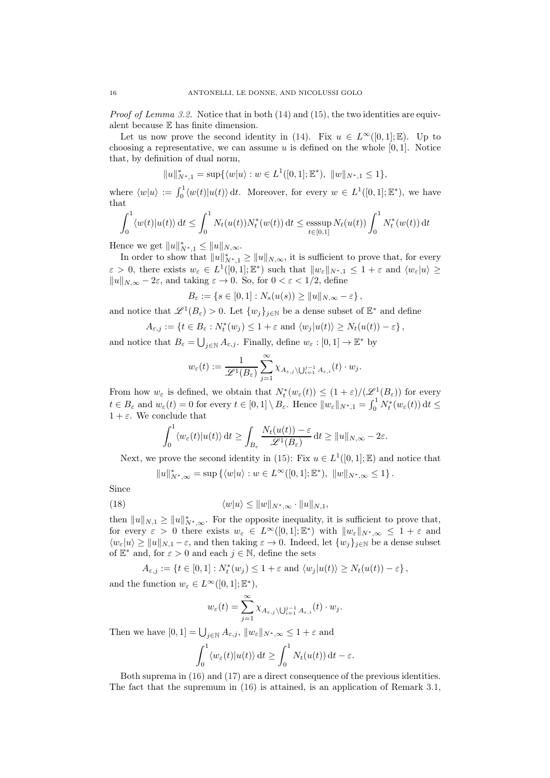Proof of Lemma [3.2.](#page-14-4) Notice that in both [\(14\)](#page-14-1) and [\(15\)](#page-14-2), the two identities are equivalent because E has finite dimension.

Let us now prove the second identity in [\(14\)](#page-14-1). Fix  $u \in L^{\infty}([0,1];\mathbb{E})$ . Up to choosing a representative, we can assume u is defined on the whole  $[0, 1]$ . Notice that, by definition of dual norm,

$$
||u||_{N^*,1}^* = \sup \{ \langle w|u \rangle : w \in L^1([0,1];\mathbb{E}^*), ||w||_{N^*,1} \le 1 \},\
$$

where  $\langle w|u\rangle := \int_0^1 \langle w(t)|u(t)\rangle dt$ . Moreover, for every  $w \in L^1([0,1];\mathbb{E}^*)$ , we have that

$$
\int_0^1 \langle w(t) | u(t) \rangle \, \mathrm{d}t \le \int_0^1 N_t(u(t)) N_t^*(w(t)) \, \mathrm{d}t \le \operatorname{esssup}_{t \in [0,1]} N_t(u(t)) \int_0^1 N_t^*(w(t)) \, \mathrm{d}t
$$

Hence we get  $||u||_{N^*,1}^* \le ||u||_{N,\infty}$ .

In order to show that  $||u||^*_{N^*,1} \ge ||u||_{N,\infty}$ , it is sufficient to prove that, for every  $\varepsilon > 0$ , there exists  $w_{\varepsilon} \in L^1([0,1]; \mathbb{E}^*)$  such that  $||w_{\varepsilon}||_{N^*,1} \leq 1+\varepsilon$  and  $\langle w_{\varepsilon}|u \rangle \geq$  $||u||_{N,\infty} - 2\varepsilon$ , and taking  $\varepsilon \to 0$ . So, for  $0 < \varepsilon < 1/2$ , define

$$
B_{\varepsilon} := \{ s \in [0,1] : N_s(u(s)) \ge ||u||_{N,\infty} - \varepsilon \},\
$$

and notice that  $\mathscr{L}^1(B_\varepsilon) > 0$ . Let  $\{w_j\}_{j \in \mathbb{N}}$  be a dense subset of  $\mathbb{E}^*$  and define

$$
A_{\varepsilon,j} := \left\{ t \in B_{\varepsilon} : N_t^*(w_j) \leq 1 + \varepsilon \text{ and } \langle w_j | u(t) \rangle \geq N_t(u(t)) - \varepsilon \right\},\
$$

and notice that  $B_{\varepsilon} = \bigcup_{j \in \mathbb{N}} A_{\varepsilon,j}$ . Finally, define  $w_{\varepsilon} : [0,1] \to \mathbb{E}^*$  by

$$
w_\varepsilon(t):=\frac{1}{\mathscr{L}^1(B_\varepsilon)}\sum_{j=1}^\infty \chi_{A_{\varepsilon,j}\backslash \bigcup_{i=1}^{j-1}A_{\varepsilon,i}}(t)\cdot w_j.
$$

From how  $w_{\varepsilon}$  is defined, we obtain that  $N_t^*(w_{\varepsilon}(t)) \leq (1+\varepsilon)/(\mathscr{L}^1(B_{\varepsilon}))$  for every  $t \in B_{\varepsilon}$  and  $w_{\varepsilon}(t) = 0$  for every  $t \in [0,1] \setminus B_{\varepsilon}$ . Hence  $||w_{\varepsilon}||_{N^*,1} = \int_0^1 N_t^*(w_{\varepsilon}(t)) dt \le$  $1 + \varepsilon$ . We conclude that

$$
\int_0^1 \langle w_\varepsilon(t) | u(t) \rangle \, \mathrm{d}t \ge \int_{B_\varepsilon} \frac{N_t(u(t)) - \varepsilon}{\mathscr{L}^1(B_\varepsilon)} \, \mathrm{d}t \ge \|u\|_{N,\infty} - 2\varepsilon.
$$

Next, we prove the second identity in [\(15\)](#page-14-2): Fix  $u \in L^1([0,1];\mathbb{E})$  and notice that

<span id="page-15-0"></span>
$$
||u||_{N^*,\infty}^* = \sup \left\{ \langle w|u \rangle : w \in L^{\infty}([0,1];\mathbb{E}^*), ||w||_{N^*,\infty} \leq 1 \right\}.
$$

Since

(18) 
$$
\langle w|u\rangle \leq ||w||_{N^*,\infty} \cdot ||u||_{N,1},
$$

then  $||u||_{N,1} \ge ||u||_{N^*,\infty}^*$ . For the opposite inequality, it is sufficient to prove that, for every  $\varepsilon > 0$  there exists  $w_{\varepsilon} \in L^{\infty}([0,1];\mathbb{E}^*)$  with  $||w_{\varepsilon}||_{N^*,\infty} \leq 1+\varepsilon$  and  $\langle w_{\varepsilon}|u\rangle \ge ||u||_{N,1} - \varepsilon$ , and then taking  $\varepsilon \to 0$ . Indeed, let  $\{w_{j}\}_{j\in\mathbb{N}}$  be a dense subset of  $\mathbb{E}^*$  and, for  $\varepsilon > 0$  and each  $j \in \mathbb{N}$ , define the sets

$$
A_{\varepsilon,j} := \left\{ t \in [0,1] : N_t^*(w_j) \leq 1 + \varepsilon \text{ and } \langle w_j | u(t) \rangle \geq N_t(u(t)) - \varepsilon \right\},\
$$

and the function  $w_{\varepsilon} \in L^{\infty}([0,1];\mathbb{E}^*),$ 

 $\cdot$ 

$$
w_{\varepsilon}(t) = \sum_{j=1}^{\infty} \chi_{A_{\varepsilon,j}} \setminus \bigcup_{i=1}^{j-1} A_{\varepsilon,i}(t) \cdot w_j.
$$

Then we have  $[0,1] = \bigcup_{j \in \mathbb{N}} A_{\varepsilon,j}$ ,  $||w_{\varepsilon}||_{N^*,\infty} \leq 1 + \varepsilon$  and

$$
\int_0^1 \langle w_\varepsilon(t) | u(t) \rangle \, \mathrm{d}t \ge \int_0^1 N_t(u(t)) \, \mathrm{d}t - \varepsilon.
$$

Both suprema in [\(16\)](#page-14-0) and [\(17\)](#page-14-5) are a direct consequence of the previous identities. The fact that the supremum in [\(16\)](#page-14-0) is attained, is an application of Remark [3.1,](#page-14-3)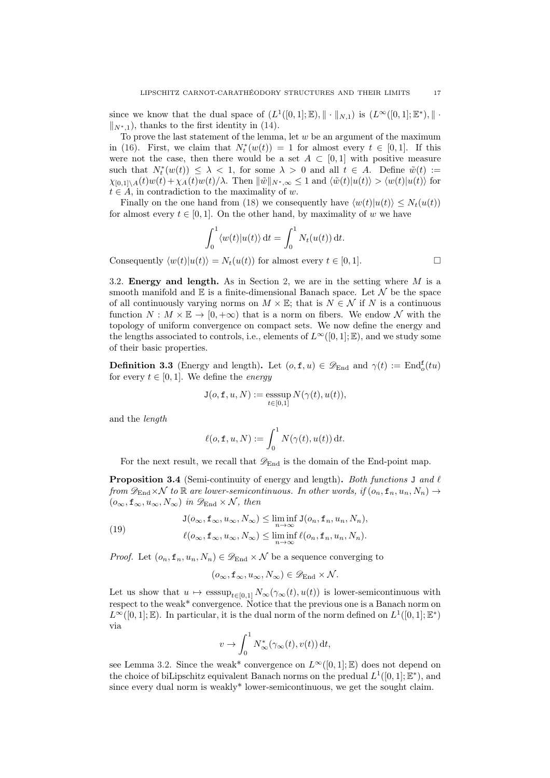since we know that the dual space of  $(L^1([0,1];\mathbb{E}),\|\cdot\|_{N,1})$  is  $(L^{\infty}([0,1];\mathbb{E}^*),\|\cdot\|_{N,1})$  $\|N^*_{n,1}\|$ , thanks to the first identity in [\(14\)](#page-14-1).

To prove the last statement of the lemma, let  $w$  be an argument of the maximum in [\(16\)](#page-14-0). First, we claim that  $N_t^*(w(t)) = 1$  for almost every  $t \in [0,1]$ . If this were not the case, then there would be a set  $A \subset [0,1]$  with positive measure such that  $N_t^*(w(t)) \leq \lambda < 1$ , for some  $\lambda > 0$  and all  $t \in A$ . Define  $\tilde{w}(t) :=$  $\chi_{[0,1]\setminus A}(t)w(t) + \chi_A(t)w(t)/\lambda$ . Then  $\|\tilde{w}\|_{N^*,\infty} \leq 1$  and  $\langle \tilde{w}(t)|u(t)\rangle > \langle w(t)|u(t)\rangle$  for  $t \in A$ , in contradiction to the maximality of w.

Finally on the one hand from [\(18\)](#page-15-0) we consequently have  $\langle w(t)|u(t)\rangle \leq N_t(u(t))$ for almost every  $t \in [0, 1]$ . On the other hand, by maximality of w we have

$$
\int_0^1 \langle w(t) | u(t) \rangle dt = \int_0^1 N_t(u(t)) dt.
$$
  
Consequently  $\langle w(t) | u(t) \rangle = N_t(u(t))$  for almost every  $t \in [0, 1]$ .

<span id="page-16-0"></span>3.2. Energy and length. As in Section [2,](#page-6-0) we are in the setting where  $M$  is a

smooth manifold and  $E$  is a finite-dimensional Banach space. Let  $\mathcal N$  be the space of all continuously varying norms on  $M \times \mathbb{E}$ ; that is  $N \in \mathcal{N}$  if N is a continuous function  $N : M \times \mathbb{E} \to [0, +\infty)$  that is a norm on fibers. We endow N with the topology of uniform convergence on compact sets. We now define the energy and the lengths associated to controls, i.e., elements of  $L^{\infty}([0, 1]; \mathbb{E})$ , and we study some of their basic properties.

<span id="page-16-3"></span>**Definition 3.3** (Energy and length). Let  $(o, f, u) \in \mathscr{D}_{\text{End}}$  and  $\gamma(t) := \text{End}_{o}^{f}(tu)$ for every  $t \in [0, 1]$ . We define the *energy* 

$$
J(o, f, u, N) := \operatorname{esssup}_{t \in [0,1]} N(\gamma(t), u(t)),
$$

and the length

$$
\ell(o, \mathbf{f}, u, N) := \int_0^1 N(\gamma(t), u(t)) dt.
$$

For the next result, we recall that  $\mathscr{D}_{\text{End}}$  is the domain of the End-point map.

<span id="page-16-1"></span>**Proposition 3.4** (Semi-continuity of energy and length). Both functions J and  $\ell$ from  $\mathscr{D}_{\text{End}}\times\mathcal{N}$  to  $\mathbb R$  are lower-semicontinuous. In other words, if  $(o_n, \mathbf{f}_n, u_n, N_n) \to$  $(o_{\infty}, \mathbf{f}_{\infty}, u_{\infty}, N_{\infty})$  in  $\mathscr{D}_{\text{End}} \times \mathcal{N}$ , then

(19) 
$$
J(o_{\infty}, f_{\infty}, u_{\infty}, N_{\infty}) \leq \liminf_{n \to \infty} J(o_n, f_n, u_n, N_n),
$$

$$
\ell(o_{\infty}, f_{\infty}, u_{\infty}, N_{\infty}) \leq \liminf_{n \to \infty} \ell(o_n, f_n, u_n, N_n).
$$

*Proof.* Let  $(o_n, f_n, u_n, N_n) \in \mathscr{D}_{\text{End}} \times \mathcal{N}$  be a sequence converging to

<span id="page-16-2"></span>
$$
(o_{\infty}, \mathbf{f}_{\infty}, u_{\infty}, N_{\infty}) \in \mathscr{D}_{\text{End}} \times \mathcal{N}.
$$

Let us show that  $u \mapsto \operatorname{esssup}_{t\in[0,1]} N_\infty(\gamma_\infty(t), u(t))$  is lower-semicontinuous with respect to the weak\* convergence. Notice that the previous one is a Banach norm on  $L^{\infty}([0,1];\mathbb{E})$ . In particular, it is the dual norm of the norm defined on  $L^{1}([0,1];\mathbb{E}^{*})$ via

$$
v \to \int_0^1 N^*_{\infty}(\gamma_{\infty}(t), v(t)) dt,
$$

see Lemma [3.2.](#page-14-4) Since the weak\* convergence on  $L^{\infty}([0,1];\mathbb{E})$  does not depend on the choice of biLipschitz equivalent Banach norms on the predual  $L^1([0,1];\mathbb{E}^*)$ , and since every dual norm is weakly\* lower-semicontinuous, we get the sought claim.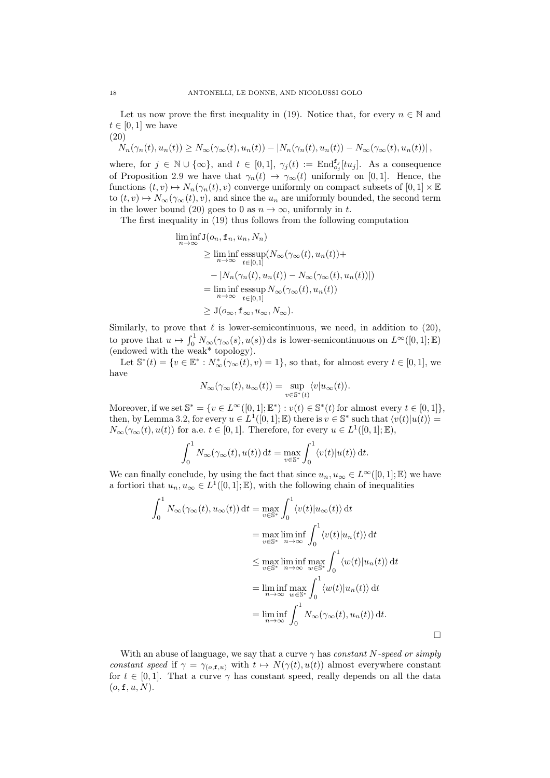Let us now prove the first inequality in [\(19\)](#page-16-2). Notice that, for every  $n \in \mathbb{N}$  and  $t \in [0,1]$  we have (20)

<span id="page-17-0"></span>
$$
\dot{N}_n(\gamma_n(t), u_n(t)) \geq N_\infty(\gamma_\infty(t), u_n(t)) - |N_n(\gamma_n(t), u_n(t)) - N_\infty(\gamma_\infty(t), u_n(t))|,
$$

where, for  $j \in \mathbb{N} \cup \{\infty\}$ , and  $t \in [0,1]$ ,  $\gamma_j(t) := \text{End}_{o_j}^{f_j}[tu_j]$ . As a consequence of Proposition [2.9](#page-10-0) we have that  $\gamma_n(t) \to \gamma_\infty(t)$  uniformly on [0, 1]. Hence, the functions  $(t, v) \mapsto N_n(\gamma_n(t), v)$  converge uniformly on compact subsets of  $[0, 1] \times \mathbb{E}$ to  $(t, v) \mapsto N_{\infty}(\gamma_{\infty}(t), v)$ , and since the  $u_n$  are uniformly bounded, the second term in the lower bound [\(20\)](#page-17-0) goes to 0 as  $n \to \infty$ , uniformly in t.

The first inequality in [\(19\)](#page-16-2) thus follows from the following computation

$$
\liminf_{n \to \infty} J(o_n, f_n, u_n, N_n)
$$
\n
$$
\geq \liminf_{n \to \infty} \operatorname{esssup}_{t \in [0,1]} (N_\infty(\gamma_\infty(t), u_n(t)) +
$$
\n
$$
- |N_n(\gamma_n(t), u_n(t)) - N_\infty(\gamma_\infty(t), u_n(t))|)
$$
\n
$$
= \liminf_{n \to \infty} \operatorname{esssup}_{t \in [0,1]} N_\infty(\gamma_\infty(t), u_n(t))
$$
\n
$$
\geq J(o_\infty, f_\infty, u_\infty, N_\infty).
$$

Similarly, to prove that  $\ell$  is lower-semicontinuous, we need, in addition to [\(20\)](#page-17-0), to prove that  $u \mapsto \int_0^1 N_\infty(\gamma_\infty(s), u(s)) ds$  is lower-semicontinuous on  $L^\infty([0, 1]; \mathbb{E})$ (endowed with the weak\* topology).

Let  $\mathbb{S}^*(t) = \{v \in \mathbb{E}^* : N^*_{\infty}(\gamma_{\infty}(t), v) = 1\}$ , so that, for almost every  $t \in [0, 1]$ , we have

$$
N_\infty(\gamma_\infty(t),u_\infty(t))=\sup_{v\in\mathbb{S}^*(t)}\langle v|u_\infty(t)\rangle.
$$

Moreover, if we set  $\mathbb{S}^* = \{v \in L^\infty([0,1]; \mathbb{E}^*) : v(t) \in \mathbb{S}^*(t) \text{ for almost every } t \in [0,1]\},\$ then, by Lemma [3.2,](#page-14-4) for every  $u \in L^1([0,1];\mathbb{E})$  there is  $v \in \mathbb{S}^*$  such that  $\langle v(t)|u(t)\rangle =$  $N_{\infty}(\gamma_{\infty}(t), u(t))$  for a.e.  $t \in [0, 1]$ . Therefore, for every  $u \in L^{1}([0, 1]; \mathbb{E})$ ,

$$
\int_0^1 N_\infty(\gamma_\infty(t), u(t)) dt = \max_{v \in \mathbb{S}^*} \int_0^1 \langle v(t) | u(t) \rangle dt.
$$

We can finally conclude, by using the fact that since  $u_n, u_\infty \in L^\infty([0,1]; \mathbb{E})$  we have a fortiori that  $u_n, u_\infty \in L^1([0,1];\mathbb{E})$ , with the following chain of inequalities

$$
\int_0^1 N_\infty(\gamma_\infty(t), u_\infty(t)) dt = \max_{v \in \mathbb{S}^*} \int_0^1 \langle v(t) | u_\infty(t) \rangle dt
$$
  
\n
$$
= \max_{v \in \mathbb{S}^*} \liminf_{n \to \infty} \int_0^1 \langle v(t) | u_n(t) \rangle dt
$$
  
\n
$$
\leq \max_{v \in \mathbb{S}^*} \liminf_{n \to \infty} \max_{w \in \mathbb{S}^*} \int_0^1 \langle w(t) | u_n(t) \rangle dt
$$
  
\n
$$
= \liminf_{n \to \infty} \max_{w \in \mathbb{S}^*} \int_0^1 \langle w(t) | u_n(t) \rangle dt
$$
  
\n
$$
= \liminf_{n \to \infty} \int_0^1 N_\infty(\gamma_\infty(t), u_n(t)) dt.
$$

With an abuse of language, we say that a curve  $\gamma$  has constant N-speed or simply constant speed if  $\gamma = \gamma_{(o,\mathbf{f},u)}$  with  $t \mapsto N(\gamma(t), u(t))$  almost everywhere constant for  $t \in [0, 1]$ . That a curve  $\gamma$  has constant speed, really depends on all the data  $(o, \texttt{f}, u, N).$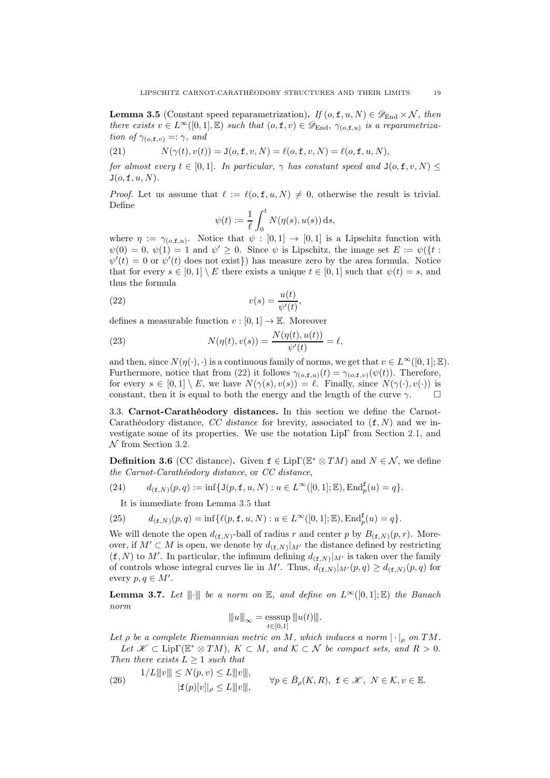<span id="page-18-1"></span>**Lemma 3.5** (Constant speed reparametrization). If  $(o, f, u, N) \in \mathscr{D}_{\text{End}} \times \mathcal{N}$ , then there exists  $v \in L^{\infty}([0,1], \mathbb{E})$  such that  $(o, \mathbf{f}, v) \in \mathscr{D}_{\text{End}}, \gamma_{(o,\mathbf{f},u)}$  is a reparametrization of  $\gamma_{(o,\texttt{f},v)} =: \gamma$ , and

(21) 
$$
N(\gamma(t), v(t)) = J(o, f, v, N) = \ell(o, f, v, N) = \ell(o, f, u, N),
$$

for almost every  $t \in [0,1]$ . In particular,  $\gamma$  has constant speed and  $J(o, f, v, N) \leq$  $J(o, f, u, N)$ .

*Proof.* Let us assume that  $\ell := \ell(o, f, u, N) \neq 0$ , otherwise the result is trivial. Define

<span id="page-18-3"></span>
$$
\psi(t) := \frac{1}{\ell} \int_0^t N(\eta(s), u(s)) \, ds,
$$

where  $\eta := \gamma_{(o,\mathbf{f},u)}$ . Notice that  $\psi : [0,1] \to [0,1]$  is a Lipschitz function with  $\psi(0) = 0, \psi(1) = 1$  and  $\psi' \geq 0$ . Since  $\psi$  is Lipschitz, the image set  $E := \psi({t : \mathcal{L}})$  $\psi'(t) = 0$  or  $\psi'(t)$  does not exist}) has measure zero by the area formula. Notice that for every  $s \in [0,1] \setminus E$  there exists a unique  $t \in [0,1]$  such that  $\psi(t) = s$ , and thus the formula

(22) 
$$
v(s) = \frac{u(t)}{\psi'(t)},
$$

defines a measurable function  $v : [0, 1] \to \mathbb{E}$ . Moreover

(23) 
$$
N(\eta(t), v(s)) = \frac{N(\eta(t), u(t))}{\psi'(t)} = \ell,
$$

and then, since  $N(\eta(\cdot), \cdot)$  is a continuous family of norms, we get that  $v \in L^{\infty}([0, 1]; \mathbb{E})$ . Furthermore, notice that from [\(22\)](#page-18-3) it follows  $\gamma_{(o,\mathbf{f},u)}(t) = \gamma_{(o,\mathbf{f},v)}(\psi(t))$ . Therefore, for every  $s \in [0,1] \setminus E$ , we have  $N(\gamma(s), v(s)) = \ell$ . Finally, since  $N(\gamma(\cdot), v(\cdot))$  is constant, then it is equal to both the energy and the length of the curve  $\gamma$ .

<span id="page-18-0"></span>3.3. Carnot-Carathéodory distances. In this section we define the Carnot-Carathéodory distance, CC distance for brevity, associated to  $(f, N)$  and we investigate some of its properties. We use the notation LipΓ from Section [2.1,](#page-7-0) and  $N$  from Section [3.2.](#page-16-0)

<span id="page-18-2"></span>**Definition 3.6** (CC distance). Given  $f \in Lip\Gamma(\mathbb{E}^* \otimes TM)$  and  $N \in \mathcal{N}$ , we define the Carnot-Carathéodory distance, or CC distance,

(24) 
$$
d_{(\mathbf{f},N)}(p,q) := \inf \{ \mathbf{J}(p,\mathbf{f},u,N) : u \in L^{\infty}([0,1];\mathbb{E}), \operatorname{End}_{p}^{\mathbf{f}}(u) = q \}.
$$

<span id="page-18-6"></span><span id="page-18-5"></span>It is immediate from Lemma [3.5](#page-18-1) that

(25) 
$$
d_{(f,N)}(p,q) = \inf \{ \ell(p,f,u,N) : u \in L^{\infty}([0,1];\mathbb{E}), \text{End}_p^f(u) = q \}.
$$

We will denote the open  $d_{(f,N)}$ -ball of radius r and center p by  $B_{(f,N)}(p,r)$ . Moreover, if  $M' \subset M$  is open, we denote by  $d_{(\mathbf{f},N)}|_{M'}$  the distance defined by restricting  $(f, N)$  to M'. In particular, the infimum defining  $d_{(f, N)}|_{M'}$  is taken over the family of controls whose integral curves lie in M'. Thus,  $d_{(\mathbf{f},N)}|_{M'}(p,q) \geq d_{(\mathbf{f},N)}(p,q)$  for every  $p, q \in M'$ .

<span id="page-18-7"></span>**Lemma 3.7.** Let  $\|\cdot\|$  be a norm on  $\mathbb{E}$ , and define on  $L^{\infty}([0,1];\mathbb{E})$  the Banach norm

$$
||u||_{\infty} = \operatorname*{esssup}_{t \in [0,1]} ||u(t)||.
$$

Let  $\rho$  be a complete Riemannian metric on M, which induces a norm  $|\cdot|_{\rho}$  on TM. Let  $\mathscr{K} \subset \text{Lip}\Gamma(\mathbb{E}^* \otimes TM), K \subset M$ , and  $\mathcal{K} \subset \mathcal{N}$  be compact sets, and  $R > 0$ . Then there exists  $L \geq 1$  such that

<span id="page-18-4"></span>(26) 
$$
1/L \| \|v\| \le N(p, v) \le L \| \|v\|,
$$

$$
|\mathbf{f}(p)[v]|_{\rho} \le L \| \|v\|,
$$

$$
\forall p \in \bar{B}_{\rho}(K, R), \ \mathbf{f} \in \mathcal{K}, \ N \in \mathcal{K}, v \in \mathbb{E}.
$$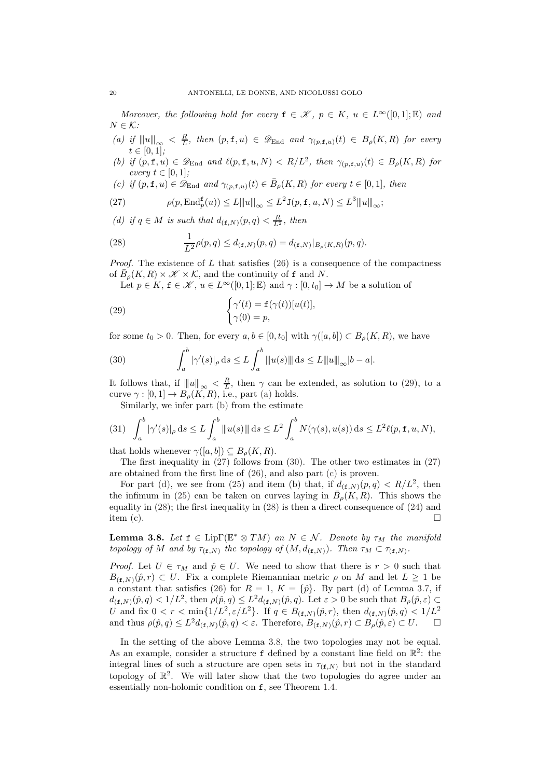Moreover, the following hold for every  $f \in \mathcal{K}$ ,  $p \in K$ ,  $u \in L^{\infty}([0,1]; \mathbb{E})$  and  $N \in \mathcal{K}$ :

- <span id="page-19-2"></span>(a) if  $|||u||_{\infty} < \frac{R}{L}$ , then  $(p, \mathbf{f}, u) \in \mathscr{D}_{\text{End}}$  and  $\gamma_{(p, \mathbf{f}, u)}(t) \in B_{\rho}(K, R)$  for every  $t \in [0, 1];$
- <span id="page-19-3"></span>(b) if  $(p, \mathbf{f}, u) \in \mathscr{D}_{\text{End}}$  and  $\ell(p, \mathbf{f}, u, N) < R/L^2$ , then  $\gamma_{(p, \mathbf{f}, u)}(t) \in B_{\rho}(K, R)$  for every  $t \in [0,1]$ ;
- <span id="page-19-6"></span>(c) if  $(p, \mathbf{f}, u) \in \mathscr{D}_{\text{End}}$  and  $\gamma_{(p, \mathbf{f}, u)}(t) \in \bar{B}_{\rho}(K, R)$  for every  $t \in [0, 1]$ , then

<span id="page-19-4"></span>(27) 
$$
\rho(p, \operatorname{End}^{\mathbf{f}}_{p}(u)) \leq L \|u\|_{\infty} \leq L^{2} \mathsf{J}(p, \mathbf{f}, u, N) \leq L^{3} \|u\|_{\infty};
$$

<span id="page-19-7"></span>(d) if  $q \in M$  is such that  $d_{(\mathbf{f},N)}(p,q) < \frac{R}{L^2}$ , then

<span id="page-19-8"></span>(28) 
$$
\frac{1}{L^2} \rho(p,q) \leq d_{(\mathbf{f},N)}(p,q) = d_{(\mathbf{f},N)}|_{B_{\rho}(K,R)}(p,q).
$$

*Proof.* The existence of L that satisfies  $(26)$  is a consequence of the compactness of  $\overline{B}_{\rho}(K,R) \times \mathcal{K} \times \mathcal{K}$ , and the continuity of f and N.

<span id="page-19-1"></span>Let  $p \in K$ ,  $f \in \mathcal{K}$ ,  $u \in L^{\infty}([0,1];\mathbb{E})$  and  $\gamma : [0,t_0] \to M$  be a solution of

(29) 
$$
\begin{cases} \gamma'(t) = \mathbf{f}(\gamma(t))[u(t)], \\ \gamma(0) = p, \end{cases}
$$

for some  $t_0 > 0$ . Then, for every  $a, b \in [0, t_0]$  with  $\gamma([a, b]) \subset B_{\rho}(K, R)$ , we have

<span id="page-19-5"></span>(30) 
$$
\int_{a}^{b} |\gamma'(s)|_{\rho} ds \le L \int_{a}^{b} ||u(s)|| ds \le L ||u||_{\infty} |b - a|.
$$

It follows that, if  $||u||_{\infty} < \frac{R}{L}$ , then  $\gamma$  can be extended, as solution to [\(29\)](#page-19-1), to a curve  $\gamma : [0, 1] \to B_\rho(K, R)$ , i.e., part [\(a\)](#page-19-2) holds.

Similarly, we infer part [\(b\)](#page-19-3) from the estimate

$$
(31) \int_a^b |\gamma'(s)|_{\rho} ds \le L \int_a^b \|u(s)\| ds \le L^2 \int_a^b N(\gamma(s), u(s)) ds \le L^2 \ell(p, \mathbf{f}, u, N),
$$

that holds whenever  $\gamma([a, b]) \subseteq B_{\rho}(K, R)$ .

The first inequality in [\(27\)](#page-19-4) follows from [\(30\)](#page-19-5). The other two estimates in [\(27\)](#page-19-4) are obtained from the first line of [\(26\)](#page-18-4), and also part [\(c\)](#page-19-6) is proven.

For part [\(d\),](#page-19-7) we see from [\(25\)](#page-18-5) and item (b) that, if  $d_{(f,N)}(p,q) < R/L^2$ , then the infimum in [\(25\)](#page-18-5) can be taken on curves laying in  $\bar{B}_{\rho}(K,R)$ . This shows the equality in [\(28\)](#page-19-8); the first inequality in [\(28\)](#page-19-8) is then a direct consequence of [\(24\)](#page-18-6) and item (c).  $\Box$ 

<span id="page-19-0"></span>**Lemma 3.8.** Let  $f \in \text{Lip}\Gamma(\mathbb{E}^* \otimes TM)$  an  $N \in \mathcal{N}$ . Denote by  $\tau_M$  the manifold topology of M and by  $\tau_{(\mathbf{f},N)}$  the topology of  $(M,d_{(\mathbf{f},N)})$ . Then  $\tau_M \subset \tau_{(\mathbf{f},N)}$ .

*Proof.* Let  $U \in \tau_M$  and  $\hat{p} \in U$ . We need to show that there is  $r > 0$  such that  $B_{(f,N)}(\hat{p}, r) \subset U$ . Fix a complete Riemannian metric  $\rho$  on M and let  $L \geq 1$  be a constant that satisfies [\(26\)](#page-18-4) for  $R = 1$ ,  $K = \{\hat{p}\}\$ . By part [\(d\)](#page-19-7) of Lemma [3.7,](#page-18-7) if  $d_{(\mathbf{f},N)}(\hat{p},q) < 1/L^2$ , then  $\rho(\hat{p},q) \leq L^2 d_{(\mathbf{f},N)}(\hat{p},q)$ . Let  $\varepsilon > 0$  be such that  $B_{\rho}(\hat{p},\varepsilon) \subset$ U and fix  $0 < r < \min\{1/L^2, \varepsilon/L^2\}$ . If  $q \in B_{(\mathbf{f},N)}(\hat{p}, r)$ , then  $d_{(\mathbf{f},N)}(\hat{p}, q) < 1/L^2$ and thus  $\rho(\hat{p}, q) \leq L^2 d_{(\mathbf{f}, N)}(\hat{p}, q) < \varepsilon$ . Therefore,  $B_{(\mathbf{f}, N)}(\hat{p}, r) \subset B_{\rho}(\hat{p}, \varepsilon) \subset U$ .  $\Box$ 

In the setting of the above Lemma [3.8,](#page-19-0) the two topologies may not be equal. As an example, consider a structure  $f$  defined by a constant line field on  $\mathbb{R}^2$ : the integral lines of such a structure are open sets in  $\tau_{(f,N)}$  but not in the standard topology of  $\mathbb{R}^2$ . We will later show that the two topologies do agree under an essentially non-holomic condition on f, see Theorem [1.4.](#page-3-0)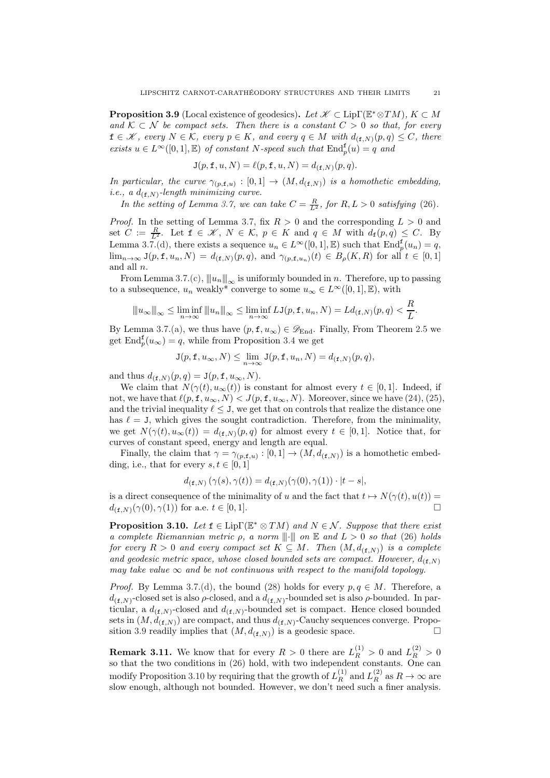<span id="page-20-0"></span>**Proposition 3.9** (Local existence of geodesics). Let  $\mathscr{K} \subset \text{Lip}\Gamma(\mathbb{E}^*\otimes TM)$ ,  $K \subset M$ and  $\mathcal{K} \subset \mathcal{N}$  be compact sets. Then there is a constant  $C > 0$  so that, for every  $f \in \mathscr{K}$ , every  $N \in \mathcal{K}$ , every  $p \in K$ , and every  $q \in M$  with  $d_{(f,N)}(p,q) \leq C$ , there exists  $u \in L^{\infty}([0,1], \mathbb{E})$  of constant N-speed such that  $\text{End}_{p}^{\mathbf{f}}(u) = q$  and

$$
\mathbf{J}(p, \mathbf{f}, u, N) = \ell(p, \mathbf{f}, u, N) = d_{(\mathbf{f}, N)}(p, q).
$$

In particular, the curve  $\gamma_{(p,\mathbf{f},u)} : [0,1] \to (M, d_{(\mathbf{f},N)})$  is a homothetic embedding, *i.e.*, a  $d_{(\texttt{f},N)}$ -length minimizing curve.

In the setting of Lemma [3.7,](#page-18-7) we can take  $C = \frac{R}{L^2}$ , for  $R, L > 0$  satisfying [\(26\)](#page-18-4).

*Proof.* In the setting of Lemma [3.7,](#page-18-7) fix  $R > 0$  and the corresponding  $L > 0$  and set  $C := \frac{R}{L^2}$ . Let  $f \in \mathcal{K}$ ,  $N \in \mathcal{K}$ ,  $p \in K$  and  $q \in M$  with  $d_f(p,q) \leq C$ . By Lemma [3.7](#page-18-7)[.\(d\),](#page-19-7) there exists a sequence  $u_n \in L^{\infty}([0,1], \mathbb{E})$  such that  $\text{End}_p^{\mathbf{f}}(u_n) = q$ ,  $\lim_{n\to\infty} J(p, \mathbf{f}, u_n, N) = d_{(\mathbf{f},N)}(p,q)$ , and  $\gamma_{(p,\mathbf{f},u_n)}(t) \in B_\rho(K,R)$  for all  $t \in [0,1]$ and all n.

From Lemma [3.7](#page-18-7)[.\(c\),](#page-19-6)  $||u_n||_{\infty}$  is uniformly bounded in n. Therefore, up to passing to a subsequence,  $u_n$  weakly<sup>\*</sup> converge to some  $u_\infty \in L^\infty([0,1],\mathbb{E})$ , with

$$
||u_{\infty}||_{\infty} \leq \liminf_{n \to \infty} ||u_n||_{\infty} \leq \liminf_{n \to \infty} LJ(p, \mathbf{f}, u_n, N) = Ld_{(\mathbf{f}, N)}(p, q) < \frac{R}{L}.
$$

By Lemma [3.7](#page-18-7)[.\(a\),](#page-19-2) we thus have  $(p, \mathbf{f}, u_{\infty}) \in \mathscr{D}_{\text{End}}$ . Finally, From Theorem [2.5](#page-8-1) we get  $\text{End}_{p}^{\mathbf{f}}(u_{\infty}) = q$ , while from Proposition [3.4](#page-16-1) we get

$$
\mathbf{J}(p, \mathbf{f}, u_{\infty}, N) \leq \lim_{n \to \infty} \mathbf{J}(p, \mathbf{f}, u_n, N) = d_{(\mathbf{f}, N)}(p, q),
$$

and thus  $d_{(\mathbf{f},N)}(p,q) = \mathbf{J}(p,\mathbf{f},u_{\infty},N).$ 

We claim that  $N(\gamma(t), u_{\infty}(t))$  is constant for almost every  $t \in [0,1]$ . Indeed, if not, we have that  $\ell(p, \mathbf{f}, u_{\infty}, N) < J(p, \mathbf{f}, u_{\infty}, N)$ . Moreover, since we have  $(24)$ ,  $(25)$ , and the trivial inequality  $\ell \leq J$ , we get that on controls that realize the distance one has  $\ell = J$ , which gives the sought contradiction. Therefore, from the minimality, we get  $N(\gamma(t), u_{\infty}(t)) = d_{(\mathbf{f},N)}(p,q)$  for almost every  $t \in [0,1]$ . Notice that, for curves of constant speed, energy and length are equal.

Finally, the claim that  $\gamma = \gamma_{(p,\mathbf{f},u)} : [0,1] \to (M, d_{(\mathbf{f},N)})$  is a homothetic embedding, i.e., that for every  $s, t \in [0, 1]$ 

$$
d_{(\mathbf{f},N)}(\gamma(s),\gamma(t)) = d_{(\mathbf{f},N)}(\gamma(0),\gamma(1)) \cdot |t-s|,
$$

is a direct consequence of the minimality of u and the fact that  $t \mapsto N(\gamma(t), u(t)) =$  $d_{(\mathbf{f},N)}(\gamma(0),\gamma(1))$  for a.e.  $t \in [0,1].$ 

<span id="page-20-1"></span>**Proposition 3.10.** Let  $f \in \text{Lip}\Gamma(\mathbb{E}^* \otimes TM)$  and  $N \in \mathcal{N}$ . Suppose that there exist a complete Riemannian metric  $\rho$ , a norm  $\|\cdot\|$  on  $\mathbb E$  and  $L > 0$  so that [\(26\)](#page-18-4) holds for every  $R > 0$  and every compact set  $K \subseteq M$ . Then  $(M, d_{(f,N)})$  is a complete and geodesic metric space, whose closed bounded sets are compact. However,  $d_{(f,N)}$ may take value  $\infty$  and be not continuous with respect to the manifold topology.

*Proof.* By Lemma [3.7](#page-18-7)[.\(d\),](#page-19-7) the bound [\(28\)](#page-19-8) holds for every  $p, q \in M$ . Therefore, a  $d_{(\mathbf{f},N)}$ -closed set is also  $\rho$ -closed, and a  $d_{(\mathbf{f},N)}$ -bounded set is also  $\rho$ -bounded. In particular, a  $d_{(f,N)}$ -closed and  $d_{(f,N)}$ -bounded set is compact. Hence closed bounded sets in  $(M, d_{(f,N)})$  are compact, and thus  $d_{(f,N)}$ -Cauchy sequences converge. Propo-sition [3.9](#page-20-0) readily implies that  $(M, d_{(f,N)})$  is a geodesic space.

**Remark 3.11.** We know that for every  $R > 0$  there are  $L_R^{(1)} > 0$  and  $L_R^{(2)} > 0$ so that the two conditions in [\(26\)](#page-18-4) hold, with two independent constants. One can modify Proposition [3.10](#page-20-1) by requiring that the growth of  $L_R^{(1)}$  and  $L_R^{(2)}$  as  $R \to \infty$  are slow enough, although not bounded. However, we don't need such a finer analysis.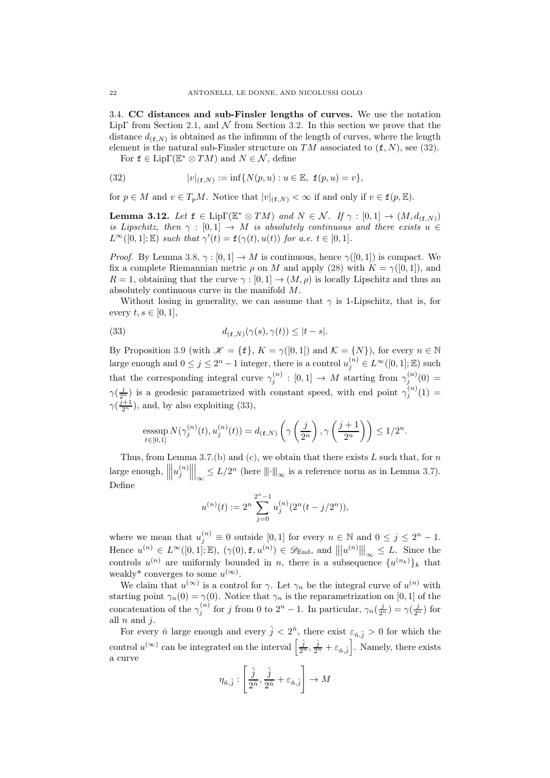<span id="page-21-0"></span>3.4. CC distances and sub-Finsler lengths of curves. We use the notation LipΓ from Section [2.1,](#page-7-0) and  $\mathcal N$  from Section [3.2.](#page-16-0) In this section we prove that the distance  $d_{(\mathbf{f},N)}$  is obtained as the infimum of the length of curves, where the length element is the natural sub-Finsler structure on  $TM$  associated to  $(f, N)$ , see [\(32\)](#page-21-1).

<span id="page-21-1"></span>For  $f \in \text{Lip}\Gamma(\mathbb{E}^* \otimes TM)$  and  $N \in \mathcal{N}$ , define

(32) 
$$
|v|_{(\mathbf{f},N)} := \inf \{ N(p,u) : u \in \mathbb{E}, \ \mathbf{f}(p,u) = v \},
$$

for  $p \in M$  and  $v \in T_pM$ . Notice that  $|v|_{(f,N)} < \infty$  if and only if  $v \in f(p, \mathbb{E})$ .

<span id="page-21-3"></span>**Lemma 3.12.** Let  $f \in \text{Lip}\Gamma(\mathbb{E}^* \otimes TM)$  and  $N \in \mathcal{N}$ . If  $\gamma : [0,1] \to (M, d_{(f,N)})$ is Lipschitz, then  $\gamma : [0,1] \rightarrow M$  is absolutely continuous and there exists  $u \in$  $L^{\infty}([0,1];\mathbb{E})$  such that  $\gamma'(t) = \mathbf{f}(\gamma(t), u(t))$  for a.e.  $t \in [0,1]$ .

*Proof.* By Lemma [3.8,](#page-19-0)  $\gamma : [0, 1] \to M$  is continuous, hence  $\gamma([0, 1])$  is compact. We fix a complete Riemannian metric  $\rho$  on M and apply [\(28\)](#page-19-8) with  $K = \gamma([0, 1])$ , and  $R = 1$ , obtaining that the curve  $\gamma : [0, 1] \to (M, \rho)$  is locally Lipschitz and thus an absolutely continuous curve in the manifold M.

Without losing in generality, we can assume that  $\gamma$  is 1-Lipschitz, that is, for every  $t, s \in [0, 1]$ ,

<span id="page-21-2"></span>(33) 
$$
d_{(\mathbf{f},N)}(\gamma(s),\gamma(t)) \leq |t-s|.
$$

By Proposition [3.9](#page-20-0) (with  $\mathscr{K} = {\{\mathbf{f}\}, K = \gamma([0,1]) \text{ and } \mathcal{K} = \{N\}}$ ), for every  $n \in \mathbb{N}$ large enough and  $0 \le j \le 2^n - 1$  integer, there is a control  $u_j^{(n)} \in L^\infty([0,1];\mathbb{E})$  such that the corresponding integral curve  $\gamma_j^{(n)} : [0,1] \to M$  starting from  $\gamma_j^{(n)}(0) =$  $\gamma(\frac{j}{2^n})$  is a geodesic parametrized with constant speed, with end point  $\gamma_j^{(n)}(1)$  =  $\gamma(\frac{j+1}{2^n})$ , and, by also exploiting [\(33\)](#page-21-2),

esssup 
$$
N(\gamma_j^{(n)}(t), u_j^{(n)}(t)) = d_{(\mathbf{f}, N)}\left(\gamma\left(\frac{j}{2^n}\right), \gamma\left(\frac{j+1}{2^n}\right)\right) \le 1/2^n
$$
.

Thus, from Lemma [3.7](#page-18-7)[.\(b\)](#page-19-3) and [\(c\),](#page-19-6) we obtain that there exists  $L$  such that, for  $n$ large enough,  $\Big|$   $\left| u_{j}^{\left( n\right) }\right|$   $\Big|_{\infty}$  ≤  $L/2^{n}$  (here  $\|\cdot\|_{\infty}$  is a reference norm as in Lemma [3.7\)](#page-18-7). Define

$$
u^{(n)}(t):=2^n\sum_{j=0}^{2^n-1}u^{(n)}_j(2^n(t-j/2^n)),
$$

where we mean that  $u_j^{(n)} \equiv 0$  outside [0,1] for every  $n \in \mathbb{N}$  and  $0 \le j \le 2^n - 1$ . Hence  $u^{(n)} \in L^{\infty}([0,1];\mathbb{E})$ ,  $(\gamma(0), \mathbf{f}, u^{(n)}) \in \mathscr{D}_{\text{End}}$ , and  $||u^{(n)}|||_{\infty} \leq L$ . Since the controls  $u^{(n)}$  are uniformly bounded in n, there is a subsequence  $\{u^{(n_k)}\}_k$  that weakly<sup>\*</sup> converges to some  $u^{(\infty)}$ .

We claim that  $u^{(\infty)}$  is a control for  $\gamma$ . Let  $\gamma_n$  be the integral curve of  $u^{(n)}$  with starting point  $\gamma_n(0) = \gamma(0)$ . Notice that  $\gamma_n$  is the reparametrization on [0, 1] of the concatenation of the  $\gamma_i^{(n)}$  $j^{(n)}$  for j from 0 to  $2^n - 1$ . In particular,  $\gamma_n(\frac{j}{2^n}) = \gamma(\frac{j}{2^n})$  for all  $n$  and  $j$ .

For every  $\hat{n}$  large enough and every  $\hat{j} < 2^{\hat{n}}$ , there exist  $\varepsilon_{\hat{n},\hat{j}} > 0$  for which the control  $u^{(\infty)}$  can be integrated on the interval  $\left[\frac{\hat{j}}{2^n}, \frac{\hat{j}}{2^n} + \varepsilon_{\hat{n},\hat{j}}\right]$ . Namely, there exists a curve

$$
\eta_{\hat{n},\hat{j}}:\left[\frac{\hat{j}}{2^{\hat{n}}},\frac{\hat{j}}{2^{\hat{n}}}+\varepsilon_{\hat{n},\hat{j}}\right]\rightarrow M
$$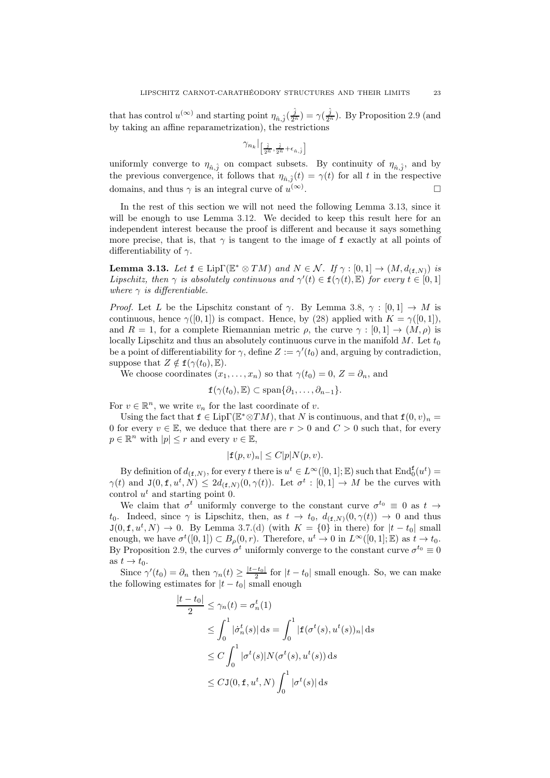that has control  $u^{(\infty)}$  and starting point  $\eta_{\hat{n},\hat{j}}(\frac{\hat{j}}{2\hat{n}}) = \gamma(\frac{\hat{j}}{2\hat{n}})$ . By Proposition [2.9](#page-10-0) (and by taking an affine reparametrization), the restrictions

$$
\gamma_{n_k}\big|_{\left[\frac{\hat{j}}{2^{\hat{n}}},\frac{\hat{j}}{2^{\hat{n}}}+\epsilon_{\hat{n},\hat{j}}\right]}
$$

uniformly converge to  $\eta_{\hat{n},\hat{j}}$  on compact subsets. By continuity of  $\eta_{\hat{n},\hat{j}}$ , and by the previous convergence, it follows that  $\eta_{\hat{n},\hat{j}}(t) = \gamma(t)$  for all t in the respective domains, and thus  $\gamma$  is an integral curve of  $u^{(\infty)}$ .

In the rest of this section we will not need the following Lemma [3.13,](#page-22-0) since it will be enough to use Lemma [3.12.](#page-21-3) We decided to keep this result here for an independent interest because the proof is different and because it says something more precise, that is, that  $\gamma$  is tangent to the image of f exactly at all points of differentiability of  $\gamma$ .

<span id="page-22-0"></span>**Lemma 3.13.** Let  $f \in \text{Lip}\Gamma(\mathbb{E}^* \otimes TM)$  and  $N \in \mathcal{N}$ . If  $\gamma : [0,1] \to (M, d_{(f,N)})$  is Lipschitz, then  $\gamma$  is absolutely continuous and  $\gamma'(t) \in \mathbf{f}(\gamma(t), \mathbb{E})$  for every  $t \in [0, 1]$ where  $\gamma$  is differentiable.

*Proof.* Let L be the Lipschitz constant of  $\gamma$ . By Lemma [3.8,](#page-19-0)  $\gamma : [0,1] \rightarrow M$  is continuous, hence  $\gamma([0, 1])$  is compact. Hence, by [\(28\)](#page-19-8) applied with  $K = \gamma([0, 1]),$ and  $R = 1$ , for a complete Riemannian metric  $\rho$ , the curve  $\gamma : [0, 1] \rightarrow (M, \rho)$  is locally Lipschitz and thus an absolutely continuous curve in the manifold  $M$ . Let  $t_0$ be a point of differentiability for  $\gamma$ , define  $Z := \gamma'(t_0)$  and, arguing by contradiction, suppose that  $Z \notin \mathbf{f}(\gamma(t_0), \mathbb{E}).$ 

We choose coordinates  $(x_1, \ldots, x_n)$  so that  $\gamma(t_0) = 0, Z = \partial_n$ , and

$$
f(\gamma(t_0), \mathbb{E}) \subset \text{span}\{\partial_1, \ldots, \partial_{n-1}\}.
$$

For  $v \in \mathbb{R}^n$ , we write  $v_n$  for the last coordinate of v.

Using the fact that  $f \in Lip\Gamma(\mathbb{E}^*\otimes TM)$ , that N is continuous, and that  $f(0, v)_n =$ 0 for every  $v \in \mathbb{E}$ , we deduce that there are  $r > 0$  and  $C > 0$  such that, for every  $p \in \mathbb{R}^n$  with  $|p| \leq r$  and every  $v \in \mathbb{E}$ ,

$$
|\mathbf{f}(p,v)_n| \le C|p|N(p,v).
$$

By definition of  $d_{(f,N)}$ , for every t there is  $u^t \in L^{\infty}([0,1]; \mathbb{E})$  such that  $\text{End}_{0}^{f}(u^t) =$  $\gamma(t)$  and  $J(0, \mathbf{f}, u^t, N) \leq 2d_{(\mathbf{f}, N)}(0, \gamma(t))$ . Let  $\sigma^t : [0, 1] \to M$  be the curves with control  $u^t$  and starting point 0.

We claim that  $\sigma^t$  uniformly converge to the constant curve  $\sigma^{t_0} \equiv 0$  as  $t \to$ t<sub>0</sub>. Indeed, since  $\gamma$  is Lipschitz, then, as  $t \to t_0$ ,  $d_{(\mathbf{f},N)}(0,\gamma(t)) \to 0$  and thus  $J(0, f, u^t, N) \to 0$ . By Lemma [3.7](#page-18-7)[.\(d\)](#page-19-7) (with  $K = \{0\}$  in there) for  $|t - t_0|$  small enough, we have  $\sigma^t([0,1]) \subset B_\rho(0,r)$ . Therefore,  $u^t \to 0$  in  $L^\infty([0,1];\mathbb{E})$  as  $t \to t_0$ . By Proposition [2.9,](#page-10-0) the curves  $\sigma^t$  uniformly converge to the constant curve  $\sigma^{t_0} \equiv 0$ as  $t \to t_0$ .

Since  $\gamma'(t_0) = \partial_n$  then  $\gamma_n(t) \ge \frac{|t-t_0|}{2}$  for  $|t-t_0|$  small enough. So, we can make the following estimates for  $|t - t_0|$  small enough

$$
\frac{|t - t_0|}{2} \le \gamma_n(t) = \sigma_n^t(1)
$$
  
\n
$$
\le \int_0^1 |\dot{\sigma}_n^t(s)| ds = \int_0^1 |\mathbf{f}(\sigma^t(s), u^t(s))_n| ds
$$
  
\n
$$
\le C \int_0^1 |\sigma^t(s)| N(\sigma^t(s), u^t(s)) ds
$$
  
\n
$$
\le C \mathbf{J}(0, \mathbf{f}, u^t, N) \int_0^1 |\sigma^t(s)| ds
$$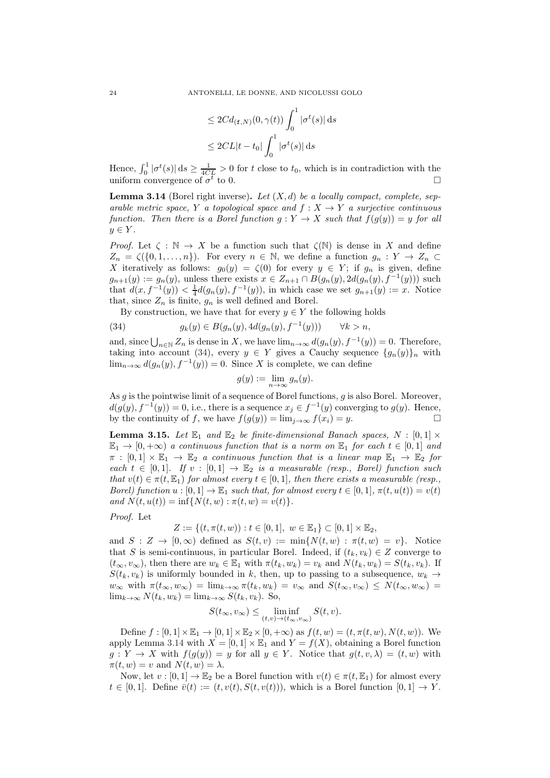$$
\leq 2Cd_{(\mathbf{f},N)}(0,\gamma(t))\int_0^1|\sigma^t(s)|\,\mathrm{d}s
$$
  

$$
\leq 2CL|t-t_0|\int_0^1|\sigma^t(s)|\,\mathrm{d}s
$$

Hence,  $\int_0^1 |\sigma^t(s)| ds \ge \frac{1}{4CL} > 0$  for t close to  $t_0$ , which is in contradiction with the uniform convergence of  $\sigma^t$ to 0.

<span id="page-23-1"></span>**Lemma 3.14** (Borel right inverse). Let  $(X, d)$  be a locally compact, complete, separable metric space, Y a topological space and  $f: X \to Y$  a surjective continuous function. Then there is a Borel function  $g: Y \to X$  such that  $f(g(y)) = y$  for all  $y \in Y$ .

*Proof.* Let  $\zeta : \mathbb{N} \to X$  be a function such that  $\zeta(\mathbb{N})$  is dense in X and define  $Z_n = \zeta(\{0, 1, \ldots, n\})$ . For every  $n \in \mathbb{N}$ , we define a function  $g_n : Y \to Z_n$ X iteratively as follows:  $g_0(y) = \zeta(0)$  for every  $y \in Y$ ; if  $g_n$  is given, define  $g_{n+1}(y) := g_n(y)$ , unless there exists  $x \in Z_{n+1} \cap B(g_n(y), 2d(g_n(y), f^{-1}(y)))$  such that  $d(x, f^{-1}(y)) < \frac{1}{4}d(g_n(y), f^{-1}(y))$ , in which case we set  $g_{n+1}(y) := x$ . Notice that, since  $Z_n$  is finite,  $g_n$  is well defined and Borel.

<span id="page-23-0"></span>By construction, we have that for every  $y \in Y$  the following holds

(34) 
$$
g_k(y) \in B(g_n(y), 4d(g_n(y), f^{-1}(y))) \qquad \forall k > n,
$$

and, since  $\bigcup_{n\in\mathbb{N}}Z_n$  is dense in X, we have  $\lim_{n\to\infty}d(g_n(y), f^{-1}(y))=0$ . Therefore, taking into account [\(34\)](#page-23-0), every  $y \in Y$  gives a Cauchy sequence  $\{g_n(y)\}_n$  with  $\lim_{n\to\infty} d(g_n(y), f^{-1}(y)) = 0$ . Since X is complete, we can define

$$
g(y) := \lim_{n \to \infty} g_n(y).
$$

As g is the pointwise limit of a sequence of Borel functions, g is also Borel. Moreover,  $d(g(y), f^{-1}(y)) = 0$ , i.e., there is a sequence  $x_j \in f^{-1}(y)$  converging to  $g(y)$ . Hence, by the continuity of f, we have  $f(g(y)) = \lim_{j \to \infty} f(x_i) = y$ .

<span id="page-23-2"></span>**Lemma 3.15.** Let  $\mathbb{E}_1$  and  $\mathbb{E}_2$  be finite-dimensional Banach spaces,  $N : [0,1] \times$  $\mathbb{E}_1 \to [0, +\infty)$  a continuous function that is a norm on  $\mathbb{E}_1$  for each  $t \in [0, 1]$  and  $\pi : [0,1] \times \mathbb{E}_1 \to \mathbb{E}_2$  a continuous function that is a linear map  $\mathbb{E}_1 \to \mathbb{E}_2$  for each  $t \in [0,1]$ . If  $v : [0,1] \to \mathbb{E}_2$  is a measurable (resp., Borel) function such that  $v(t) \in \pi(t, \mathbb{E}_1)$  for almost every  $t \in [0, 1]$ , then there exists a measurable (resp., Borel) function  $u : [0,1] \to \mathbb{E}_1$  such that, for almost every  $t \in [0,1]$ ,  $\pi(t, u(t)) = v(t)$ and  $N(t, u(t)) = \inf \{ N(t, w) : \pi(t, w) = v(t) \}.$ 

## Proof. Let

$$
Z := \{(t, \pi(t, w)) : t \in [0, 1], w \in \mathbb{E}_1\} \subset [0, 1] \times \mathbb{E}_2,
$$

and  $S: Z \to [0, \infty)$  defined as  $S(t, v) := \min\{N(t, w) : \pi(t, w) = v\}$ . Notice that S is semi-continuous, in particular Borel. Indeed, if  $(t_k, v_k) \in Z$  converge to  $(t_{\infty}, v_{\infty})$ , then there are  $w_k \in \mathbb{E}_1$  with  $\pi(t_k, w_k) = v_k$  and  $N(t_k, w_k) = S(t_k, v_k)$ . If  $S(t_k, v_k)$  is uniformly bounded in k, then, up to passing to a subsequence,  $w_k \rightarrow$  $w_{\infty}$  with  $\pi(t_{\infty}, w_{\infty}) = \lim_{k \to \infty} \pi(t_k, w_k) = v_{\infty}$  and  $S(t_{\infty}, v_{\infty}) \leq N(t_{\infty}, w_{\infty}) =$  $\lim_{k\to\infty} N(t_k, w_k) = \lim_{k\to\infty} S(t_k, v_k)$ . So,

$$
S(t_{\infty}, v_{\infty}) \leq \liminf_{(t,v)\to(t_{\infty}, v_{\infty})} S(t,v).
$$

Define  $f:[0,1]\times\mathbb{E}_1\to[0,1]\times\mathbb{E}_2\times[0,+\infty)$  as  $f(t,w)=(t,\pi(t,w),N(t,w))$ . We apply Lemma [3.14](#page-23-1) with  $X = [0, 1] \times \mathbb{E}_1$  and  $Y = f(X)$ , obtaining a Borel function  $g: Y \to X$  with  $f(g(y)) = y$  for all  $y \in Y$ . Notice that  $g(t, v, \lambda) = (t, w)$  with  $\pi(t, w) = v$  and  $N(t, w) = \lambda$ .

Now, let  $v : [0, 1] \to \mathbb{E}_2$  be a Borel function with  $v(t) \in \pi(t, \mathbb{E}_1)$  for almost every  $t \in [0,1]$ . Define  $\overline{v}(t) := (t, v(t), S(t, v(t))),$  which is a Borel function  $[0,1] \rightarrow Y$ .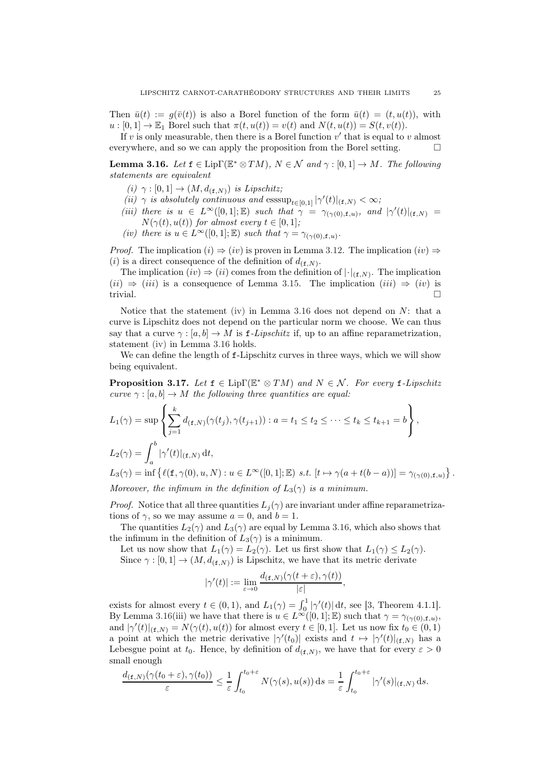Then  $\bar{u}(t) := g(\bar{v}(t))$  is also a Borel function of the form  $\bar{u}(t) = (t, u(t))$ , with  $u:[0,1] \to \mathbb{E}_1$  Borel such that  $\pi(t, u(t)) = v(t)$  and  $N(t, u(t)) = S(t, v(t))$ .

If  $v$  is only measurable, then there is a Borel function  $v'$  that is equal to  $v$  almost everywhere, and so we can apply the proposition from the Borel setting.  $\Box$ 

<span id="page-24-0"></span>**Lemma 3.16.** Let  $f \in \text{Lip}\Gamma(\mathbb{E}^* \otimes TM)$ ,  $N \in \mathcal{N}$  and  $\gamma : [0,1] \to M$ . The following statements are equivalent

- (i)  $\gamma : [0,1] \rightarrow (M, d_{(\mathbf{f},N)})$  is Lipschitz;
- (ii)  $\gamma$  is absolutely continuous and  $\operatorname{esssup}_{t\in[0,1]}|\gamma'(t)|_{(\mathbf{f},N)}<\infty;$
- (iii) there is  $u \in L^{\infty}([0,1];\mathbb{E})$  such that  $\gamma = \gamma_{(\gamma(0),\mathbf{f},u)},$  and  $|\gamma'(t)|_{(\mathbf{f},N)} =$  $N(\gamma(t), u(t))$  for almost every  $t \in [0, 1]$ ;
- <span id="page-24-2"></span>(iv) there is  $u \in L^{\infty}([0,1];\mathbb{E})$  such that  $\gamma = \gamma_{(\gamma(0),\mathbf{f},u)}$ .

*Proof.* The implication  $(i) \Rightarrow (iv)$  is proven in Lemma [3.12.](#page-21-3) The implication  $(iv) \Rightarrow$ (*i*) is a direct consequence of the definition of  $d_{(\mathbf{f},N)}$ .

The implication  $(iv) \Rightarrow (ii)$  comes from the definition of  $|\cdot|_{(f,N)}$ . The implication  $(ii) \Rightarrow (iii)$  is a consequence of Lemma [3.15.](#page-23-2) The implication  $(iii) \Rightarrow (iv)$  is trivial.  $\square$ 

Notice that the statement [\(iv\)](#page-24-2) in Lemma [3.16](#page-24-0) does not depend on  $N$ : that a curve is Lipschitz does not depend on the particular norm we choose. We can thus say that a curve  $\gamma : [a, b] \to M$  is f-Lipschitz if, up to an affine reparametrization, statement [\(iv\)](#page-24-2) in Lemma [3.16](#page-24-0) holds.

We can define the length of f-Lipschitz curves in three ways, which we will show being equivalent.

<span id="page-24-1"></span>**Proposition 3.17.** Let  $f \in \text{Lip}\Gamma(\mathbb{E}^* \otimes TM)$  and  $N \in \mathcal{N}$ . For every  $f$ -Lipschitz curve  $\gamma : [a, b] \to M$  the following three quantities are equal:

$$
L_1(\gamma) = \sup \left\{ \sum_{j=1}^k d_{(\mathbf{f},N)}(\gamma(t_j), \gamma(t_{j+1})) : a = t_1 \le t_2 \le \dots \le t_k \le t_{k+1} = b \right\},
$$
  
\n
$$
L_2(\gamma) = \int_a^b |\gamma'(t)|_{(\mathbf{f},N)} dt,
$$
  
\n
$$
L_3(\gamma) = \inf \left\{ \ell(\mathbf{f}, \gamma(0), u, N) : u \in L^\infty([0,1]; \mathbb{E}) \text{ s.t. } [t \mapsto \gamma(a + t(b - a))] = \gamma_{(\gamma(0), \mathbf{f}, u)}
$$

 $\}$ .

Moreover, the infimum in the definition of  $L_3(\gamma)$  is a minimum.

*Proof.* Notice that all three quantities  $L_i(\gamma)$  are invariant under affine reparametrizations of  $\gamma$ , so we may assume  $a = 0$ , and  $b = 1$ .

The quantities  $L_2(\gamma)$  and  $L_3(\gamma)$  are equal by Lemma [3.16,](#page-24-0) which also shows that the infimum in the definition of  $L_3(\gamma)$  is a minimum.

Let us now show that  $L_1(\gamma) = L_2(\gamma)$ . Let us first show that  $L_1(\gamma) \leq L_2(\gamma)$ . Since  $\gamma : [0, 1] \to (M, d_{(f,N)})$  is Lipschitz, we have that its metric derivate

$$
|\gamma'(t)| := \lim_{\varepsilon \to 0} \frac{d_{(\mathbf{f},N)}(\gamma(t+\varepsilon),\gamma(t))}{|\varepsilon|},
$$

exists for almost every  $t \in (0,1)$ , and  $L_1(\gamma) = \int_0^1 |\gamma'(t)| dt$ , see [\[3](#page-44-4), Theorem 4.1.1]. By Lemma [3.16\(](#page-24-0)iii) we have that there is  $u \in L^{\infty}([0,1];\mathbb{E})$  such that  $\gamma = \gamma_{(\gamma(0),\mathbf{f},u)},$ and  $|\gamma'(t)|_{(f,N)} = N(\gamma(t), u(t))$  for almost every  $t \in [0,1]$ . Let us now fix  $t_0 \in (0,1)$ a point at which the metric derivative  $|\gamma'(t_0)|$  exists and  $t \mapsto |\gamma'(t)|_{(f,N)}$  has a Lebesgue point at  $t_0$ . Hence, by definition of  $d_{(f,N)}$ , we have that for every  $\varepsilon > 0$ small enough

$$
\frac{d_{(\mathbf{f},N)}(\gamma(t_0+\varepsilon),\gamma(t_0))}{\varepsilon} \leq \frac{1}{\varepsilon} \int_{t_0}^{t_0+\varepsilon} N(\gamma(s),u(s)) \,ds = \frac{1}{\varepsilon} \int_{t_0}^{t_0+\varepsilon} |\gamma'(s)|_{(\mathbf{f},N)} \,ds.
$$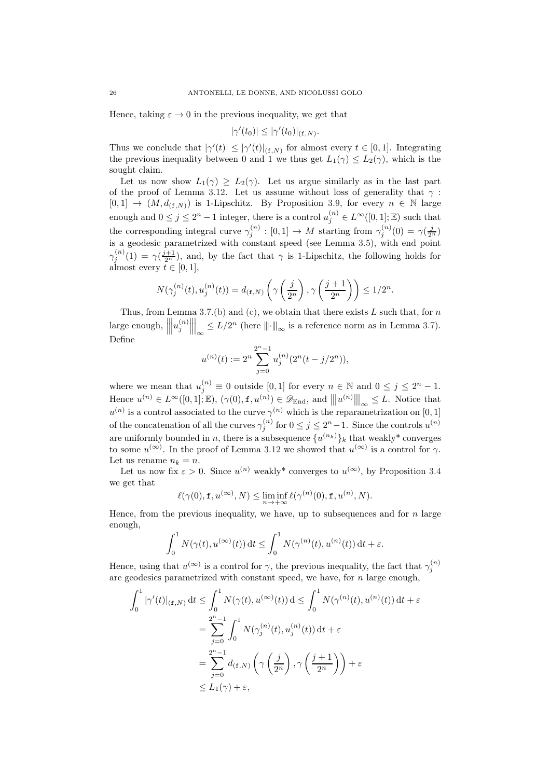Hence, taking  $\varepsilon \to 0$  in the previous inequality, we get that

$$
|\gamma'(t_0)| \le |\gamma'(t_0)|_{(\mathbf{f},N)}.
$$

Thus we conclude that  $|\gamma'(t)| \leq |\gamma'(t)|_{(\mathbf{f},N)}$  for almost every  $t \in [0,1]$ . Integrating the previous inequality between 0 and 1 we thus get  $L_1(\gamma) \leq L_2(\gamma)$ , which is the sought claim.

Let us now show  $L_1(\gamma) \geq L_2(\gamma)$ . Let us argue similarly as in the last part of the proof of Lemma [3.12.](#page-21-3) Let us assume without loss of generality that  $\gamma$ :  $[0,1] \rightarrow (M, d_{(f,N)})$  is 1-Lipschitz. By Proposition [3.9,](#page-20-0) for every  $n \in \mathbb{N}$  large enough and  $0 \leq j \leq 2^n - 1$  integer, there is a control  $u_j^{(n)} \in L^{\infty}([0,1]; \mathbb{E})$  such that the corresponding integral curve  $\gamma_j^{(n)} : [0,1] \to M$  starting from  $\gamma_j^{(n)}(0) = \gamma(\frac{j}{2^n})$ is a geodesic parametrized with constant speed (see Lemma [3.5\)](#page-18-1), with end point  $\gamma^{(n)}_i$  $j^{(n)}(1) = \gamma(\frac{j+1}{2^n})$ , and, by the fact that  $\gamma$  is 1-Lipschitz, the following holds for almost every  $t \in [0, 1]$ ,

$$
N(\gamma_j^{(n)}(t), u_j^{(n)}(t)) = d_{(\mathbf{f}, N)}\left(\gamma\left(\frac{j}{2^n}\right), \gamma\left(\frac{j+1}{2^n}\right)\right) \le 1/2^n.
$$

Thus, from Lemma [3.7](#page-18-7)[.\(b\)](#page-19-3) and [\(c\),](#page-19-6) we obtain that there exists  $L$  such that, for  $n$  $\left| \text{large enough}, \right|$   $\left| u_{j}^{\left( n\right) }\right.$ j  $\Big|_{\infty}$  ≤  $L/2^{n}$  (here  $\|\cdot\|_{\infty}$  is a reference norm as in Lemma [3.7\)](#page-18-7). Define

$$
u^{(n)}(t):=2^n\sum_{j=0}^{2^n-1}u^{(n)}_j(2^n(t-j/2^n)),
$$

where we mean that  $u_j^{(n)} \equiv 0$  outside [0,1] for every  $n \in \mathbb{N}$  and  $0 \le j \le 2^n - 1$ . Hence  $u^{(n)} \in L^{\infty}([0,1];\mathbb{E})$ ,  $(\gamma(0), \mathbf{f}, u^{(n)}) \in \mathscr{D}_{\text{End}}$ , and  $|||u^{(n)}|||_{\infty} \leq L$ . Notice that  $u^{(n)}$  is a control associated to the curve  $\gamma^{(n)}$  which is the reparametrization on [0, 1] of the concatenation of all the curves  $\gamma_j^{(n)}$  for  $0 \leq j \leq 2^n - 1$ . Since the controls  $u^{(n)}$ are uniformly bounded in n, there is a subsequence  $\{u^{(n_k)}\}_k$  that weakly\* converges to some  $u^{(\infty)}$ . In the proof of Lemma [3.12](#page-21-3) we showed that  $u^{(\infty)}$  is a control for  $\gamma$ . Let us rename  $n_k = n$ .

Let us now fix  $\varepsilon > 0$ . Since  $u^{(n)}$  weakly<sup>\*</sup> converges to  $u^{(\infty)}$ , by Proposition [3.4](#page-16-1) we get that

$$
\ell(\gamma(0), \mathbf{f}, u^{(\infty)}, N) \leq \liminf_{n \to +\infty} \ell(\gamma^{(n)}(0), \mathbf{f}, u^{(n)}, N).
$$

Hence, from the previous inequality, we have, up to subsequences and for  $n$  large enough,

$$
\int_0^1 N(\gamma(t), u^{(\infty)}(t)) dt \le \int_0^1 N(\gamma^{(n)}(t), u^{(n)}(t)) dt + \varepsilon.
$$

Hence, using that  $u^{(\infty)}$  is a control for  $\gamma$ , the previous inequality, the fact that  $\gamma_j^{(n)}$ are geodesics parametrized with constant speed, we have, for  $n$  large enough,

$$
\int_0^1 |\gamma'(t)|_{(\mathbf{f},N)} dt \le \int_0^1 N(\gamma(t), u^{(\infty)}(t)) dt \le \int_0^1 N(\gamma^{(n)}(t), u^{(n)}(t)) dt + \varepsilon
$$
  
= 
$$
\sum_{j=0}^{2^n - 1} \int_0^1 N(\gamma_j^{(n)}(t), u_j^{(n)}(t)) dt + \varepsilon
$$
  
= 
$$
\sum_{j=0}^{2^n - 1} d_{(\mathbf{f},N)} \left( \gamma \left( \frac{j}{2^n} \right), \gamma \left( \frac{j+1}{2^n} \right) \right) + \varepsilon
$$
  
\$\leq L\_1(\gamma) + \varepsilon\$,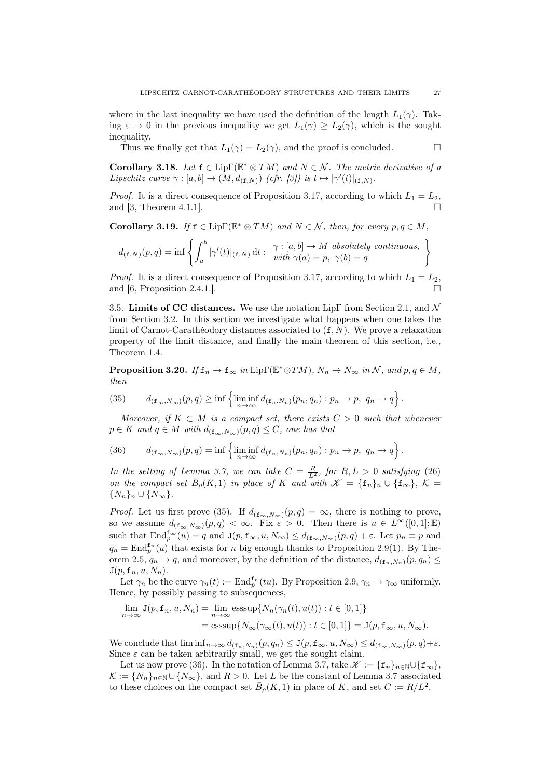where in the last inequality we have used the definition of the length  $L_1(\gamma)$ . Taking  $\varepsilon \to 0$  in the previous inequality we get  $L_1(\gamma) \geq L_2(\gamma)$ , which is the sought inequality.

Thus we finally get that  $L_1(\gamma) = L_2(\gamma)$ , and the proof is concluded.

**Corollary 3.18.** Let  $f \in \text{Lip}\Gamma(\mathbb{E}^* \otimes TM)$  and  $N \in \mathcal{N}$ . The metric derivative of a Lipschitz curve  $\gamma : [a, b] \to (M, d_{(\mathbf{f}, N)})$  (cfr. [\[3](#page-44-4)]) is  $t \mapsto |\gamma'(t)|_{(\mathbf{f}, N)}$ .

*Proof.* It is a direct consequence of Proposition [3.17,](#page-24-1) according to which  $L_1 = L_2$ , and [\[3](#page-44-4), Theorem 4.1.1].

<span id="page-26-1"></span>**Corollary 3.19.** If  $f \in \text{Lip}\Gamma(\mathbb{E}^* \otimes TM)$  and  $N \in \mathcal{N}$ , then, for every  $p, q \in M$ ,

$$
d_{(\mathbf{f},N)}(p,q) = \inf \left\{ \int_a^b |\gamma'(t)|_{(\mathbf{f},N)} dt : \begin{array}{l} \gamma : [a,b] \to M \text{ absolutely continuous,} \\ \text{with } \gamma(a) = p, \ \gamma(b) = q \end{array} \right.
$$

*Proof.* It is a direct consequence of Proposition [3.17,](#page-24-1) according to which  $L_1 = L_2$ , and [\[6](#page-45-7), Proposition 2.4.1.].

<span id="page-26-0"></span>3.5. Limits of CC distances. We use the notation LipΓ from Section [2.1,](#page-7-0) and  $\mathcal N$ from Section [3.2.](#page-16-0) In this section we investigate what happens when one takes the limit of Carnot-Carathéodory distances associated to  $(f, N)$ . We prove a relaxation property of the limit distance, and finally the main theorem of this section, i.e., Theorem [1.4.](#page-3-0)

<span id="page-26-2"></span>**Proposition 3.20.** If  $f_n \to f_\infty$  in Lip $\Gamma(\mathbb{E}^*\otimes TM)$ ,  $N_n \to N_\infty$  in N, and  $p, q \in M$ , then

<span id="page-26-3"></span>(35) 
$$
d_{(\mathbf{f}_{\infty},N_{\infty})}(p,q) \geq \inf \left\{ \liminf_{n \to \infty} d_{(\mathbf{f}_{n},N_{n})}(p_{n},q_{n}) : p_{n} \to p, q_{n} \to q \right\}.
$$

Moreover, if  $K \subset M$  is a compact set, there exists  $C > 0$  such that whenever  $p \in K$  and  $q \in M$  with  $d_{(\mathbf{f}_{\infty},N_{\infty})}(p,q) \leq C$ , one has that

<span id="page-26-4"></span>(36) 
$$
d_{(\mathbf{f}_{\infty},N_{\infty})}(p,q)=\inf\left\{\liminf_{n\to\infty}d_{(\mathbf{f}_n,N_n)}(p_n,q_n):p_n\to p,\ q_n\to q\right\}.
$$

In the setting of Lemma [3.7,](#page-18-7) we can take  $C = \frac{R}{L^2}$ , for  $R, L > 0$  satisfying [\(26\)](#page-18-4) on the compact set  $\bar{B}_{\rho}(K,1)$  in place of K and with  $\mathscr{K} = {\{\mathbf{f}_n\}_n \cup {\{\mathbf{f}_{\infty}\}}},\ K =$  $\{N_n\}_n \cup \{N_\infty\}.$ 

*Proof.* Let us first prove [\(35\)](#page-26-3). If  $d_{(\mathbf{f}_{\infty},N_{\infty})}(p,q) = \infty$ , there is nothing to prove, so we assume  $d_{(\mathbf{f}_{\infty},N_{\infty})}(p,q) < \infty$ . Fix  $\varepsilon > 0$ . Then there is  $u \in L^{\infty}([0,1];\mathbb{E})$ such that  $\text{End}_{p}^{\mathbf{f}_{\infty}}(u) = q$  and  $\mathbf{J}(p, \mathbf{f}_{\infty}, u, N_{\infty}) \leq d_{(\mathbf{f}_{\infty}, N_{\infty})}(p, q) + \varepsilon$ . Let  $p_n \equiv p$  and  $q_n = \text{End}_{p}^{\mathbf{f}_n}(u)$  that exists for n big enough thanks to Proposition [2.9\(](#page-10-0)1). By The-orem [2.5,](#page-8-1)  $q_n \to q$ , and moreover, by the definition of the distance,  $d_{(\mathbf{f}_n,N_n)}(p,q_n) \leq$  $J(p, \mathbf{f}_n, u, N_n)$ .

Let  $\gamma_n$  be the curve  $\gamma_n(t) := \text{End}_{p}^{\mathbf{f}_n}(tu)$ . By Proposition [2.9,](#page-10-0)  $\gamma_n \to \gamma_\infty$  uniformly. Hence, by possibly passing to subsequences,

$$
\lim_{n \to \infty} J(p, \mathbf{f}_n, u, N_n) = \lim_{n \to \infty} \operatorname{esssup} \{ N_n(\gamma_n(t), u(t)) : t \in [0, 1] \}
$$
  
= 
$$
\operatorname{esssup} \{ N_\infty(\gamma_\infty(t), u(t)) : t \in [0, 1] \} = J(p, \mathbf{f}_\infty, u, N_\infty).
$$

We conclude that  $\liminf_{n\to\infty} d_{(\mathbf{f}_n,N_n)}(p,q_n) \leq \mathbf{J}(p,\mathbf{f}_{\infty},u,N_{\infty}) \leq d_{(\mathbf{f}_{\infty},N_{\infty})}(p,q)+\varepsilon$ . Since  $\varepsilon$  can be taken arbitrarily small, we get the sought claim.

Let us now prove [\(36\)](#page-26-4). In the notation of Lemma [3.7,](#page-18-7) take  $\mathscr{K} := {\{\mathbf{f}_n\}_{n \in \mathbb{N}} \cup {\{\mathbf{f}_{\infty}\}}\,$  $\mathcal{K} := \{N_n\}_{n\in\mathbb{N}} \cup \{N_\infty\}$ , and  $R > 0$ . Let L be the constant of Lemma [3.7](#page-18-7) associated to these choices on the compact set  $\bar{B}_{\rho}(K,1)$  in place of K, and set  $C := R/L^2$ .

 $\mathcal{L}$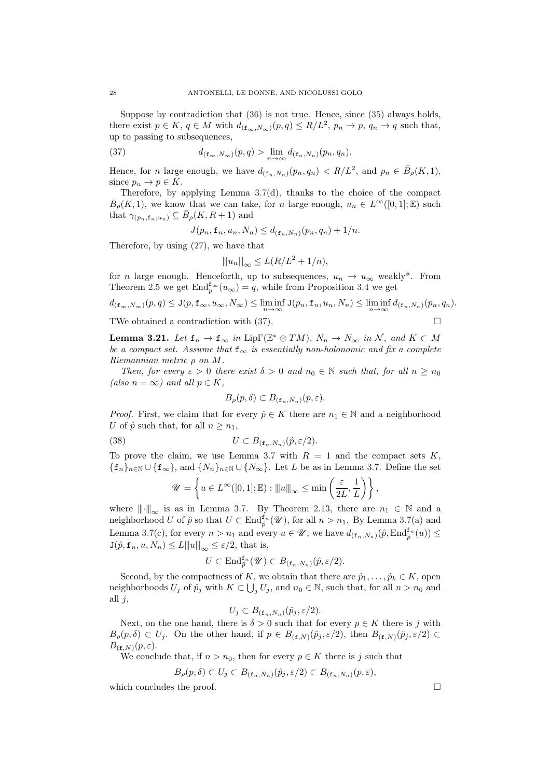Suppose by contradiction that [\(36\)](#page-26-4) is not true. Hence, since [\(35\)](#page-26-3) always holds, there exist  $p \in K$ ,  $q \in M$  with  $d_{(\mathbf{f}_{\infty}, N_{\infty})}(p, q) \le R/L^2$ ,  $p_n \to p$ ,  $q_n \to q$  such that, up to passing to subsequences,

(37) 
$$
d_{(\mathbf{f}_{\infty},N_{\infty})}(p,q) > \lim_{n \to \infty} d_{(\mathbf{f}_{n},N_{n})}(p_{n},q_{n}).
$$

Hence, for *n* large enough, we have  $d_{(\mathbf{f}_n,N_n)}(p_n,q_n) < R/L^2$ , and  $p_n \in \bar{B}_{\rho}(K,1)$ , since  $p_n \to p \in K$ .

Therefore, by applying Lemma [3.7\(](#page-18-7)d), thanks to the choice of the compact  $\bar{B}_{\rho}(K,1)$ , we know that we can take, for n large enough,  $u_n \in L^{\infty}([0,1];\mathbb{E})$  such that  $\gamma_{(p_n, \mathbf{f}_n, u_n)} \subseteq \bar{B}_{\rho}(K, R+1)$  and

<span id="page-27-1"></span>
$$
J(p_n, \mathbf{f}_n, u_n, N_n) \leq d_{(\mathbf{f}_n, N_n)}(p_n, q_n) + 1/n.
$$

Therefore, by using [\(27\)](#page-19-4), we have that

$$
||u_n||_{\infty} \le L(R/L^2 + 1/n),
$$

for *n* large enough. Henceforth, up to subsequences,  $u_n \to u_\infty$  weakly<sup>\*</sup>. From Theorem [2.5](#page-8-1) we get  $\text{End}_{p}^{\mathbf{f}_{\infty}}(u_{\infty})=q$ , while from Proposition [3.4](#page-16-1) we get

$$
d_{(\mathbf{f}_{\infty},N_{\infty})}(p,q) \leq \mathbf{J}(p,\mathbf{f}_{\infty},u_{\infty},N_{\infty}) \leq \liminf_{n \to \infty} \mathbf{J}(p_n,\mathbf{f}_n,u_n,N_n) \leq \liminf_{n \to \infty} d_{(\mathbf{f}_n,N_n)}(p_n,q_n).
$$

TWe obtained a contradiction with [\(37\)](#page-27-1).

<span id="page-27-0"></span>**Lemma 3.21.** Let  $f_n \to f_\infty$  in Lip $\Gamma(\mathbb{E}^* \otimes TM)$ ,  $N_n \to N_\infty$  in N, and  $K \subset M$ be a compact set. Assume that  $f_{\infty}$  is essentially non-holonomic and fix a complete Riemannian metric  $\rho$  on  $M$ .

Then, for every  $\varepsilon > 0$  there exist  $\delta > 0$  and  $n_0 \in \mathbb{N}$  such that, for all  $n \geq n_0$ (also  $n = \infty$ ) and all  $p \in K$ ,

$$
B_{\rho}(p,\delta) \subset B_{(\mathbf{f}_n,N_n)}(p,\varepsilon).
$$

*Proof.* First, we claim that for every  $\hat{p} \in K$  there are  $n_1 \in \mathbb{N}$  and a neighborhood U of  $\hat{p}$  such that, for all  $n \geq n_1$ ,

(38) 
$$
U \subset B_{(\mathbf{f}_n, N_n)}(\hat{p}, \varepsilon/2).
$$

To prove the claim, we use Lemma [3.7](#page-18-7) with  $R = 1$  and the compact sets K.  ${f_n}_{n\in\mathbb{N}}\cup{f_{\infty}}$ , and  ${N_n}_{n\in\mathbb{N}}\cup{N_{\infty}}$ . Let L be as in Lemma [3.7.](#page-18-7) Define the set

$$
\mathscr{U} = \left\{ u \in L^{\infty}([0,1];\mathbb{E}) : |||u||_{\infty} \leq \min\left(\frac{\varepsilon}{2L},\frac{1}{L}\right) \right\},\,
$$

where  $\|\cdot\|_{\infty}$  is as in Lemma [3.7.](#page-18-7) By Theorem [2.13,](#page-12-2) there are  $n_1 \in \mathbb{N}$  and a neighborhood U of  $\hat{p}$  so that  $U \subset \text{End}_{\hat{p}}^{\tilde{f}_n}(\mathscr{U})$ , for all  $n > n_1$ . By Lemma [3.7\(](#page-18-7)a) and Lemma [3.7\(](#page-18-7)c), for every  $n > n_1$  and every  $u \in \mathscr{U}$ , we have  $d_{(\mathbf{f}_n,N_n)}(\hat{p}, \text{End}_{\hat{p}}^{\mathbf{f}_n}(u)) \leq$  $J(\hat{p}, \mathbf{f}_n, u, N_n) \leq L \|u\|_{\infty} \leq \varepsilon/2$ , that is,

$$
U \subset \mathrm{End}^{\mathtt{f}_n}_{\hat{p}}(\mathscr{U}) \subset B_{(\mathtt{f}_n,N_n)}(\hat{p},\varepsilon/2).
$$

Second, by the compactness of K, we obtain that there are  $\hat{p}_1, \ldots, \hat{p}_k \in K$ , open neighborhoods  $U_j$  of  $\hat{p}_j$  with  $K \subset \bigcup_j U_j$ , and  $n_0 \in \mathbb{N}$ , such that, for all  $n > n_0$  and all  $j$ ,

$$
U_j \subset B_{(\mathbf{f}_n, N_n)}(\hat{p}_j, \varepsilon/2).
$$

Next, on the one hand, there is  $\delta > 0$  such that for every  $p \in K$  there is j with  $B_{\rho}(p,\delta) \subset U_j$ . On the other hand, if  $p \in B_{(\mathbf{f},N)}(\hat{p}_j,\varepsilon/2)$ , then  $B_{(\mathbf{f},N)}(\hat{p}_j,\varepsilon/2) \subset$  $B_{(\mathbf{f},N)}(p,\varepsilon).$ 

We conclude that, if  $n > n_0$ , then for every  $p \in K$  there is j such that

$$
B_{\rho}(p,\delta) \subset U_j \subset B_{(\mathbf{f}_n,N_n)}(\hat{p}_j,\varepsilon/2) \subset B_{(\mathbf{f}_n,N_n)}(p,\varepsilon),
$$

which concludes the proof.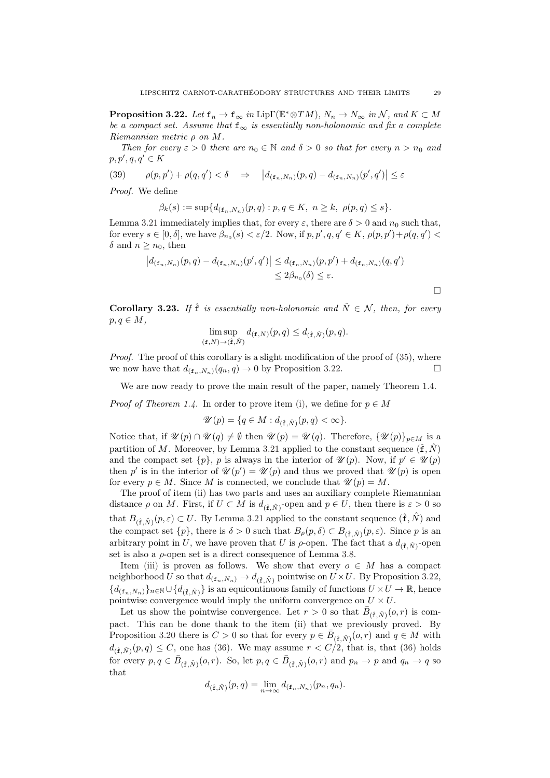<span id="page-28-0"></span>**Proposition 3.22.** Let  $f_n \to f_\infty$  in Lip $\Gamma(\mathbb{E}^*\otimes TM)$ ,  $N_n \to N_\infty$  in  $\mathcal{N}$ , and  $K \subset M$ be a compact set. Assume that  $f_{\infty}$  is essentially non-holonomic and fix a complete Riemannian metric ρ on M.

Then for every  $\varepsilon > 0$  there are  $n_0 \in \mathbb{N}$  and  $\delta > 0$  so that for every  $n > n_0$  and  $p, p', q, q' \in K$ 

(39) 
$$
\rho(p, p') + \rho(q, q') < \delta \quad \Rightarrow \quad \left| d_{(\mathbf{f}_n, N_n)}(p, q) - d_{(\mathbf{f}_n, N_n)}(p', q') \right| \leq \varepsilon
$$

Proof. We define

$$
\beta_k(s) := \sup \{ d_{(\mathbf{f}_n, N_n)}(p, q) : p, q \in K, \ n \ge k, \ \rho(p, q) \le s \}.
$$

Lemma [3.21](#page-27-0) immediately implies that, for every  $\varepsilon$ , there are  $\delta > 0$  and  $n_0$  such that, for every  $s \in [0, \delta]$ , we have  $\beta_{n_0}(s) < \varepsilon/2$ . Now, if  $p, p', q, q' \in K$ ,  $\rho(p, p') + \rho(q, q') <$ δ and  $n \geq n_0$ , then

$$
|d_{(\mathbf{f}_n, N_n)}(p, q) - d_{(\mathbf{f}_n, N_n)}(p', q')| \leq d_{(\mathbf{f}_n, N_n)}(p, p') + d_{(\mathbf{f}_n, N_n)}(q, q')
$$
  

$$
\leq 2\beta_{n_0}(\delta) \leq \varepsilon.
$$

 $\Box$ 

<span id="page-28-1"></span>**Corollary 3.23.** If  $\hat{\mathbf{f}}$  is essentially non-holonomic and  $\hat{N} \in \mathcal{N}$ , then, for every  $p, q \in M$ ,

$$
\limsup_{(\mathbf{f},N)\to(\hat{\mathbf{f}},\hat{N})} d_{(\mathbf{f},N)}(p,q) \leq d_{(\hat{\mathbf{f}},\hat{N})}(p,q).
$$

Proof. The proof of this corollary is a slight modification of the proof of  $(35)$ , where we now have that  $d_{(f_n,N_n)}(q_n, q) \to 0$  by Proposition [3.22.](#page-28-0)

We are now ready to prove the main result of the paper, namely Theorem [1.4.](#page-3-0)

*Proof of Theorem [1.4.](#page-3-0)* In order to prove item [\(i\),](#page-3-2) we define for  $p \in M$ 

$$
\mathscr{U}(p) = \{ q \in M : d_{(\hat{\mathbf{f}}, \hat{N})}(p, q) < \infty \}.
$$

Notice that, if  $\mathscr{U}(p) \cap \mathscr{U}(q) \neq \emptyset$  then  $\mathscr{U}(p) = \mathscr{U}(q)$ . Therefore,  $\{\mathscr{U}(p)\}_{p \in M}$  is a partition of M. Moreover, by Lemma [3.21](#page-27-0) applied to the constant sequence  $(\hat{\mathbf{f}}, \hat{N})$ and the compact set  $\{p\}$ , p is always in the interior of  $\mathscr{U}(p)$ . Now, if  $p' \in \mathscr{U}(p)$ then p' is in the interior of  $\mathscr{U}(p') = \mathscr{U}(p)$  and thus we proved that  $\mathscr{U}(p)$  is open for every  $p \in M$ . Since M is connected, we conclude that  $\mathscr{U}(p) = M$ .

The proof of item [\(ii\)](#page-3-3) has two parts and uses an auxiliary complete Riemannian distance  $\rho$  on M. First, if  $U \subset M$  is  $d_{(\hat{f}, \hat{N})}$ -open and  $p \in U$ , then there is  $\varepsilon > 0$  so that  $B_{(\hat{\mathbf{f}},\hat{N})}(p,\varepsilon) \subset U$ . By Lemma [3.21](#page-27-0) applied to the constant sequence  $(\hat{\mathbf{f}},\hat{N})$  and the compact set  $\{p\}$ , there is  $\delta > 0$  such that  $B_{\rho}(p, \delta) \subset B_{(\hat{\mathbf{f}}, \hat{N})}(p, \varepsilon)$ . Since p is an arbitrary point in U, we have proven that U is  $\rho$ -open. The fact that a  $d_{(\hat{\mathbf{f}}, \hat{N})}$ -open set is also a  $\rho$ -open set is a direct consequence of Lemma [3.8.](#page-19-0)

Item [\(iii\)](#page-3-4) is proven as follows. We show that every  $o \in M$  has a compact neighborhood U so that  $d_{(\mathbf{f}_n,N_n)} \to d_{(\hat{\mathbf{f}},\hat{N})}$  pointwise on  $U \times U$ . By Proposition [3.22,](#page-28-0)  ${d_{(\hat{\mathbf{f}}_n,N_n)}}_{n\in\mathbb{N}}\cup{d_{(\hat{\mathbf{f}}_n,N)}}$  is an equicontinuous family of functions  $U\times U\to\mathbb{R}$ , hence pointwise convergence would imply the uniform convergence on  $U \times U$ .

Let us show the pointwise convergence. Let  $r > 0$  so that  $\bar{B}_{(\hat{\mathbf{f}},\hat{N})}(o,r)$  is compact. This can be done thank to the item (ii) that we previously proved. By Proposition [3.20](#page-26-2) there is  $C > 0$  so that for every  $p \in \bar{B}_{(\hat{\mathbf{f}},\hat{N})}(o,r)$  and  $q \in M$  with  $d_{(\hat{\mathbf{f}},\hat{N})}(p,q) \leq C$ , one has [\(36\)](#page-26-4). We may assume  $r < C/2$ , that is, that (36) holds for every  $p, q \in \overline{B}_{(\hat{\mathbf{f}}, \hat{N})}(o, r)$ . So, let  $p, q \in \overline{B}_{(\hat{\mathbf{f}}, \hat{N})}(o, r)$  and  $p_n \to p$  and  $q_n \to q$  so that

$$
d_{(\hat{\mathbf{f}},\hat{N})}(p,q)=\lim_{n\to\infty}d_{(\mathbf{f}_n,N_n)}(p_n,q_n).
$$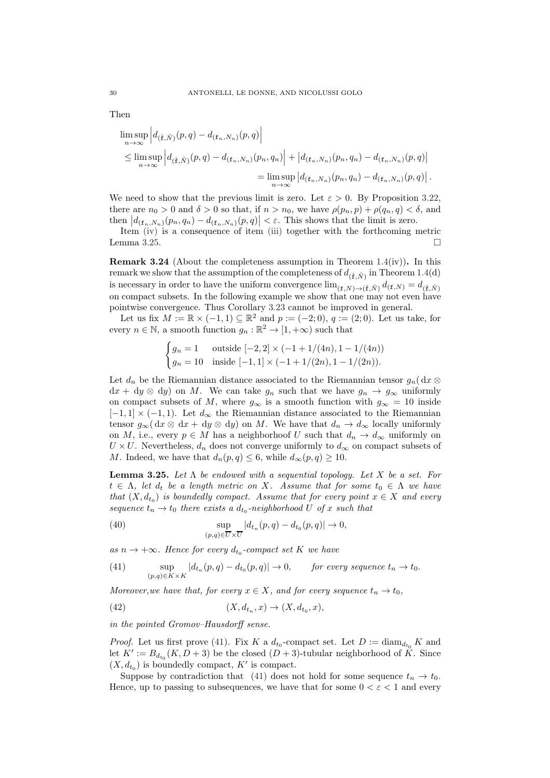$$
\limsup_{n \to \infty} \left| d_{(\hat{\mathbf{f}}, \hat{N})}(p, q) - d_{(\mathbf{f}_n, N_n)}(p, q) \right|
$$
\n
$$
\leq \limsup_{n \to \infty} \left| d_{(\hat{\mathbf{f}}, \hat{N})}(p, q) - d_{(\mathbf{f}_n, N_n)}(p_n, q_n) \right| + \left| d_{(\mathbf{f}_n, N_n)}(p_n, q_n) - d_{(\mathbf{f}_n, N_n)}(p, q) \right|
$$
\n
$$
= \limsup_{n \to \infty} \left| d_{(\mathbf{f}_n, N_n)}(p_n, q_n) - d_{(\mathbf{f}_n, N_n)}(p, q) \right|.
$$

We need to show that the previous limit is zero. Let  $\varepsilon > 0$ . By Proposition [3.22,](#page-28-0) there are  $n_0 > 0$  and  $\delta > 0$  so that, if  $n > n_0$ , we have  $\rho(p_n, p) + \rho(q_n, q) < \delta$ , and then  $|d_{(\mathbf{f}_n,N_n)}(p_n,q_n)-d_{(\mathbf{f}_n,N_n)}(p,q)| < \varepsilon$ . This shows that the limit is zero.

Item [\(iv\)](#page-3-5) is a consequence of item [\(iii\)](#page-3-4) together with the forthcoming metric Lemma [3.25.](#page-29-1)  $\Box$ 

<span id="page-29-0"></span>**Remark 3.24** (About the completeness assumption in Theorem [1.4\(](#page-3-0)iv)). In this remark we show that the assumption of the completeness of  $d_{(\hat{\mathbf{f}}, \hat{N})}$  in Theorem [1.4\(](#page-3-0)d) is necessary in order to have the uniform convergence  $\lim_{(\mathbf{f},N)\to(\hat{\mathbf{f}},\hat{N})}d_{(\mathbf{f},N)} = d_{(\hat{\mathbf{f}},\hat{N})}$ on compact subsets. In the following example we show that one may not even have pointwise convergence. Thus Corollary [3.23](#page-28-1) cannot be improved in general.

Let us fix  $M := \mathbb{R} \times (-1, 1) \subseteq \mathbb{R}^2$  and  $p := (-2, 0), q := (2, 0)$ . Let us take, for every  $n \in \mathbb{N}$ , a smooth function  $g_n : \mathbb{R}^2 \to [1, +\infty)$  such that

$$
\begin{cases} g_n = 1 & \text{outside } [-2, 2] \times (-1 + 1/(4n), 1 - 1/(4n)) \\ g_n = 10 & \text{inside } [-1, 1] \times (-1 + 1/(2n), 1 - 1/(2n)). \end{cases}
$$

Let  $d_n$  be the Riemannian distance associated to the Riemannian tensor  $g_n(dx \otimes$  $dx + dy \otimes dy$  on M. We can take  $g_n$  such that we have  $g_n \to g_\infty$  uniformly on compact subsets of M, where  $g_{\infty}$  is a smooth function with  $g_{\infty} = 10$  inside  $[-1, 1] \times (-1, 1)$ . Let  $d_{\infty}$  the Riemannian distance associated to the Riemannian tensor  $g_{\infty}(\mathrm{d}x \otimes \mathrm{d}x + \mathrm{d}y \otimes \mathrm{d}y)$  on M. We have that  $d_n \to d_{\infty}$  locally uniformly on M, i.e., every  $p \in M$  has a neighborhoof U such that  $d_n \to d_\infty$  uniformly on  $U \times U$ . Nevertheless,  $d_n$  does not converge uniformly to  $d_{\infty}$  on compact subsets of M. Indeed, we have that  $d_n(p,q) \leq 6$ , while  $d_\infty(p,q) \geq 10$ .

<span id="page-29-1"></span>**Lemma 3.25.** Let  $\Lambda$  be endowed with a sequential topology. Let  $X$  be a set. For  $t \in \Lambda$ , let  $d_t$  be a length metric on X. Assume that for some  $t_0 \in \Lambda$  we have that  $(X, d_{t_0})$  is boundedly compact. Assume that for every point  $x \in X$  and every sequence  $t_n \to t_0$  there exists a  $d_{t_0}$ -neighborhood U of x such that

<span id="page-29-3"></span>(40) 
$$
\sup_{(p,q)\in\overline{U}\times\overline{U}}|d_{t_n}(p,q)-d_{t_0}(p,q)|\to 0,
$$

as  $n \to +\infty$ . Hence for every  $d_{t_0}$ -compact set K we have

<span id="page-29-2"></span>(41) sup  $\sup_{(p,q)\in K\times K} |d_{t_n}(p,q)-d_{t_0}(p,q)|\to 0,$  for every sequence  $t_n\to t_0$ .

Moreover, we have that, for every  $x \in X$ , and for every sequence  $t_n \to t_0$ ,

<span id="page-29-4"></span>(42) 
$$
(X, d_{t_n}, x) \to (X, d_{t_0}, x),
$$

in the pointed Gromov–Hausdorff sense.

*Proof.* Let us first prove [\(41\)](#page-29-2). Fix K a  $d_{t_0}$ -compact set. Let  $D := \text{diam}_{d_{t_0}} K$  and let  $K' := B_{d_{t_0}}(K, D + 3)$  be the closed  $(D + 3)$ -tubular neighborhood of  $K$ . Since  $(X, d_{t_0})$  is boundedly compact, K' is compact.

Suppose by contradiction that [\(41\)](#page-29-2) does not hold for some sequence  $t_n \to t_0$ . Hence, up to passing to subsequences, we have that for some  $0 < \varepsilon < 1$  and every

Then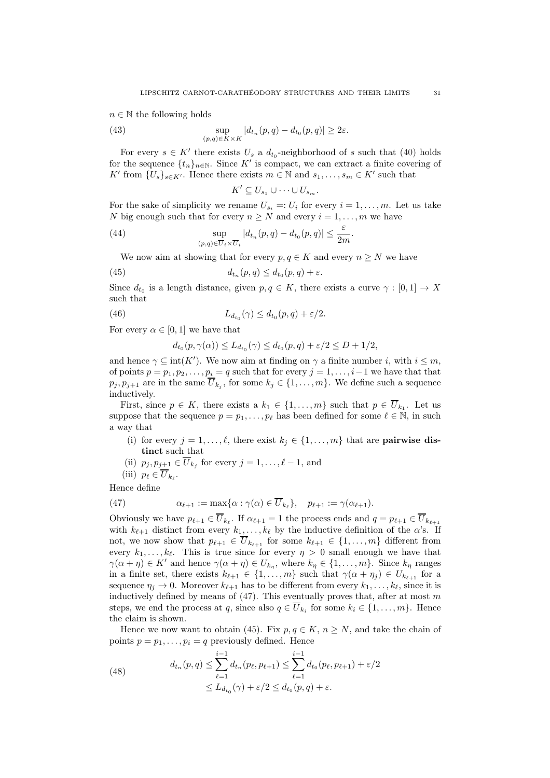$n \in \mathbb{N}$  the following holds

(43) 
$$
\sup_{(p,q)\in K\times K} |d_{t_n}(p,q)-d_{t_0}(p,q)|\geq 2\varepsilon.
$$

For every  $s \in K'$  there exists  $U_s$  a  $d_{t_0}$ -neighborhood of s such that [\(40\)](#page-29-3) holds for the sequence  $\{t_n\}_{n\in\mathbb{N}}$ . Since K' is compact, we can extract a finite covering of K' from  $\{U_s\}_{s\in K'}$ . Hence there exists  $m \in \mathbb{N}$  and  $s_1, \ldots, s_m \in K'$  such that

<span id="page-30-5"></span><span id="page-30-2"></span><span id="page-30-1"></span>
$$
K' \subseteq U_{s_1} \cup \cdots \cup U_{s_m}.
$$

For the sake of simplicity we rename  $U_{s_i} =: U_i$  for every  $i = 1, \ldots, m$ . Let us take N big enough such that for every  $n \geq N$  and every  $i = 1, ..., m$  we have

.

(44) 
$$
\sup_{(p,q)\in \overline{U}_i\times \overline{U}_i} |d_{t_n}(p,q) - d_{t_0}(p,q)| \leq \frac{\varepsilon}{2m}
$$

We now aim at showing that for every  $p, q \in K$  and every  $n \geq N$  we have

(45) 
$$
d_{t_n}(p,q) \leq d_{t_0}(p,q) + \varepsilon.
$$

Since  $d_{t_0}$  is a length distance, given  $p, q \in K$ , there exists a curve  $\gamma : [0, 1] \to X$ such that

(46) 
$$
L_{d_{t_0}}(\gamma) \leq d_{t_0}(p,q) + \varepsilon/2.
$$

For every  $\alpha \in [0, 1]$  we have that

<span id="page-30-3"></span>
$$
d_{t_0}(p,\gamma(\alpha)) \le L_{d_{t_0}}(\gamma) \le d_{t_0}(p,q) + \varepsilon/2 \le D + 1/2,
$$

and hence  $\gamma \subseteq \text{int}(K')$ . We now aim at finding on  $\gamma$  a finite number i, with  $i \leq m$ , of points  $p = p_1, p_2, \ldots, p_i = q$  such that for every  $j = 1, \ldots, i-1$  we have that that  $p_j, p_{j+1}$  are in the same  $U_{k_j}$ , for some  $k_j \in \{1, \ldots, m\}$ . We define such a sequence inductively.

First, since  $p \in K$ , there exists a  $k_1 \in \{1, \ldots, m\}$  such that  $p \in U_{k_1}$ . Let us suppose that the sequence  $p = p_1, \ldots, p_\ell$  has been defined for some  $\ell \in \mathbb{N}$ , in such a way that

- (i) for every  $j = 1, ..., \ell$ , there exist  $k_j \in \{1, ..., m\}$  that are **pairwise dis**tinct such that
- (ii)  $p_j, p_{j+1} \in U_{k_j}$  for every  $j = 1, \ldots, \ell 1$ , and
- <span id="page-30-0"></span>(iii)  $p_{\ell} \in U_{k_{\ell}}$ .

Hence define

(47) 
$$
\alpha_{\ell+1} := \max\{\alpha : \gamma(\alpha) \in \overline{U}_{k_{\ell}}\}, \quad p_{\ell+1} := \gamma(\alpha_{\ell+1}).
$$

Obviously we have  $p_{\ell+1} \in U_{k_{\ell}}$ . If  $\alpha_{\ell+1} = 1$  the process ends and  $q = p_{\ell+1} \in U_{k_{\ell+1}}$ with  $k_{\ell+1}$  distinct from every  $k_1, \ldots, k_{\ell}$  by the inductive definition of the  $\alpha$ 's. If not, we now show that  $p_{\ell+1} \in \overline{U}_{k_{\ell+1}}$  for some  $k_{\ell+1} \in \{1, ..., m\}$  different from every  $k_1, \ldots, k_\ell$ . This is true since for every  $\eta > 0$  small enough we have that  $\gamma(\alpha + \eta) \in K'$  and hence  $\gamma(\alpha + \eta) \in U_{k_{\eta}},$  where  $k_{\eta} \in \{1, ..., m\}$ . Since  $k_{\eta}$  ranges in a finite set, there exists  $k_{\ell+1} \in \{1, \ldots, m\}$  such that  $\gamma(\alpha + \eta_i) \in U_{k_{\ell+1}}$  for a sequence  $\eta_i \to 0$ . Moreover  $k_{\ell+1}$  has to be different from every  $k_1, \ldots, k_{\ell}$ , since it is inductively defined by means of  $(47)$ . This eventually proves that, after at most m steps, we end the process at q, since also  $q \in U_{k_i}$  for some  $k_i \in \{1, \ldots, m\}$ . Hence the claim is shown.

Hence we now want to obtain [\(45\)](#page-30-1). Fix  $p, q \in K$ ,  $n \geq N$ , and take the chain of points  $p = p_1, \ldots, p_i = q$  previously defined. Hence

<span id="page-30-4"></span>(48) 
$$
d_{t_n}(p,q) \leq \sum_{\ell=1}^{i-1} d_{t_n}(p_{\ell}, p_{\ell+1}) \leq \sum_{\ell=1}^{i-1} d_{t_0}(p_{\ell}, p_{\ell+1}) + \varepsilon/2 \leq L_{d_{t_0}}(\gamma) + \varepsilon/2 \leq d_{t_0}(p, q) + \varepsilon.
$$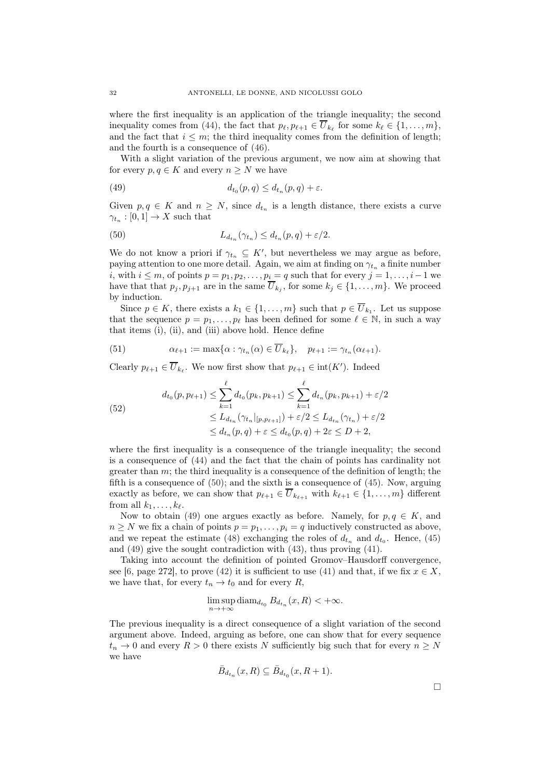where the first inequality is an application of the triangle inequality; the second inequality comes from [\(44\)](#page-30-2), the fact that  $p_{\ell}, p_{\ell+1} \in U_{k_{\ell}}$  for some  $k_{\ell} \in \{1, ..., m\}$ , and the fact that  $i \leq m$ ; the third inequality comes from the definition of length; and the fourth is a consequence of [\(46\)](#page-30-3).

With a slight variation of the previous argument, we now aim at showing that for every  $p, q \in K$  and every  $n \geq N$  we have

<span id="page-31-1"></span>(49) 
$$
d_{t_0}(p,q) \leq d_{t_n}(p,q) + \varepsilon.
$$

Given  $p, q \in K$  and  $n \geq N$ , since  $d_{t_n}$  is a length distance, there exists a curve  $\gamma_{t_n} : [0,1] \to X$  such that

<span id="page-31-0"></span>(50) 
$$
L_{d_{t_n}}(\gamma_{t_n}) \leq d_{t_n}(p,q) + \varepsilon/2.
$$

We do not know a priori if  $\gamma_{t_n} \subseteq K'$ , but nevertheless we may argue as before, paying attention to one more detail. Again, we aim at finding on  $\gamma_{t_n}$  a finite number i, with  $i \leq m$ , of points  $p = p_1, p_2, \ldots, p_i = q$  such that for every  $j = 1, \ldots, i-1$  we have that that  $p_j, p_{j+1}$  are in the same  $U_{k_j}$ , for some  $k_j \in \{1, \ldots, m\}$ . We proceed by induction.

Since  $p \in K$ , there exists a  $k_1 \in \{1, ..., m\}$  such that  $p \in U_{k_1}$ . Let us suppose that the sequence  $p = p_1, \ldots, p_\ell$  has been defined for some  $\ell \in \mathbb{N}$ , in such a way that items (i), (ii), and (iii) above hold. Hence define

(51) 
$$
\alpha_{\ell+1} := \max\{\alpha : \gamma_{t_n}(\alpha) \in \overline{U}_{k_{\ell}}\}, \quad p_{\ell+1} := \gamma_{t_n}(\alpha_{\ell+1}).
$$

Clearly  $p_{\ell+1} \in \overline{U}_{k_{\ell}}$ . We now first show that  $p_{\ell+1} \in \text{int}(K')$ . Indeed

(52)  

$$
d_{t_0}(p, p_{\ell+1}) \leq \sum_{k=1}^{\ell} d_{t_0}(p_k, p_{k+1}) \leq \sum_{k=1}^{\ell} d_{t_n}(p_k, p_{k+1}) + \varepsilon/2
$$

$$
\leq L_{d_{t_n}}(\gamma_{t_n}|_{[p, p_{\ell+1}]}) + \varepsilon/2 \leq L_{d_{t_n}}(\gamma_{t_n}) + \varepsilon/2
$$

$$
\leq d_{t_n}(p, q) + \varepsilon \leq d_{t_0}(p, q) + 2\varepsilon \leq D + 2,
$$

where the first inequality is a consequence of the triangle inequality; the second is a consequence of [\(44\)](#page-30-2) and the fact that the chain of points has cardinality not greater than  $m$ ; the third inequality is a consequence of the definition of length; the fifth is a consequence of [\(50\)](#page-31-0); and the sixth is a consequence of [\(45\)](#page-30-1). Now, arguing exactly as before, we can show that  $p_{\ell+1} \in \overline{U}_{k_{\ell+1}}$  with  $k_{\ell+1} \in \{1, \ldots, m\}$  different from all  $k_1, \ldots, k_\ell$ .

Now to obtain [\(49\)](#page-31-1) one argues exactly as before. Namely, for  $p, q \in K$ , and  $n \geq N$  we fix a chain of points  $p = p_1, \ldots, p_i = q$  inductively constructed as above, and we repeat the estimate [\(48\)](#page-30-4) exchanging the roles of  $d_{t_n}$  and  $d_{t_0}$ . Hence, [\(45\)](#page-30-1) and [\(49\)](#page-31-1) give the sought contradiction with [\(43\)](#page-30-5), thus proving [\(41\)](#page-29-2).

Taking into account the definition of pointed Gromov–Hausdorff convergence, see [\[6](#page-45-7), page 272], to prove [\(42\)](#page-29-4) it is sufficient to use [\(41\)](#page-29-2) and that, if we fix  $x \in X$ , we have that, for every  $t_n \to t_0$  and for every R,

$$
\limsup_{n \to +\infty} \text{diam}_{d_{t_0}} B_{d_{t_n}}(x, R) < +\infty.
$$

The previous inequality is a direct consequence of a slight variation of the second argument above. Indeed, arguing as before, one can show that for every sequence  $t_n \to 0$  and every  $R > 0$  there exists N sufficiently big such that for every  $n \geq N$ we have

$$
\bar{B}_{d_{t_n}}(x,R) \subseteq \bar{B}_{d_{t_0}}(x,R+1).
$$

 $\Box$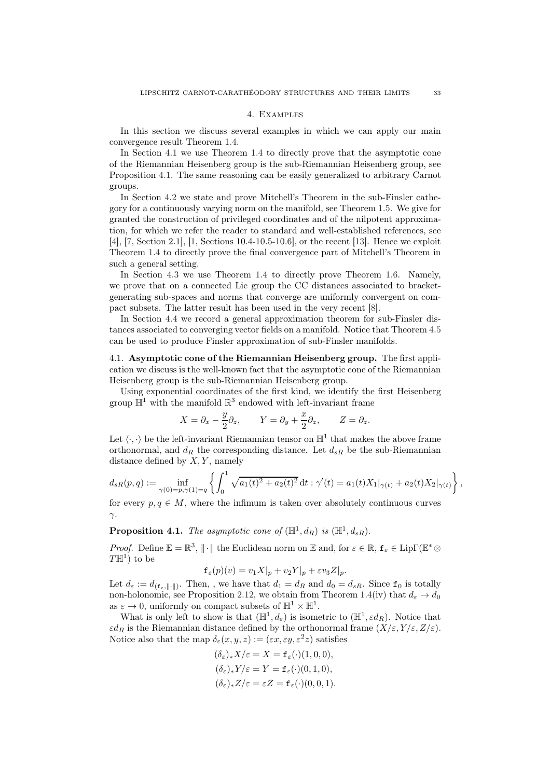#### 4. Examples

<span id="page-32-0"></span>In this section we discuss several examples in which we can apply our main convergence result Theorem [1.4.](#page-3-0)

In Section [4.1](#page-32-1) we use Theorem [1.4](#page-3-0) to directly prove that the asymptotic cone of the Riemannian Heisenberg group is the sub-Riemannian Heisenberg group, see Proposition [4.1.](#page-32-2) The same reasoning can be easily generalized to arbitrary Carnot groups.

In Section [4.2](#page-33-0) we state and prove Mitchell's Theorem in the sub-Finsler cathegory for a continuously varying norm on the manifold, see Theorem [1.5.](#page-5-0) We give for granted the construction of privileged coordinates and of the nilpotent approximation, for which we refer the reader to standard and well-established references, see [\[4](#page-44-1)], [\[7](#page-45-3), Section 2.1], [\[1](#page-44-2), Sections 10.4-10.5-10.6], or the recent [\[13](#page-45-8)]. Hence we exploit Theorem [1.4](#page-3-0) to directly prove the final convergence part of Mitchell's Theorem in such a general setting.

In Section [4.3](#page-35-0) we use Theorem [1.4](#page-3-0) to directly prove Theorem [1.6.](#page-6-1) Namely, we prove that on a connected Lie group the CC distances associated to bracketgenerating sub-spaces and norms that converge are uniformly convergent on compact subsets. The latter result has been used in the very recent [\[8](#page-45-9)].

In Section [4.4](#page-36-0) we record a general approximation theorem for sub-Finsler distances associated to converging vector fields on a manifold. Notice that Theorem [4.5](#page-36-1) can be used to produce Finsler approximation of sub-Finsler manifolds.

<span id="page-32-1"></span>4.1. Asymptotic cone of the Riemannian Heisenberg group. The first application we discuss is the well-known fact that the asymptotic cone of the Riemannian Heisenberg group is the sub-Riemannian Heisenberg group.

Using exponential coordinates of the first kind, we identify the first Heisenberg group  $\mathbb{H}^1$  with the manifold  $\mathbb{R}^3$  endowed with left-invariant frame

$$
X = \partial_x - \frac{y}{2}\partial_z
$$
,  $Y = \partial_y + \frac{x}{2}\partial_z$ ,  $Z = \partial_z$ .

Let  $\langle \cdot, \cdot \rangle$  be the left-invariant Riemannian tensor on  $\mathbb{H}^1$  that makes the above frame orthonormal, and  $d_R$  the corresponding distance. Let  $d_{sR}$  be the sub-Riemannian distance defined by  $X, Y$ , namely

$$
d_{sR}(p,q) := \inf_{\gamma(0)=p,\gamma(1)=q} \left\{ \int_0^1 \sqrt{a_1(t)^2 + a_2(t)^2} dt : \gamma'(t) = a_1(t)X_1|_{\gamma(t)} + a_2(t)X_2|_{\gamma(t)} \right\},
$$

for every  $p, q \in M$ , where the infimum is taken over absolutely continuous curves  $γ$ .

<span id="page-32-2"></span>**Proposition 4.1.** The asymptotic cone of  $(\mathbb{H}^1, d_R)$  is  $(\mathbb{H}^1, d_{sR})$ .

*Proof.* Define  $\mathbb{E} = \mathbb{R}^3$ ,  $\|\cdot\|$  the Euclidean norm on  $\mathbb{E}$  and, for  $\varepsilon \in \mathbb{R}$ ,  $f_{\varepsilon} \in \text{Lip}\Gamma(\mathbb{E}^*\otimes)$  $T\mathbb{H}^{1}$ ) to be

$$
\mathbf{f}_{\varepsilon}(p)(v) = v_1 X|_p + v_2 Y|_p + \varepsilon v_3 Z|_p.
$$

Let  $d_{\varepsilon} := d_{(\mathbf{f}_{\varepsilon}, \| \cdot \|)}$ . Then, , we have that  $d_1 = d_R$  and  $d_0 = d_{sR}$ . Since  $\mathbf{f}_0$  is totally non-holonomic, see Proposition [2.12,](#page-12-1) we obtain from Theorem [1.4\(](#page-3-0)iv) that  $d_{\varepsilon} \to d_0$ as  $\varepsilon \to 0$ , uniformly on compact subsets of  $\mathbb{H}^1 \times \mathbb{H}^1$ .

What is only left to show is that  $(\mathbb{H}^1, d_\varepsilon)$  is isometric to  $(\mathbb{H}^1, \varepsilon d_R)$ . Notice that  $\varepsilon d_R$  is the Riemannian distance defined by the orthonormal frame  $(X/\varepsilon, Y/\varepsilon, Z/\varepsilon)$ . Notice also that the map  $\delta_{\varepsilon}(x, y, z) := (\varepsilon x, \varepsilon y, \varepsilon^2 z)$  satisfies

$$
(\delta_{\varepsilon})_* X/{\varepsilon} = X = \mathbf{f}_{\varepsilon}(\cdot)(1,0,0),
$$
  
\n
$$
(\delta_{\varepsilon})_* Y/{\varepsilon} = Y = \mathbf{f}_{\varepsilon}(\cdot)(0,1,0),
$$
  
\n
$$
(\delta_{\varepsilon})_* Z/{\varepsilon} = {\varepsilon} Z = \mathbf{f}_{\varepsilon}(\cdot)(0,0,1).
$$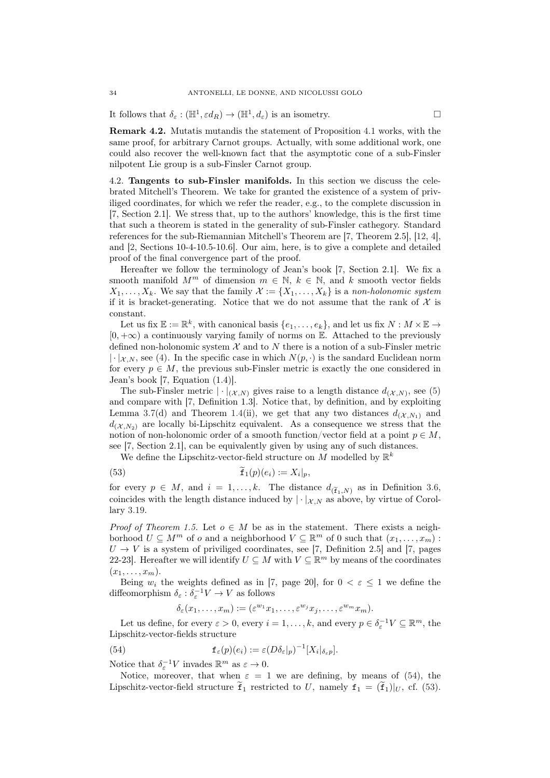It follows that  $\delta_{\varepsilon} : (\mathbb{H}^1, \varepsilon d_R) \to (\mathbb{H}^1, d_{\varepsilon})$  is an isometry.

Remark 4.2. Mutatis mutandis the statement of Proposition [4.1](#page-32-2) works, with the same proof, for arbitrary Carnot groups. Actually, with some additional work, one could also recover the well-known fact that the asymptotic cone of a sub-Finsler nilpotent Lie group is a sub-Finsler Carnot group.

<span id="page-33-0"></span>4.2. Tangents to sub-Finsler manifolds. In this section we discuss the celebrated Mitchell's Theorem. We take for granted the existence of a system of priviliged coordinates, for which we refer the reader, e.g., to the complete discussion in [\[7](#page-45-3), Section 2.1]. We stress that, up to the authors' knowledge, this is the first time that such a theorem is stated in the generality of sub-Finsler cathegory. Standard references for the sub-Riemannian Mitchell's Theorem are [\[7](#page-45-3), Theorem 2.5], [\[12,](#page-45-2) [4](#page-44-1)], and [\[2,](#page-44-3) Sections 10-4-10.5-10.6]. Our aim, here, is to give a complete and detailed proof of the final convergence part of the proof.

Hereafter we follow the terminology of Jean's book [\[7,](#page-45-3) Section 2.1]. We fix a smooth manifold  $M^m$  of dimension  $m \in \mathbb{N}$ ,  $k \in \mathbb{N}$ , and k smooth vector fields  $X_1, \ldots, X_k$ . We say that the family  $\mathcal{X} := \{X_1, \ldots, X_k\}$  is a non-holonomic system if it is bracket-generating. Notice that we do not assume that the rank of  $\mathcal X$  is constant.

Let us fix  $\mathbb{E} := \mathbb{R}^k$ , with canonical basis  $\{e_1, \ldots, e_k\}$ , and let us fix  $N : M \times \mathbb{E} \to$  $[0, +\infty)$  a continuously varying family of norms on E. Attached to the previously defined non-holonomic system  $\mathcal X$  and to  $N$  there is a notion of a sub-Finsler metric  $|\cdot|_{\mathcal{X},N}$ , see [\(4\)](#page-5-1). In the specific case in which  $N(p, \cdot)$  is the sandard Euclidean norm for every  $p \in M$ , the previous sub-Finsler metric is exactly the one considered in Jean's book [\[7,](#page-45-3) Equation (1.4)].

The sub-Finsler metric  $|\cdot|_{(\mathcal{X},N)}$  gives raise to a length distance  $d_{(\mathcal{X},N)}$ , see [\(5\)](#page-5-2) and compare with [\[7](#page-45-3), Definition 1.3]. Notice that, by definition, and by exploiting Lemma [3.7\(](#page-18-7)d) and Theorem [1.4\(](#page-3-0)ii), we get that any two distances  $d_{(\mathcal{X},N_1)}$  and  $d_{(\mathcal{X},N_2)}$  are locally bi-Lipschitz equivalent. As a consequence we stress that the notion of non-holonomic order of a smooth function/vector field at a point  $p \in M$ , see [\[7](#page-45-3), Section 2.1], can be equivalently given by using any of such distances.

<span id="page-33-2"></span>We define the Lipschitz-vector-field structure on  $M$  modelled by  $\mathbb{R}^k$ 

(53) 
$$
\widetilde{\mathbf{f}}_1(p)(e_i) := X_i|_p,
$$

for every  $p \in M$ , and  $i = 1, ..., k$ . The distance  $d_{(\tilde{f}_1,N)}$  as in Definition [3.6,](#page-18-2) coincides with the length distance induced by  $|\cdot|_{\mathcal{X},N}$  as above, by virtue of Corollary [3.19.](#page-26-1)

*Proof of Theorem [1.5.](#page-5-0)* Let  $o \in M$  be as in the statement. There exists a neighborhood  $U \subseteq M^m$  of o and a neighborhood  $V \subseteq \mathbb{R}^m$  of 0 such that  $(x_1, \ldots, x_m)$ :  $U \rightarrow V$  is a system of priviliged coordinates, see [\[7,](#page-45-3) Definition 2.5] and [\[7](#page-45-3), pages 22-23. Hereafter we will identify  $U \subseteq M$  with  $V \subseteq \mathbb{R}^m$  by means of the coordinates  $(x_1, \ldots, x_m).$ 

Being  $w_i$  the weights defined as in [\[7,](#page-45-3) page 20], for  $0 < \varepsilon \leq 1$  we define the diffeomorphism  $\delta_{\varepsilon}: \delta_{\varepsilon}^{-1}V \to V$  as follows

<span id="page-33-1"></span>
$$
\delta_{\varepsilon}(x_1,\ldots,x_m):=(\varepsilon^{w_1}x_1,\ldots,\varepsilon^{w_j}x_j,\ldots,\varepsilon^{w_m}x_m).
$$

Let us define, for every  $\varepsilon > 0$ , every  $i = 1, ..., k$ , and every  $p \in \delta_{\varepsilon}^{-1} V \subseteq \mathbb{R}^m$ , the Lipschitz-vector-fields structure

(54) 
$$
\mathbf{f}_{\varepsilon}(p)(e_i) := \varepsilon (D\delta_{\varepsilon}|_p)^{-1} [X_i|_{\delta_{\varepsilon}p}].
$$

Notice that  $\delta_{\varepsilon}^{-1}V$  invades  $\mathbb{R}^m$  as  $\varepsilon \to 0$ .

Notice, moreover, that when  $\varepsilon = 1$  we are defining, by means of [\(54\)](#page-33-1), the Lipschitz-vector-field structure  $\tilde{f}_1$  restricted to U, namely  $f_1 = (\tilde{f}_1)|_U$ , cf. [\(53\)](#page-33-2).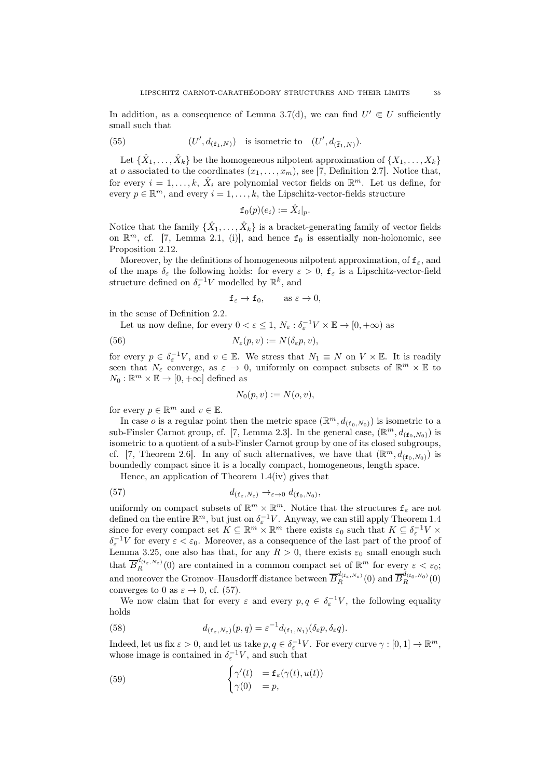In addition, as a consequence of Lemma [3.7\(](#page-18-7)d), we can find  $U' \in U$  sufficiently small such that

<span id="page-34-3"></span>(55) 
$$
(U', d_{(\mathbf{f}_1, N)}) \text{ is isometric to } (U', d_{(\widetilde{\mathbf{f}}_1, N)}).
$$

Let  $\{\hat{X}_1, \ldots, \hat{X}_k\}$  be the homogeneous nilpotent approximation of  $\{X_1, \ldots, X_k\}$ at o associated to the coordinates  $(x_1, \ldots, x_m)$ , see [\[7](#page-45-3), Definition 2.7]. Notice that, for every  $i = 1, ..., k, \hat{X}_i$  are polynomial vector fields on  $\mathbb{R}^m$ . Let us define, for every  $p \in \mathbb{R}^m$ , and every  $i = 1, ..., k$ , the Lipschitz-vector-fields structure

$$
\mathtt{f}_0(p)(e_i) := \hat{X}_i|_p.
$$

Notice that the family  $\{\hat{X}_1, \ldots, \hat{X}_k\}$  is a bracket-generating family of vector fields on  $\mathbb{R}^m$ , cf. [\[7](#page-45-3), Lemma 2.1, (i)], and hence  $f_0$  is essentially non-holonomic, see Proposition [2.12.](#page-12-1)

Moreover, by the definitions of homogeneous nilpotent approximation, of  $f_{\varepsilon}$ , and of the maps  $\delta_{\varepsilon}$  the following holds: for every  $\varepsilon > 0$ ,  $f_{\varepsilon}$  is a Lipschitz-vector-field structure defined on  $\delta_{\varepsilon}^{-1}V$  modelled by  $\mathbb{R}^k$ , and

<span id="page-34-1"></span>
$$
\mathbf{f}_{\varepsilon}\to \mathbf{f}_0, \qquad \text{as } \varepsilon \to 0,
$$

in the sense of Definition [2.2.](#page-7-2)

Let us now define, for every  $0 < \varepsilon \leq 1$ ,  $N_{\varepsilon}: \delta_{\varepsilon}^{-1}V \times \mathbb{E} \to [0, +\infty)$  as

(56) 
$$
N_{\varepsilon}(p,v) := N(\delta_{\varepsilon}p,v),
$$

for every  $p \in \delta_{\varepsilon}^{-1}V$ , and  $v \in \mathbb{E}$ . We stress that  $N_1 \equiv N$  on  $V \times \mathbb{E}$ . It is readily seen that  $N_{\varepsilon}$  converge, as  $\varepsilon \to 0$ , uniformly on compact subsets of  $\mathbb{R}^m \times \mathbb{E}$  to  $N_0: \mathbb{R}^m \times \mathbb{E} \to [0, +\infty]$  defined as

<span id="page-34-0"></span>
$$
N_0(p,v) := N(o,v),
$$

for every  $p \in \mathbb{R}^m$  and  $v \in \mathbb{E}$ .

In case *o* is a regular point then the metric space  $(\mathbb{R}^m, d_{(\mathbf{f}_0, N_0)})$  is isometric to a sub-Finsler Carnot group, cf. [\[7,](#page-45-3) Lemma 2.3]. In the general case,  $(\mathbb{R}^m, d_{(\mathbf{f}_0, N_0)})$  is isometric to a quotient of a sub-Finsler Carnot group by one of its closed subgroups, cf. [\[7](#page-45-3), Theorem 2.6]. In any of such alternatives, we have that  $(\mathbb{R}^m, d_{(f_0,N_0)})$  is boundedly compact since it is a locally compact, homogeneous, length space.

Hence, an application of Theorem [1.4\(](#page-3-0)iv) gives that

(57) 
$$
d_{(\mathbf{f}_{\varepsilon},N_{\varepsilon})}\to_{\varepsilon\to 0} d_{(\mathbf{f}_{0},N_{0})},
$$

uniformly on compact subsets of  $\mathbb{R}^m \times \mathbb{R}^m$ . Notice that the structures  $f_\varepsilon$  are not defined on the entire  $\mathbb{R}^m$ , but just on  $\delta_{\varepsilon}^{-1}V$ . Anyway, we can still apply Theorem [1.4](#page-3-0) since for every compact set  $K \subseteq \mathbb{R}^m \times \mathbb{R}^m$  there exists  $\varepsilon_0$  such that  $K \subseteq \delta_{\varepsilon}^{-1} V \times$  $\delta_{\varepsilon}^{-1}V$  for every  $\varepsilon < \varepsilon_0$ . Moreover, as a consequence of the last part of the proof of Lemma [3.25,](#page-29-1) one also has that, for any  $R > 0$ , there exists  $\varepsilon_0$  small enough such that  $\overline{B}_{R}^{d_{(f_{\varepsilon},N_{\varepsilon})}}(0)$  are contained in a common compact set of  $\mathbb{R}^{m}$  for every  $\varepsilon < \varepsilon_0$ ; and moreover the Gromov–Hausdorff distance between  $\overline{B}_R^{d_{(f_\varepsilon,N_\varepsilon)}}(0)$  and  $\overline{B}_R^{d_{(f_0,N_0)}}(0)$ converges to 0 as  $\varepsilon \to 0$ , cf. [\(57\)](#page-34-0).

We now claim that for every  $\varepsilon$  and every  $p, q \in \delta_{\varepsilon}^{-1}V$ , the following equality holds

<span id="page-34-2"></span>(58) 
$$
d_{(\mathbf{f}_{\varepsilon},N_{\varepsilon})}(p,q) = \varepsilon^{-1} d_{(\mathbf{f}_{1},N_{1})}(\delta_{\varepsilon} p, \delta_{\varepsilon} q).
$$

Indeed, let us fix  $\varepsilon > 0$ , and let us take  $p, q \in \delta_{\varepsilon}^{-1}V$ . For every curve  $\gamma : [0, 1] \to \mathbb{R}^m$ , whose image is contained in  $\delta_{\varepsilon}^{-1}V$ , and such that

(59) 
$$
\begin{cases} \gamma'(t) & = \mathbf{f}_{\varepsilon}(\gamma(t), u(t)) \\ \gamma(0) & = p, \end{cases}
$$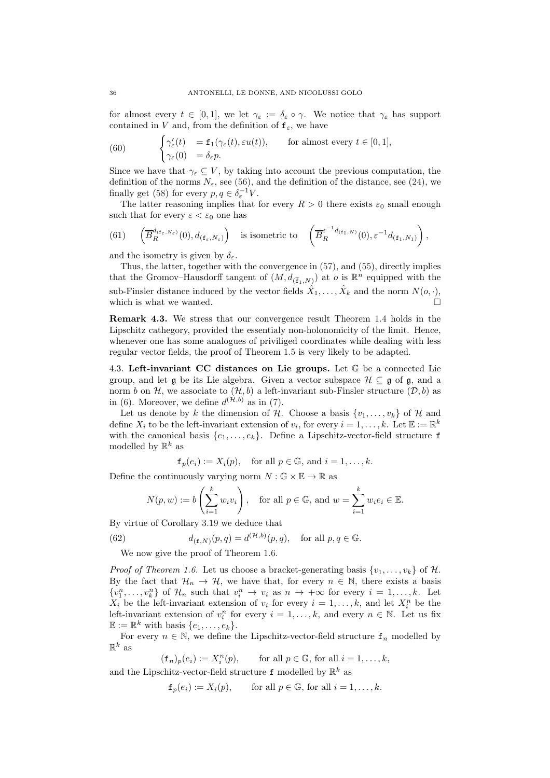for almost every  $t \in [0,1]$ , we let  $\gamma_{\varepsilon} := \delta_{\varepsilon} \circ \gamma$ . We notice that  $\gamma_{\varepsilon}$  has support contained in V and, from the definition of  $f_{\varepsilon}$ , we have

(60) 
$$
\begin{cases} \gamma'_{\varepsilon}(t) = \mathbf{f}_1(\gamma_{\varepsilon}(t), \varepsilon u(t)), & \text{for almost every } t \in [0, 1], \\ \gamma_{\varepsilon}(0) = \delta_{\varepsilon} p. \end{cases}
$$

Since we have that  $\gamma_{\varepsilon} \subseteq V$ , by taking into account the previous computation, the definition of the norms  $N_{\varepsilon}$ , see [\(56\)](#page-34-1), and the definition of the distance, see [\(24\)](#page-18-6), we finally get [\(58\)](#page-34-2) for every  $p, q \in \delta_{\varepsilon}^{-1}V$ .

The latter reasoning implies that for every  $R > 0$  there exists  $\varepsilon_0$  small enough such that for every  $\varepsilon < \varepsilon_0$  one has

(61) 
$$
\left(\overline{B}_{R}^{d_{\{f_{\varepsilon}, N_{\varepsilon})}}}(0), d_{\{f_{\varepsilon}, N_{\varepsilon}\}}\right)
$$
 is isometric to  $\left(\overline{B}_{R}^{\varepsilon^{-1}d_{\{f_{1}, N\}}}(0), \varepsilon^{-1}d_{\{f_{1}, N_{1}\}}\right)$ ,

and the isometry is given by  $\delta_{\varepsilon}$ .

Thus, the latter, together with the convergence in [\(57\)](#page-34-0), and [\(55\)](#page-34-3), directly implies that the Gromov–Hausdorff tangent of  $(M, d_{(\tilde{f}_1, N)})$  at  $o$  is  $\mathbb{R}^n$  equipped with the sub-Finsler distance induced by the vector fields  $\hat{X}_1, \ldots, \hat{X}_k$  and the norm  $N(o, \cdot)$ , which is what we wanted.

Remark 4.3. We stress that our convergence result Theorem [1.4](#page-3-0) holds in the Lipschitz cathegory, provided the essentialy non-holonomicity of the limit. Hence, whenever one has some analogues of priviliged coordinates while dealing with less regular vector fields, the proof of Theorem [1.5](#page-5-0) is very likely to be adapted.

<span id="page-35-0"></span>4.3. Left-invariant CC distances on Lie groups. Let G be a connected Lie group, and let  $\mathfrak g$  be its Lie algebra. Given a vector subspace  $\mathcal H \subseteq \mathfrak g$  of  $\mathfrak g$ , and a norm b on H, we associate to  $(H, b)$  a left-invariant sub-Finsler structure  $(D, b)$  as in [\(6\)](#page-5-4). Moreover, we define  $d^{(\mathcal{H},b)}$  as in [\(7\)](#page-5-3).

Let us denote by k the dimension of H. Choose a basis  $\{v_1, \ldots, v_k\}$  of H and define  $X_i$  to be the left-invariant extension of  $v_i$ , for every  $i = 1, \ldots, k$ . Let  $\mathbb{E} := \mathbb{R}^k$ with the canonical basis  $\{e_1, \ldots, e_k\}$ . Define a Lipschitz-vector-field structure f modelled by  $\mathbb{R}^k$  as

 $f_p(e_i) := X_i(p)$ , for all  $p \in \mathbb{G}$ , and  $i = 1, \ldots, k$ .

Define the continuously varying norm  $N : \mathbb{G} \times \mathbb{E} \to \mathbb{R}$  as

<span id="page-35-1"></span>
$$
N(p, w) := b\left(\sum_{i=1}^{k} w_i v_i\right), \text{ for all } p \in \mathbb{G}, \text{ and } w = \sum_{i=1}^{k} w_i e_i \in \mathbb{E}.
$$

By virtue of Corollary [3.19](#page-26-1) we deduce that

(62) 
$$
d_{(\mathbf{f},N)}(p,q) = d^{(\mathcal{H},b)}(p,q), \text{ for all } p,q \in \mathbb{G}.
$$

We now give the proof of Theorem [1.6.](#page-6-1)

*Proof of Theorem [1.6.](#page-6-1)* Let us choose a bracket-generating basis  $\{v_1, \ldots, v_k\}$  of H. By the fact that  $\mathcal{H}_n \to \mathcal{H}$ , we have that, for every  $n \in \mathbb{N}$ , there exists a basis  $\{v_1^n,\ldots,v_k^n\}$  of  $\mathcal{H}_n$  such that  $v_i^n \to v_i$  as  $n \to +\infty$  for every  $i=1,\ldots,k$ . Let  $X_i$  be the left-invariant extension of  $v_i$  for every  $i = 1, ..., k$ , and let  $X_i^n$  be the left-invariant extension of  $v_i^n$  for every  $i = 1, ..., k$ , and every  $n \in \mathbb{N}$ . Let us fix  $\mathbb{E} := \mathbb{R}^k$  with basis  $\{e_1, \ldots, e_k\}.$ 

For every  $n \in \mathbb{N}$ , we define the Lipschitz-vector-field structure  $f_n$  modelled by  $\mathbb{R}^k$  as

 $(\mathbf{f}_n)_p(e_i) := X_i^n$ for all  $p \in \mathbb{G}$ , for all  $i = 1, \ldots, k$ ,

and the Lipschitz-vector-field structure  $\texttt{f}$  modelled by  $\mathbb{R}^k$  as

$$
f_p(e_i) := X_i(p)
$$
, for all  $p \in \mathbb{G}$ , for all  $i = 1, ..., k$ .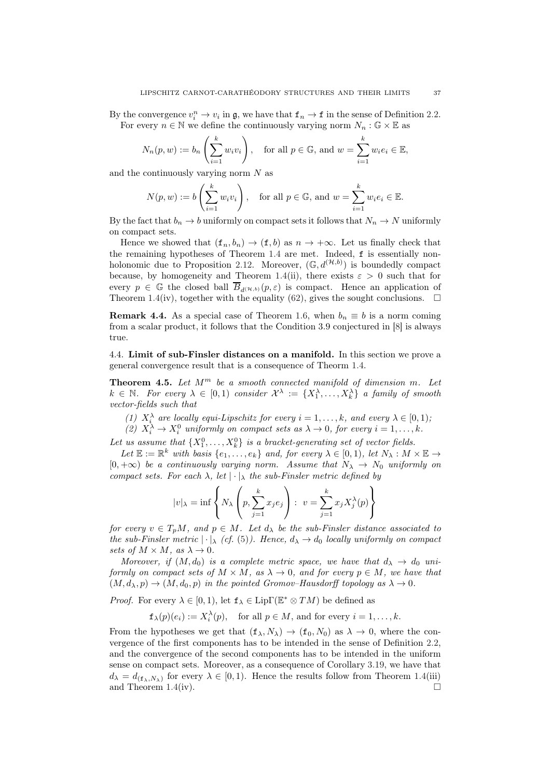By the convergence  $v_i^n \to v_i$  in  $\mathfrak{g}$ , we have that  $\mathbf{f}_n \to \mathbf{f}$  in the sense of Definition [2.2.](#page-7-2) For every  $n \in \mathbb{N}$  we define the continuously varying norm  $N_n : \mathbb{G} \times \mathbb{E}$  as

$$
N_n(p, w) := b_n\left(\sum_{i=1}^k w_i v_i\right), \text{ for all } p \in \mathbb{G}, \text{ and } w = \sum_{i=1}^k w_i e_i \in \mathbb{E},
$$

and the continuously varying norm  $N$  as

$$
N(p, w) := b\left(\sum_{i=1}^{k} w_i v_i\right), \text{ for all } p \in \mathbb{G}, \text{ and } w = \sum_{i=1}^{k} w_i e_i \in \mathbb{E}.
$$

By the fact that  $b_n \to b$  uniformly on compact sets it follows that  $N_n \to N$  uniformly on compact sets.

Hence we showed that  $(f_n, b_n) \to (f, b)$  as  $n \to +\infty$ . Let us finally check that the remaining hypotheses of Theorem [1.4](#page-3-0) are met. Indeed, f is essentially non-holonomic due to Proposition [2.12.](#page-12-1) Moreover,  $(\mathbb{G}, d^{(\mathcal{H},b)})$  is boundedly compact because, by homogeneity and Theorem [1.4\(](#page-3-0)ii), there exists  $\varepsilon > 0$  such that for every  $p \in \mathbb{G}$  the closed ball  $\overline{B}_{d^{(\mathcal{H},b)}}(p,\varepsilon)$  is compact. Hence an application of Theorem [1.4\(](#page-3-0)iv), together with the equality [\(62\)](#page-35-1), gives the sought conclusions.  $\Box$ 

**Remark 4.4.** As a special case of Theorem [1.6,](#page-6-1) when  $b_n \equiv b$  is a norm coming from a scalar product, it follows that the Condition 3.9 conjectured in [\[8\]](#page-45-9) is always true.

<span id="page-36-0"></span>4.4. Limit of sub-Finsler distances on a manifold. In this section we prove a general convergence result that is a consequence of Theorm [1.4.](#page-3-0)

<span id="page-36-1"></span>**Theorem 4.5.** Let  $M^m$  be a smooth connected manifold of dimension m. Let  $k \in \mathbb{N}$ . For every  $\lambda \in [0,1)$  consider  $\mathcal{X}^{\lambda} := \{X_1^{\lambda}, \ldots, X_k^{\lambda}\}\$ a family of smooth vector-fields such that

- (1)  $X_i^{\lambda}$  are locally equi-Lipschitz for every  $i = 1, ..., k$ , and every  $\lambda \in [0, 1)$ ;
- (2)  $X_i^{\lambda} \to X_i^0$  uniformly on compact sets as  $\lambda \to 0$ , for every  $i = 1, ..., k$ .

Let us assume that  $\{X_1^0, \ldots, X_k^0\}$  is a bracket-generating set of vector fields.

Let  $\mathbb{E} := \mathbb{R}^k$  with basis  $\{e_1, \ldots, e_k\}$  and, for every  $\lambda \in [0, 1)$ , let  $N_\lambda : M \times \mathbb{E} \to$  $[0, +\infty)$  be a continuously varying norm. Assume that  $N_{\lambda} \rightarrow N_0$  uniformly on compact sets. For each  $\lambda$ , let  $|\cdot|_{\lambda}$  the sub-Finsler metric defined by

$$
|v|_{\lambda} = \inf \left\{ N_{\lambda} \left( p, \sum_{j=1}^{k} x_j e_j \right) : v = \sum_{j=1}^{k} x_j X_j^{\lambda}(p) \right\}
$$

for every  $v \in T_pM$ , and  $p \in M$ . Let  $d_\lambda$  be the sub-Finsler distance associated to the sub-Finsler metric  $|\cdot|_{\lambda}$  (cf. [\(5\)](#page-5-2)). Hence,  $d_{\lambda} \to d_0$  locally uniformly on compact sets of  $M \times M$ , as  $\lambda \to 0$ .

Moreover, if  $(M, d_0)$  is a complete metric space, we have that  $d_{\lambda} \to d_0$  uniformly on compact sets of  $M \times M$ , as  $\lambda \to 0$ , and for every  $p \in M$ , we have that  $(M, d_\lambda, p) \rightarrow (M, d_0, p)$  in the pointed Gromov–Hausdorff topology as  $\lambda \rightarrow 0$ .

*Proof.* For every  $\lambda \in [0, 1)$ , let  $f_{\lambda} \in \text{Lip}\Gamma(\mathbb{E}^* \otimes TM)$  be defined as

 $f_{\lambda}(p)(e_i) := X_i^{\lambda}(p)$ , for all  $p \in M$ , and for every  $i = 1, ..., k$ .

From the hypotheses we get that  $(f_{\lambda}, N_{\lambda}) \rightarrow (f_0, N_0)$  as  $\lambda \rightarrow 0$ , where the convergence of the first components has to be intended in the sense of Definition [2.2,](#page-7-2) and the convergence of the second components has to be intended in the uniform sense on compact sets. Moreover, as a consequence of Corollary [3.19,](#page-26-1) we have that  $d_{\lambda} = d_{(\mathbf{f}_{\lambda}, N_{\lambda})}$  for every  $\lambda \in [0, 1)$ . Hence the results follow from Theorem [1.4\(](#page-3-0)iii) and Theorem [1.4\(](#page-3-0)iv).  $\Box$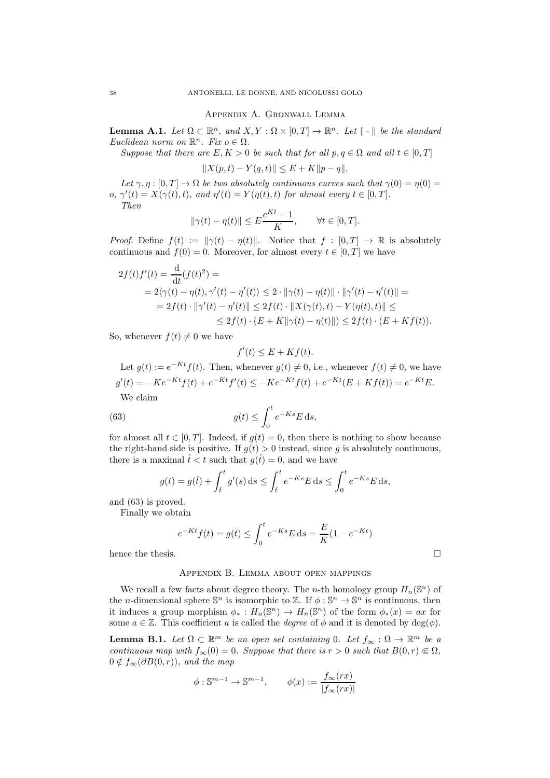Appendix A. Gronwall Lemma

<span id="page-37-3"></span><span id="page-37-0"></span>**Lemma A.1.** Let  $\Omega \subset \mathbb{R}^n$ , and  $X, Y : \Omega \times [0, T] \to \mathbb{R}^n$ . Let  $\|\cdot\|$  be the standard Euclidean norm on  $\mathbb{R}^n$ . Fix  $o \in \Omega$ .

Suppose that there are  $E, K > 0$  be such that for all  $p, q \in \Omega$  and all  $t \in [0, T]$ 

 $||X(p, t) - Y(q, t)|| \leq E + K||p - q||.$ 

Let  $\gamma, \eta : [0, T] \to \Omega$  be two absolutely continuous curves such that  $\gamma(0) = \eta(0) =$ o,  $\gamma'(t) = X(\gamma(t), t)$ , and  $\eta'(t) = Y(\eta(t), t)$  for almost every  $t \in [0, T]$ . Then

$$
\|\gamma(t) - \eta(t)\| \le E\frac{e^{Kt} - 1}{K}, \qquad \forall t \in [0, T].
$$

*Proof.* Define  $f(t) := ||\gamma(t) - \eta(t)||$ . Notice that  $f : [0, T] \to \mathbb{R}$  is absolutely continuous and  $f(0) = 0$ . Moreover, for almost every  $t \in [0, T]$  we have

$$
2f(t)f'(t) = \frac{d}{dt}(f(t)^{2}) =
$$
  
=  $2\langle \gamma(t) - \eta(t), \gamma'(t) - \eta'(t) \rangle \le 2 \cdot ||\gamma(t) - \eta(t)|| \cdot ||\gamma'(t) - \eta'(t)|| =$   
=  $2f(t) \cdot ||\gamma'(t) - \eta'(t)|| \le 2f(t) \cdot ||X(\gamma(t), t) - Y(\eta(t), t)|| \le$   
 $\le 2f(t) \cdot (E + K||\gamma(t) - \eta(t)||) \le 2f(t) \cdot (E + Kf(t)).$ 

So, whenever  $f(t) \neq 0$  we have

<span id="page-37-4"></span>
$$
f'(t) \le E + Kf(t).
$$

Let  $g(t) := e^{-Kt} f(t)$ . Then, whenever  $g(t) \neq 0$ , i.e., whenever  $f(t) \neq 0$ , we have  $g'(t) = -Ke^{-Kt}f(t) + e^{-Kt}f'(t) \le -Ke^{-Kt}f(t) + e^{-Kt}(E + Kf(t)) = e^{-Kt}E.$ We claim

(63) 
$$
g(t) \leq \int_0^t e^{-Ks} E \, ds,
$$

for almost all  $t \in [0, T]$ . Indeed, if  $g(t) = 0$ , then there is nothing to show because the right-hand side is positive. If  $g(t) > 0$  instead, since g is absolutely continuous, there is a maximal  $\hat{t} < t$  such that  $g(\hat{t}) = 0$ , and we have

$$
g(t) = g(\hat{t}) + \int_{\hat{t}}^{t} g'(s) ds \le \int_{\hat{t}}^{t} e^{-Ks} E ds \le \int_{0}^{t} e^{-Ks} E ds,
$$

and [\(63\)](#page-37-4) is proved.

Finally we obtain

$$
e^{-Kt}f(t) = g(t) \le \int_0^t e^{-Ks} E \, ds = \frac{E}{K}(1 - e^{-Kt})
$$

<span id="page-37-1"></span>hence the thesis.  $\Box$ 

#### Appendix B. Lemma about open mappings

We recall a few facts about degree theory. The *n*-th homology group  $H_n(\mathbb{S}^n)$  of the *n*-dimensional sphere  $\mathbb{S}^n$  is isomorphic to  $\mathbb{Z}$ . If  $\phi : \mathbb{S}^n \to \mathbb{S}^n$  is continuous, then it induces a group morphism  $\phi_* : H_n(\mathbb{S}^n) \to H_n(\mathbb{S}^n)$  of the form  $\phi_*(x) = ax$  for some  $a \in \mathbb{Z}$ . This coefficient a is called the *degree* of  $\phi$  and it is denoted by  $deg(\phi)$ .

<span id="page-37-2"></span>**Lemma B.1.** Let  $\Omega \subset \mathbb{R}^m$  be an open set containing 0. Let  $f_{\infty} : \Omega \to \mathbb{R}^m$  be a continuous map with  $f_{\infty}(0) = 0$ . Suppose that there is  $r > 0$  such that  $B(0, r) \in \Omega$ ,  $0 \notin f_{\infty}(\partial B(0, r)),$  and the map

$$
\phi : \mathbb{S}^{m-1} \to \mathbb{S}^{m-1}, \qquad \phi(x) := \frac{f_{\infty}(rx)}{|f_{\infty}(rx)|}
$$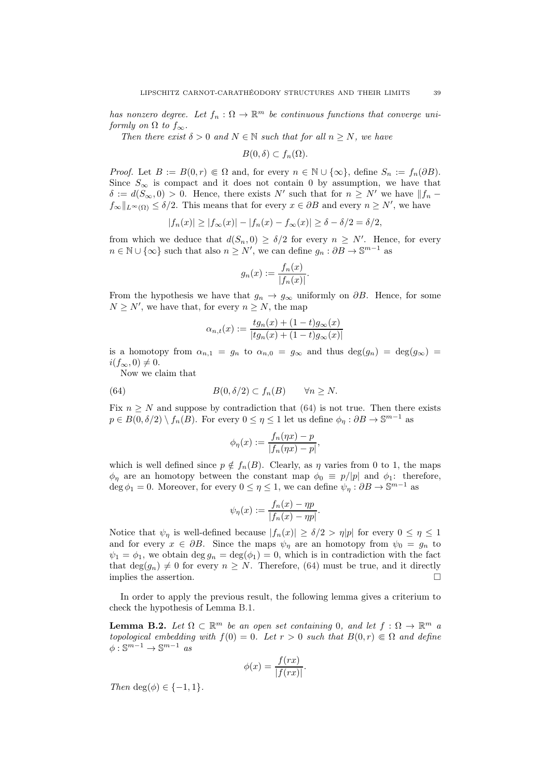has nonzero degree. Let  $f_n : \Omega \to \mathbb{R}^m$  be continuous functions that converge uniformly on  $\Omega$  to  $f_{\infty}$ .

Then there exist  $\delta > 0$  and  $N \in \mathbb{N}$  such that for all  $n \geq N$ , we have

$$
B(0,\delta)\subset f_n(\Omega).
$$

*Proof.* Let  $B := B(0, r) \in \Omega$  and, for every  $n \in \mathbb{N} \cup \{\infty\}$ , define  $S_n := f_n(\partial B)$ . Since  $S_{\infty}$  is compact and it does not contain 0 by assumption, we have that  $\delta := d(S_{\infty}, 0) > 0$ . Hence, there exists N' such that for  $n \geq N'$  we have  $||f_n$  $f_{\infty}||_{L^{\infty}(\Omega)} \leq \delta/2$ . This means that for every  $x \in \partial B$  and every  $n \geq N'$ , we have

$$
|f_n(x)| \ge |f_{\infty}(x)| - |f_n(x) - f_{\infty}(x)| \ge \delta - \delta/2 = \delta/2,
$$

from which we deduce that  $d(S_n, 0) \geq \delta/2$  for every  $n \geq N'$ . Hence, for every  $n \in \mathbb{N} \cup \{\infty\}$  such that also  $n \geq N'$ , we can define  $g_n : \partial B \to \mathbb{S}^{m-1}$  as

$$
g_n(x) := \frac{f_n(x)}{|f_n(x)|}.
$$

From the hypothesis we have that  $g_n \to g_\infty$  uniformly on  $\partial B$ . Hence, for some  $N \geq N'$ , we have that, for every  $n \geq N$ , the map

$$
\alpha_{n,t}(x) := \frac{tg_n(x) + (1-t)g_{\infty}(x)}{|tg_n(x) + (1-t)g_{\infty}(x)|}
$$

is a homotopy from  $\alpha_{n,1} = g_n$  to  $\alpha_{n,0} = g_\infty$  and thus  $\deg(g_n) = \deg(g_\infty) =$  $i(f_{\infty}, 0) \neq 0.$ 

Now we claim that

(64) 
$$
B(0, \delta/2) \subset f_n(B) \quad \forall n \ge N.
$$

Fix  $n \geq N$  and suppose by contradiction that [\(64\)](#page-38-1) is not true. Then there exists  $p \in B(0, \delta/2) \setminus f_n(\overline{B})$ . For every  $0 \leq \eta \leq 1$  let us define  $\phi_{\eta}: \partial B \to \mathbb{S}^{m-1}$  as

<span id="page-38-1"></span>
$$
\phi_{\eta}(x) := \frac{f_n(\eta x) - p}{|f_n(\eta x) - p|},
$$

which is well defined since  $p \notin f_n(B)$ . Clearly, as  $\eta$  varies from 0 to 1, the maps  $\phi_n$  are an homotopy between the constant map  $\phi_0 \equiv p/|p|$  and  $\phi_1$ : therefore,  $\deg \phi_1 = 0$ . Moreover, for every  $0 \leq \eta \leq 1$ , we can define  $\psi_\eta : \partial B \to \mathbb{S}^{m-1}$  as

$$
\psi_{\eta}(x) := \frac{f_n(x) - \eta p}{|f_n(x) - \eta p|}.
$$

Notice that  $\psi_{\eta}$  is well-defined because  $|f_n(x)| \geq \delta/2 > \eta |p|$  for every  $0 \leq \eta \leq 1$ and for every  $x \in \partial B$ . Since the maps  $\psi_{\eta}$  are an homotopy from  $\psi_0 = g_n$  to  $\psi_1 = \phi_1$ , we obtain  $\deg g_n = \deg(\phi_1) = 0$ , which is in contradiction with the fact that  $deg(g_n) \neq 0$  for every  $n \geq N$ . Therefore, [\(64\)](#page-38-1) must be true, and it directly implies the assertion.  $\Box$ 

In order to apply the previous result, the following lemma gives a criterium to check the hypothesis of Lemma [B.1.](#page-37-2)

<span id="page-38-0"></span>**Lemma B.2.** Let  $\Omega \subset \mathbb{R}^m$  be an open set containing 0, and let  $f : \Omega \to \mathbb{R}^m$  a topological embedding with  $f(0) = 0$ . Let  $r > 0$  such that  $B(0,r) \in \Omega$  and define  $\phi: \mathbb{S}^{m-1} \to \mathbb{S}^{m-1}$  as

$$
\phi(x) = \frac{f(rx)}{|f(rx)|}.
$$

Then deg( $\phi$ )  $\in \{-1, 1\}$ .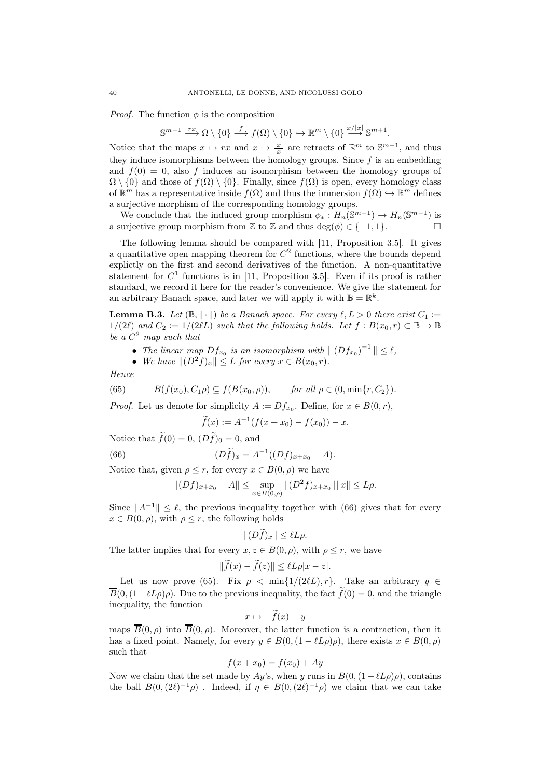*Proof.* The function  $\phi$  is the composition

$$
\mathbb{S}^{m-1} \xrightarrow{rx} \Omega \setminus \{0\} \xrightarrow{f} f(\Omega) \setminus \{0\} \hookrightarrow \mathbb{R}^m \setminus \{0\} \xrightarrow{x/|x|} \mathbb{S}^{m+1}.
$$

Notice that the maps  $x \mapsto rx$  and  $x \mapsto \frac{x}{|x|}$  are retracts of  $\mathbb{R}^m$  to  $\mathbb{S}^{m-1}$ , and thus they induce isomorphisms between the homology groups. Since  $f$  is an embedding and  $f(0) = 0$ , also f induces an isomorphism between the homology groups of  $\Omega \setminus \{0\}$  and those of  $f(\Omega) \setminus \{0\}$ . Finally, since  $f(\Omega)$  is open, every homology class of  $\mathbb{R}^m$  has a representative inside  $f(\Omega)$  and thus the immersion  $f(\Omega) \hookrightarrow \mathbb{R}^m$  defines a surjective morphism of the corresponding homology groups.

We conclude that the induced group morphism  $\phi_*: H_n(\mathbb{S}^{m-1}) \to H_n(\mathbb{S}^{m-1})$  is a surjective group morphism from  $\mathbb Z$  to  $\mathbb Z$  and thus  $\deg(\phi) \in \{-1,1\}.$ 

The following lemma should be compared with [\[11](#page-45-5), Proposition 3.5]. It gives a quantitative open mapping theorem for  $C<sup>2</sup>$  functions, where the bounds depend explictly on the first and second derivatives of the function. A non-quantitative statement for  $C<sup>1</sup>$  functions is in [\[11,](#page-45-5) Proposition 3.5]. Even if its proof is rather standard, we record it here for the reader's convenience. We give the statement for an arbitrary Banach space, and later we will apply it with  $\mathbb{B} = \mathbb{R}^k$ .

<span id="page-39-0"></span>**Lemma B.3.** Let  $(\mathbb{B}, \|\cdot\|)$  be a Banach space. For every  $\ell, L > 0$  there exist  $C_1 :=$  $1/(2\ell)$  and  $C_2 := 1/(2\ell L)$  such that the following holds. Let  $f : B(x_0, r) \subset \mathbb{B} \to \mathbb{B}$ be a  $C^2$  map such that

- The linear map  $Df_{x_0}$  is an isomorphism with  $|| (Df_{x_0})^{-1} || \leq \ell$ ,
- <span id="page-39-2"></span>• We have  $||(D^2f)_x|| \leq L$  for every  $x \in B(x_0, r)$ .

Hence

(65) 
$$
B(f(x_0), C_1 \rho) \subseteq f(B(x_0, \rho)), \quad \text{for all } \rho \in (0, \min\{r, C_2\}).
$$

*Proof.* Let us denote for simplicity  $A := Df_{x_0}$ . Define, for  $x \in B(0, r)$ ,

<span id="page-39-1"></span>
$$
\widetilde{f}(x) := A^{-1}(f(x + x_0) - f(x_0)) - x.
$$

Notice that  $f(0) = 0$ ,  $(Df)_0 = 0$ , and

(66) 
$$
(Df)_x = A^{-1}((Df)_{x+x_0} - A).
$$

Notice that, given  $\rho \leq r$ , for every  $x \in B(0, \rho)$  we have

$$
||(Df)_{x+x_0} - A|| \le \sup_{x \in B(0,\rho)}||(D^2f)_{x+x_0}||||x|| \le L\rho.
$$

Since  $||A^{-1}|| < l$ , the previous inequality together with [\(66\)](#page-39-1) gives that for every  $x \in B(0, \rho)$ , with  $\rho \leq r$ , the following holds

$$
||(Df)_x|| \leq \ell L \rho.
$$

The latter implies that for every  $x, z \in B(0, \rho)$ , with  $\rho \leq r$ , we have

$$
\|\tilde{f}(x)-\tilde{f}(z)\|\leq \ell L\rho|x-z|.
$$

Let us now prove [\(65\)](#page-39-2). Fix  $\rho \leq \min\{1/(2\ell L), r\}$ . Take an arbitrary  $y \in$  $\overline{B}(0,(1-\ell L\rho)\rho)$ . Due to the previous inequality, the fact  $\tilde{f}(0)=0$ , and the triangle inequality, the function

$$
x \mapsto -f(x) + y
$$

maps  $\overline{B}(0, \rho)$  into  $\overline{B}(0, \rho)$ . Moreover, the latter function is a contraction, then it has a fixed point. Namely, for every  $y \in B(0, (1 - \ell L \rho)\rho)$ , there exists  $x \in B(0, \rho)$ such that

$$
f(x + x_0) = f(x_0) + Ay
$$

Now we claim that the set made by Ay's, when y runs in  $B(0,(1-\ell L\rho)\rho)$ , contains the ball  $B(0,(2\ell)^{-1}\rho)$ . Indeed, if  $\eta \in B(0,(2\ell)^{-1}\rho)$  we claim that we can take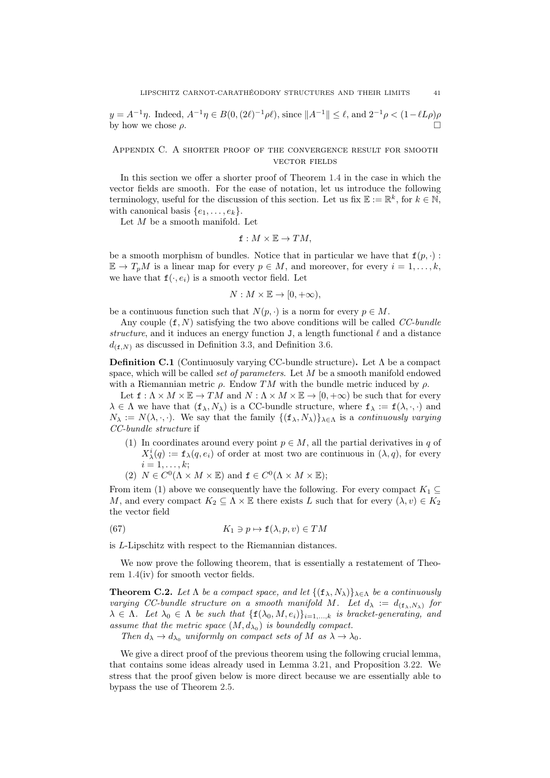$y = A^{-1}\eta$ . Indeed,  $A^{-1}\eta \in B(0, (2\ell)^{-1}\rho\ell)$ , since  $||A^{-1}|| \leq \ell$ , and  $2^{-1}\rho < (1 - \ell L\rho)\rho$ by how we chose  $\rho$ .

# <span id="page-40-0"></span>Appendix C. A shorter proof of the convergence result for smooth vector fields

In this section we offer a shorter proof of Theorem [1.4](#page-3-0) in the case in which the vector fields are smooth. For the ease of notation, let us introduce the following terminology, useful for the discussion of this section. Let us fix  $\mathbb{E} := \mathbb{R}^k$ , for  $k \in \mathbb{N}$ , with canonical basis  $\{e_1, \ldots, e_k\}.$ 

Let  $M$  be a smooth manifold. Let

$$
\mathbf{f}: M \times \mathbb{E} \to TM,
$$

be a smooth morphism of bundles. Notice that in particular we have that  $f(p, \cdot)$ :  $\mathbb{E} \to T_pM$  is a linear map for every  $p \in M$ , and moreover, for every  $i = 1, \ldots, k$ , we have that  $f(\cdot, e_i)$  is a smooth vector field. Let

$$
N: M \times \mathbb{E} \to [0, +\infty),
$$

be a continuous function such that  $N(p, \cdot)$  is a norm for every  $p \in M$ .

Any couple  $(f, N)$  satisfying the two above conditions will be called CC-bundle structure, and it induces an energy function J, a length functional  $\ell$  and a distance  $d_{(f,N)}$  as discussed in Definition [3.3,](#page-16-3) and Definition [3.6.](#page-18-2)

<span id="page-40-1"></span>**Definition C.1** (Continuosuly varying CC-bundle structure). Let  $\Lambda$  be a compact space, which will be called *set of parameters*. Let M be a smooth manifold endowed with a Riemannian metric  $\rho$ . Endow TM with the bundle metric induced by  $\rho$ .

Let  $f: \Lambda \times M \times \mathbb{E} \to TM$  and  $N: \Lambda \times M \times \mathbb{E} \to [0, +\infty)$  be such that for every  $\lambda \in \Lambda$  we have that  $(f_{\lambda}, N_{\lambda})$  is a CC-bundle structure, where  $f_{\lambda} := f(\lambda, \cdot, \cdot)$  and  $N_{\lambda} := N(\lambda, \cdot, \cdot)$ . We say that the family  $\{(\mathbf{f}_{\lambda}, N_{\lambda})\}_{\lambda \in \Lambda}$  is a *continuously varying* CC-bundle structure if

- (1) In coordinates around every point  $p \in M$ , all the partial derivatives in q of  $X_{\lambda}^{i}(q) := \mathbf{f}_{\lambda}(q, e_i)$  of order at most two are continuous in  $(\lambda, q)$ , for every  $i=1,\ldots,k;$
- <span id="page-40-3"></span>(2)  $N \in C^0(\Lambda \times M \times \mathbb{E})$  and  $\mathbf{f} \in C^0(\Lambda \times M \times \mathbb{E})$ ;

From item (1) above we consequently have the following. For every compact  $K_1 \subseteq$ M, and every compact  $K_2 \subseteq \Lambda \times \mathbb{E}$  there exists L such that for every  $(\lambda, v) \in K_2$ the vector field

(67) 
$$
K_1 \ni p \mapsto \mathbf{f}(\lambda, p, v) \in TM
$$

is L-Lipschitz with respect to the Riemannian distances.

We now prove the following theorem, that is essentially a restatement of Theorem [1.4\(](#page-3-0)iv) for smooth vector fields.

<span id="page-40-2"></span>**Theorem C.2.** Let  $\Lambda$  be a compact space, and let  $\{(\mathbf{f}_{\lambda}, N_{\lambda})\}_{\lambda \in \Lambda}$  be a continuously varying CC-bundle structure on a smooth manifold M. Let  $d_{\lambda} := d_{(\mathbf{f}_{\lambda}, N_{\lambda})}$  for  $\lambda \in \Lambda$ . Let  $\lambda_0 \in \Lambda$  be such that  $\{f(\lambda_0, M, e_i)\}_{i=1,\dots,k}$  is bracket-generating, and assume that the metric space  $(M, d_{\lambda_0})$  is boundedly compact.

Then  $d_{\lambda} \to d_{\lambda_0}$  uniformly on compact sets of M as  $\lambda \to \lambda_0$ .

We give a direct proof of the previous theorem using the following crucial lemma, that contains some ideas already used in Lemma [3.21,](#page-27-0) and Proposition [3.22.](#page-28-0) We stress that the proof given below is more direct because we are essentially able to bypass the use of Theorem [2.5.](#page-8-1)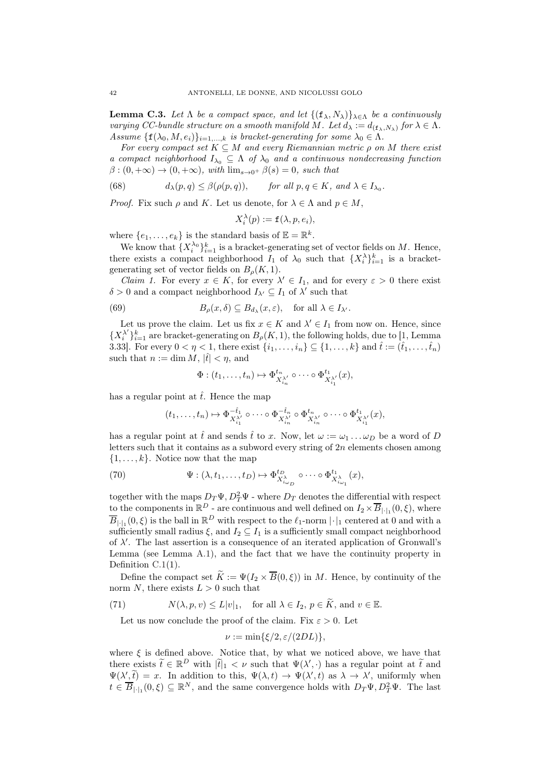<span id="page-41-3"></span>**Lemma C.3.** Let  $\Lambda$  be a compact space, and let  $\{(\mathbf{f}_{\lambda}, N_{\lambda})\}_{\lambda \in \Lambda}$  be a continuously varying CC-bundle structure on a smooth manifold M. Let  $d_{\lambda} := d_{(\mathbf{f}_{\lambda}, N_{\lambda})}$  for  $\lambda \in \Lambda$ . Assume  $\{f(\lambda_0, M, e_i)\}_{i=1,\dots,k}$  is bracket-generating for some  $\lambda_0 \in \Lambda$ .

For every compact set  $K \subseteq M$  and every Riemannian metric  $\rho$  on M there exist a compact neighborhood  $I_{\lambda_0} \subseteq \Lambda$  of  $\lambda_0$  and a continuous nondecreasing function  $\beta$ :  $(0, +\infty) \to (0, +\infty)$ , with  $\lim_{s\to 0^+} \beta(s) = 0$ , such that

<span id="page-41-2"></span>(68) 
$$
d_{\lambda}(p,q) \leq \beta(\rho(p,q)), \quad \text{for all } p,q \in K, \text{ and } \lambda \in I_{\lambda_0}.
$$

*Proof.* Fix such  $\rho$  and K. Let us denote, for  $\lambda \in \Lambda$  and  $p \in M$ ,

$$
X_i^{\lambda}(p) := \mathbf{f}(\lambda, p, e_i),
$$

where  $\{e_1, \ldots, e_k\}$  is the standard basis of  $\mathbb{E} = \mathbb{R}^k$ .

We know that  $\{X_i^{\lambda_0}\}_{i=1}^k$  is a bracket-generating set of vector fields on M. Hence, there exists a compact neighborhood  $I_1$  of  $\lambda_0$  such that  $\{X_i^{\lambda}\}_{i=1}^k$  is a bracketgenerating set of vector fields on  $B<sub>o</sub>(K, 1)$ .

*Claim 1.* For every  $x \in K$ , for every  $\lambda' \in I_1$ , and for every  $\varepsilon > 0$  there exist  $\delta > 0$  and a compact neighborhood  $I_{\lambda'} \subseteq I_1$  of  $\lambda'$  such that

(69) 
$$
B_{\rho}(x,\delta) \subseteq B_{d_{\lambda}}(x,\varepsilon), \text{ for all } \lambda \in I_{\lambda'}.
$$

Let us prove the claim. Let us fix  $x \in K$  and  $\lambda' \in I_1$  from now on. Hence, since  ${X_i^{\lambda'}}_{i=1}^k$  are bracket-generating on  $B_\rho(K,1)$ , the following holds, due to [\[1](#page-44-2), Lemma 3.33]. For every  $0 < \eta < 1$ , there exist  $\{i_1, \ldots, i_n\} \subseteq \{1, \ldots, k\}$  and  $\hat{t} := (\hat{t}_1, \ldots, \hat{t}_n)$ such that  $n := \dim M, |\hat{t}| < \eta$ , and

<span id="page-41-1"></span>
$$
\Phi: (t_1,\ldots,t_n)\mapsto \Phi^{t_n}_{X_{i_n}^{\lambda'}}\circ\cdots\circ \Phi^{t_1}_{X_{i_1}^{\lambda'}}(x),
$$

has a regular point at  $\hat{t}$ . Hence the map

$$
(t_1,\ldots,t_n)\mapsto \Phi_{X_{i_1}^{\lambda'_1}}^{-\hat t_1}\circ\cdots\circ \Phi_{X_{i_n}^{\lambda'_n}}^{-\hat t_n}\circ \Phi_{X_{i_n}^{\lambda'_1}}^{t_n}\circ\cdots\circ \Phi_{X_{i_1}^{\lambda'_1}}^{t_1}(x),
$$

has a regular point at  $\hat{t}$  and sends  $\hat{t}$  to x. Now, let  $\omega := \omega_1 \dots \omega_D$  be a word of D letters such that it contains as a subword every string of  $2n$  elements chosen among  $\{1, \ldots, k\}$ . Notice now that the map

(70) 
$$
\Psi: (\lambda, t_1, \dots, t_D) \mapsto \Phi_{X_{i_{\omega_D}}^*}^{t_D} \circ \cdots \circ \Phi_{X_{i_{\omega_1}}^*}^{t_1}(x),
$$

together with the maps  $D_T \Psi$ ,  $D_T^2 \Psi$  - where  $D_T$  denotes the differential with respect to the components in  $\mathbb{R}^D$  - are continuous and well defined on  $I_2 \times \overline{B}_{|\cdot|_1}(0,\xi)$ , where  $\overline{B}_{|\cdot|_1}(0,\xi)$  is the ball in  $\mathbb{R}^D$  with respect to the  $\ell_1$ -norm  $|\cdot|_1$  centered at 0 and with a sufficiently small radius  $\xi$ , and  $I_2 \subseteq I_1$  is a sufficiently small compact neighborhood of  $\lambda'$ . The last assertion is a consequence of an iterated application of Gronwall's Lemma (see Lemma [A.1\)](#page-37-3), and the fact that we have the continuity property in Definition [C.1\(](#page-40-1)1).

Define the compact set  $\widetilde{K} := \Psi(I_2 \times \overline{B}(0,\xi))$  in M. Hence, by continuity of the norm N, there exists  $L > 0$  such that

(71) 
$$
N(\lambda, p, v) \le L|v|_1
$$
, for all  $\lambda \in I_2$ ,  $p \in \widetilde{K}$ , and  $v \in \mathbb{E}$ .

<span id="page-41-0"></span>Let us now conclude the proof of the claim. Fix  $\varepsilon > 0$ . Let

$$
\nu := \min\{\xi/2, \varepsilon/(2DL)\},\
$$

where  $\xi$  is defined above. Notice that, by what we noticed above, we have that there exists  $\tilde{t} \in \mathbb{R}^D$  with  $|\tilde{t}|_1 < \nu$  such that  $\Psi(\lambda', \cdot)$  has a regular point at  $\tilde{t}$  and  $\Psi(\lambda', \tilde{t}) = x$ . In addition to this,  $\Psi(\lambda, t) \to \Psi(\lambda', t)$  as  $\lambda \to \lambda'$ , uniformly when  $t \in \overline{B}_{|\cdot|_1}(0,\xi) \subseteq \mathbb{R}^N$ , and the same convergence holds with  $D_T\Psi, D_T^2\Psi$ . The last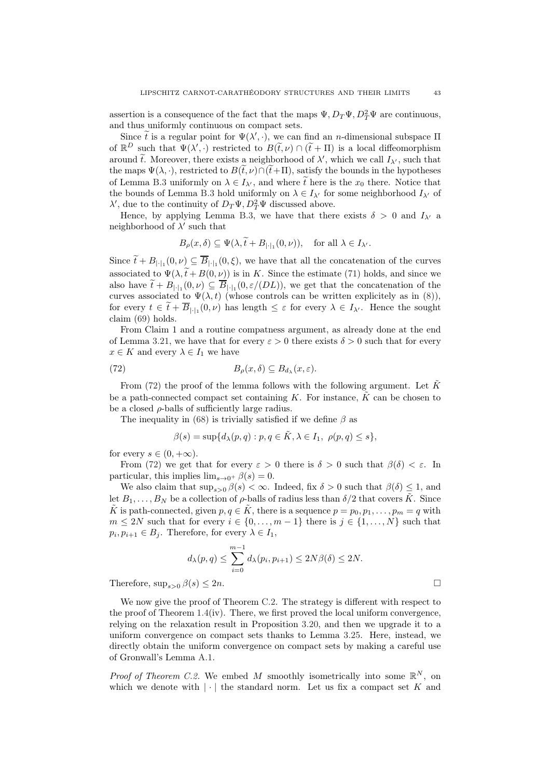assertion is a consequence of the fact that the maps  $\Psi$ ,  $D_T\Psi$ ,  $D_T^2\Psi$  are continuous, and thus uniformly continuous on compact sets.

Since  $\tilde{t}$  is a regular point for  $\Psi(\lambda', \cdot)$ , we can find an *n*-dimensional subspace  $\Pi$ of  $\mathbb{R}^D$  such that  $\Psi(\lambda', \cdot)$  restricted to  $B(\tilde{t}, \nu) \cap (\tilde{t} + \Pi)$  is a local diffeomorphism around  $\tilde{t}$ . Moreover, there exists a neighborhood of  $\lambda'$ , which we call  $I_{\lambda'}$ , such that the maps  $\Psi(\lambda, \cdot)$ , restricted to  $B(\tilde{t}, \nu) \cap (\tilde{t} + \Pi)$ , satisfy the bounds in the hypotheses of Lemma [B.3](#page-39-0) uniformly on  $\lambda \in I_{\lambda'}$ , and where  $\tilde{t}$  here is the  $x_0$  there. Notice that the bounds of Lemma [B.3](#page-39-0) hold uniformly on  $\lambda \in I_{\lambda'}$  for some neighborhood  $I_{\lambda'}$  of  $\lambda'$ , due to the continuity of  $D_T\Psi$ ,  $D_T^2\Psi$  discussed above.

Hence, by applying Lemma [B.3,](#page-39-0) we have that there exists  $\delta > 0$  and  $I_{\lambda'}$  a neighborhood of  $\lambda'$  such that

$$
B_{\rho}(x,\delta) \subseteq \Psi(\lambda, \tilde{t} + B_{|\cdot|_1}(0,\nu)), \text{ for all } \lambda \in I_{\lambda'}.
$$

Since  $t + B_{|\cdot|_1}(0, \nu) \subseteq B_{|\cdot|_1}(0, \xi)$ , we have that all the concatenation of the curves associated to  $\Psi(\lambda, \tilde{t} + B(0, \nu))$  is in K. Since the estimate [\(71\)](#page-41-0) holds, and since we also have  $t + B_{|\cdot|_1}(0, \nu) \subseteq B_{|\cdot|_1}(0, \varepsilon/(DL))$ , we get that the concatenation of the curves associated to  $\Psi(\lambda, t)$  (whose controls can be written explicitely as in [\(8\)](#page-8-5)), for every  $t \in t + B_{|\cdot|_1}(0, \nu)$  has length  $\leq \varepsilon$  for every  $\lambda \in I_{\lambda'}$ . Hence the sought claim [\(69\)](#page-41-1) holds.

From Claim 1 and a routine compatness argument, as already done at the end of Lemma [3.21,](#page-27-0) we have that for every  $\varepsilon > 0$  there exists  $\delta > 0$  such that for every  $x \in K$  and every  $\lambda \in I_1$  we have

(72) 
$$
B_{\rho}(x,\delta) \subseteq B_{d_{\lambda}}(x,\varepsilon).
$$

From [\(72\)](#page-42-0) the proof of the lemma follows with the following argument. Let  $\tilde{K}$ be a path-connected compact set containing K. For instance,  $\tilde{K}$  can be chosen to be a closed  $\rho$ -balls of sufficiently large radius.

The inequality in [\(68\)](#page-41-2) is trivially satisfied if we define  $\beta$  as

<span id="page-42-0"></span>
$$
\beta(s)=\sup\{d_\lambda(p,q): p,q\in \tilde K, \lambda\in I_1, \ \rho(p,q)\leq s\},
$$

for every  $s \in (0, +\infty)$ .

From [\(72\)](#page-42-0) we get that for every  $\varepsilon > 0$  there is  $\delta > 0$  such that  $\beta(\delta) < \varepsilon$ . In particular, this implies  $\lim_{s\to 0^+} \beta(s) = 0$ .

We also claim that  $\sup_{s>0} \beta(s) < \infty$ . Indeed, fix  $\delta > 0$  such that  $\beta(\delta) \leq 1$ , and let  $B_1, \ldots, B_N$  be a collection of  $\rho$ -balls of radius less than  $\delta/2$  that covers K. Since  $\tilde{K}$  is path-connected, given  $p, q \in \tilde{K}$ , there is a sequence  $p = p_0, p_1, \ldots, p_m = q$  with  $m \leq 2N$  such that for every  $i \in \{0, \ldots, m-1\}$  there is  $j \in \{1, \ldots, N\}$  such that  $p_i, p_{i+1} \in B_j$ . Therefore, for every  $\lambda \in I_1$ ,

$$
d_{\lambda}(p,q) \leq \sum_{i=0}^{m-1} d_{\lambda}(p_i, p_{i+1}) \leq 2N\beta(\delta) \leq 2N.
$$

Therefore,  $\sup_{s>0} \beta(s) \leq 2n$ .

We now give the proof of Theorem [C.2.](#page-40-2) The strategy is different with respect to the proof of Theorem  $1.4(iv)$  $1.4(iv)$ . There, we first proved the local uniform convergence, relying on the relaxation result in Proposition [3.20,](#page-26-2) and then we upgrade it to a uniform convergence on compact sets thanks to Lemma [3.25.](#page-29-1) Here, instead, we directly obtain the uniform convergence on compact sets by making a careful use of Gronwall's Lemma [A.1.](#page-37-3)

*Proof of Theorem [C.2.](#page-40-2)* We embed M smoothly isometrically into some  $\mathbb{R}^N$ , on which we denote with  $|\cdot|$  the standard norm. Let us fix a compact set K and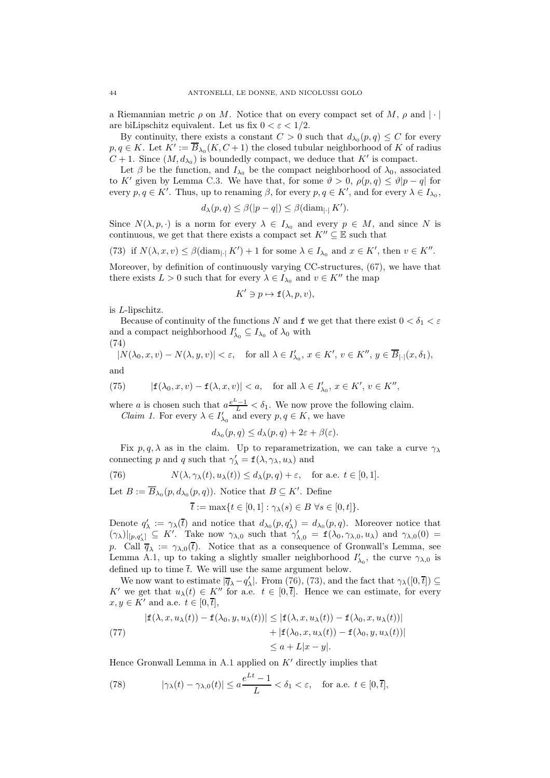a Riemannian metric  $\rho$  on M. Notice that on every compact set of M,  $\rho$  and  $|\cdot|$ are biLipschitz equivalent. Let us fix  $0 < \varepsilon < 1/2$ .

By continuity, there exists a constant  $C > 0$  such that  $d_{\lambda_0}(p,q) \leq C$  for every  $p, q \in K$ . Let  $K' := \overline{B}_{\lambda_0}(K, C+1)$  the closed tubular neighborhood of K of radius  $C+1$ . Since  $(M, d_{\lambda_0})$  is boundedly compact, we deduce that  $K'$  is compact.

Let  $\beta$  be the function, and  $I_{\lambda_0}$  be the compact neighborhood of  $\lambda_0$ , associated to K' given by Lemma [C.3.](#page-41-3) We have that, for some  $\vartheta > 0$ ,  $\rho(p,q) \leq \vartheta |p-q|$  for every  $p, q \in K'$ . Thus, up to renaming  $\beta$ , for every  $p, q \in K'$ , and for every  $\lambda \in I_{\lambda_0}$ ,

$$
d_{\lambda}(p,q) \leq \beta(|p-q|) \leq \beta(\text{diam}_{|\cdot|} K').
$$

Since  $N(\lambda, p, \cdot)$  is a norm for every  $\lambda \in I_{\lambda_0}$  and every  $p \in M$ , and since N is continuous, we get that there exists a compact set  $K'' \subseteq \mathbb{E}$  such that

<span id="page-43-1"></span>(73) if 
$$
N(\lambda, x, v) \leq \beta(\text{diam}_{\vert \cdot \vert} K') + 1
$$
 for some  $\lambda \in I_{\lambda_0}$  and  $x \in K'$ , then  $v \in K''$ .

Moreover, by definition of continuously varying CC-structures, [\(67\)](#page-40-3), we have that there exists  $L > 0$  such that for every  $\lambda \in I_{\lambda_0}$  and  $v \in K''$  the map

$$
K' \ni p \mapsto \mathbf{f}(\lambda, p, v),
$$

is L-lipschitz.

Because of continuity of the functions N and f we get that there exist  $0 < \delta_1 < \varepsilon$ and a compact neighborhood  $I'_{\lambda_0} \subseteq I_{\lambda_0}$  of  $\lambda_0$  with

(74)

<span id="page-43-3"></span>
$$
|N(\lambda_0, x, v) - N(\lambda, y, v)| < \varepsilon, \quad \text{for all } \lambda \in I'_{\lambda_0}, \, x \in K', \, v \in K'', \, y \in \overline{B}_{|\cdot|}(x, \delta_1),
$$

and

(75) 
$$
|\mathbf{f}(\lambda_0, x, v) - \mathbf{f}(\lambda, x, v)| < a, \text{ for all } \lambda \in I'_{\lambda_0}, x \in K', v \in K'',
$$

where a is chosen such that  $a \frac{e^L-1}{L} < \delta_1$ . We now prove the following claim. *Claim 1.* For every  $\lambda \in I'_{\lambda_0}$  and every  $p, q \in K$ , we have

$$
d_{\lambda_0}(p,q) \leq d_{\lambda}(p,q) + 2\varepsilon + \beta(\varepsilon).
$$

Fix  $p, q, \lambda$  as in the claim. Up to reparametrization, we can take a curve  $\gamma_{\lambda}$ connecting p and q such that  $\gamma'_{\lambda} = \mathbf{f}(\lambda, \gamma_{\lambda}, u_{\lambda})$  and

(76) 
$$
N(\lambda, \gamma_{\lambda}(t), u_{\lambda}(t)) \leq d_{\lambda}(p, q) + \varepsilon, \text{ for a.e. } t \in [0, 1].
$$

Let  $B := \overline{B}_{\lambda_0}(p, d_{\lambda_0}(p, q))$ . Notice that  $B \subseteq K'$ . Define

<span id="page-43-0"></span>
$$
\overline{t} := \max\{t \in [0,1] : \gamma_{\lambda}(s) \in B \,\,\forall s \in [0,t]\}.
$$

Denote  $q'_{\lambda} := \gamma_{\lambda}(\overline{t})$  and notice that  $d_{\lambda_0}(p,q'_{\lambda}) = d_{\lambda_0}(p,q)$ . Moreover notice that  $(\gamma_{\lambda})|_{[p,q'_{\lambda}]} \subseteq K'$ . Take now  $\gamma_{\lambda,0}$  such that  $\gamma'_{\lambda,0} = \mathbf{f}(\lambda_0, \gamma_{\lambda,0}, u_{\lambda})$  and  $\gamma_{\lambda,0}(0) =$ p. Call  $\overline{q}_{\lambda} := \gamma_{\lambda,0}(\overline{t})$ . Notice that as a consequence of Gronwall's Lemma, see Lemma [A.1,](#page-37-3) up to taking a slightly smaller neighborhood  $I'_{\lambda_0}$ , the curve  $\gamma_{\lambda,0}$  is defined up to time  $\overline{t}$ . We will use the same argument below.

We now want to estimate  $|\overline{q}_{\lambda}-q'_{\lambda}|$ . From [\(76\)](#page-43-0), [\(73\)](#page-43-1), and the fact that  $\gamma_{\lambda}([0,\overline{t}]) \subseteq$ K' we get that  $u_\lambda(t) \in K''$  for a.e.  $t \in [0, \overline{t}]$ . Hence we can estimate, for every  $x, y \in K'$  and a.e.  $t \in [0, \overline{t}],$ 

$$
|\mathbf{f}(\lambda, x, u_{\lambda}(t)) - \mathbf{f}(\lambda_0, y, u_{\lambda}(t))| \leq |\mathbf{f}(\lambda, x, u_{\lambda}(t)) - \mathbf{f}(\lambda_0, x, u_{\lambda}(t))|
$$
  
+ |\mathbf{f}(\lambda\_0, x, u\_{\lambda}(t)) - \mathbf{f}(\lambda\_0, y, u\_{\lambda}(t))|  

$$
\leq a + L|x - y|.
$$

Hence Gronwall Lemma in [A.1](#page-37-3) applied on  $K'$  directly implies that

<span id="page-43-2"></span>(78) 
$$
|\gamma_{\lambda}(t) - \gamma_{\lambda,0}(t)| \le a \frac{e^{Lt} - 1}{L} < \delta_1 < \varepsilon, \text{ for a.e. } t \in [0, \overline{t}],
$$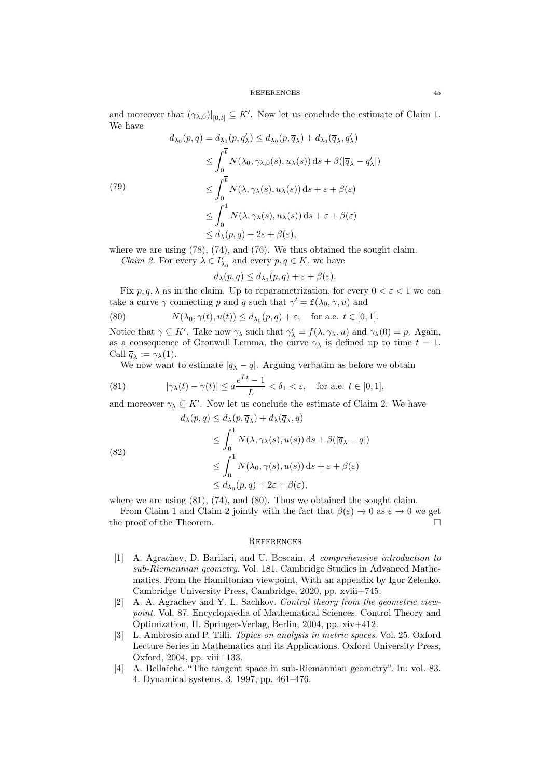and moreover that  $(\gamma_{\lambda,0})|_{[0,\overline{t}]} \subseteq K'$ . Now let us conclude the estimate of Claim 1. We have

(79)  
\n
$$
d_{\lambda_0}(p,q) = d_{\lambda_0}(p,q'_\lambda) \leq d_{\lambda_0}(p,\overline{q}_\lambda) + d_{\lambda_0}(\overline{q}_\lambda,q'_\lambda)
$$
\n
$$
\leq \int_0^{\overline{t}} N(\lambda_0, \gamma_{\lambda,0}(s), u_\lambda(s)) ds + \beta(|\overline{q}_\lambda - q'_\lambda|)
$$
\n
$$
\leq \int_0^{\overline{t}} N(\lambda, \gamma_\lambda(s), u_\lambda(s)) ds + \varepsilon + \beta(\varepsilon)
$$
\n
$$
\leq \int_0^1 N(\lambda, \gamma_\lambda(s), u_\lambda(s)) ds + \varepsilon + \beta(\varepsilon)
$$
\n
$$
\leq d_{\lambda}(p,q) + 2\varepsilon + \beta(\varepsilon),
$$

where we are using [\(78\)](#page-43-2), [\(74\)](#page-43-3), and [\(76\)](#page-43-0). We thus obtained the sought claim.

*Claim 2.* For every  $\lambda \in I'_{\lambda_0}$  and every  $p, q \in K$ , we have

<span id="page-44-6"></span>
$$
d_{\lambda}(p,q) \leq d_{\lambda_0}(p,q) + \varepsilon + \beta(\varepsilon).
$$

Fix  $p, q, \lambda$  as in the claim. Up to reparametrization, for every  $0 < \varepsilon < 1$  we can take a curve  $\gamma$  connecting p and q such that  $\gamma' = \mathbf{f}(\lambda_0, \gamma, u)$  and

(80) 
$$
N(\lambda_0, \gamma(t), u(t)) \leq d_{\lambda_0}(p, q) + \varepsilon, \text{ for a.e. } t \in [0, 1].
$$

Notice that  $\gamma \subseteq K'$ . Take now  $\gamma_{\lambda}$  such that  $\gamma'_{\lambda} = f(\lambda, \gamma_{\lambda}, u)$  and  $\gamma_{\lambda}(0) = p$ . Again, as a consequence of Gronwall Lemma, the curve  $\gamma_{\lambda}$  is defined up to time  $t = 1$ . Call  $\overline{q}_{\lambda} := \gamma_{\lambda}(1)$ .

<span id="page-44-5"></span>We now want to estimate  $|\overline{q}_{\lambda} - q|$ . Arguing verbatim as before we obtain

(81) 
$$
|\gamma_{\lambda}(t) - \gamma(t)| \le a \frac{e^{Lt} - 1}{L} < \delta_1 < \varepsilon, \text{ for a.e. } t \in [0, 1],
$$

and moreover  $\gamma_{\lambda} \subseteq K'$ . Now let us conclude the estimate of Claim 2. We have

(82)  
\n
$$
d_{\lambda}(p,q) \leq d_{\lambda}(p,\overline{q}_{\lambda}) + d_{\lambda}(\overline{q}_{\lambda},q)
$$
\n
$$
\leq \int_0^1 N(\lambda, \gamma_{\lambda}(s), u(s)) ds + \beta(|\overline{q}_{\lambda} - q|)
$$
\n
$$
\leq \int_0^1 N(\lambda_0, \gamma(s), u(s)) ds + \varepsilon + \beta(\varepsilon)
$$
\n
$$
\leq d_{\lambda_0}(p,q) + 2\varepsilon + \beta(\varepsilon),
$$

where we are using  $(81)$ ,  $(74)$ , and  $(80)$ . Thus we obtained the sought claim.

From Claim 1 and Claim 2 jointly with the fact that  $\beta(\varepsilon) \to 0$  as  $\varepsilon \to 0$  we get the proof of the Theorem.

## <span id="page-44-0"></span>**REFERENCES**

- <span id="page-44-2"></span>[1] A. Agrachev, D. Barilari, and U. Boscain. A comprehensive introduction to sub-Riemannian geometry. Vol. 181. Cambridge Studies in Advanced Mathematics. From the Hamiltonian viewpoint, With an appendix by Igor Zelenko. Cambridge University Press, Cambridge, 2020, pp. xviii+745.
- <span id="page-44-3"></span>[2] A. A. Agrachev and Y. L. Sachkov. Control theory from the geometric viewpoint. Vol. 87. Encyclopaedia of Mathematical Sciences. Control Theory and Optimization, II. Springer-Verlag, Berlin, 2004, pp. xiv+412.
- <span id="page-44-4"></span>[3] L. Ambrosio and P. Tilli. Topics on analysis in metric spaces. Vol. 25. Oxford Lecture Series in Mathematics and its Applications. Oxford University Press, Oxford, 2004, pp. viii+133.
- <span id="page-44-1"></span>[4] A. Bellaïche. "The tangent space in sub-Riemannian geometry". In: vol. 83. 4. Dynamical systems, 3. 1997, pp. 461–476.